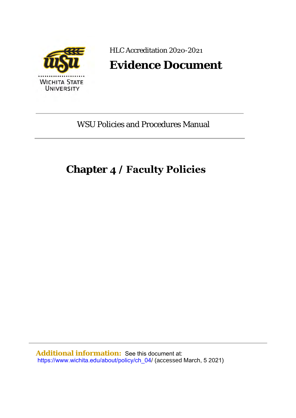

HLC Accreditation 2020-2021

# **Evidence Document**

WSU Policies and Procedures Manual

# **Chapter 4 / Faculty Policies**

**Additional information:** See this document at: [https://www.wichita.edu/about/policy/ch\\_04](https://www.wichita.edu/about/policy/ch_04/)/ (accessed March, 5 2021)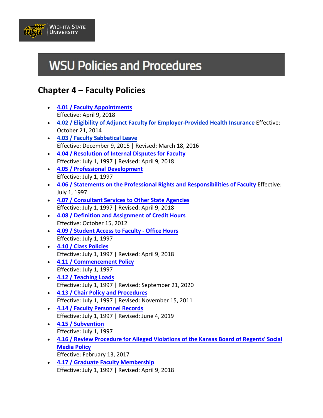

# **WSU Policies and Procedures**

## **Chapter 4 – Faculty Policies**

- **4.01 / Faculty [Appointments](https://www.wichita.edu/about/policy/ch_04/ch4_01.php)** Effective: April 9, 2018
- **4.02 / Eligibility of Adjunct Faculty for [Employer-Provided](https://www.wichita.edu/about/policy/ch_04/ch4_02.php) Health Insurance** Effective: October 21, 2014
- **4.03 / Faculty [Sabbatical](https://www.wichita.edu/about/policy/ch_04/ch4_03.php) Leave** Effective: December 9, 2015 | Revised: March 18, 2016
- **4.04 / Resolution of [Internal Disputes for Faculty](https://www.wichita.edu/about/policy/ch_04/ch4_04.php)** Effective: July 1, 1997 | Revised: April 9, 2018
- **[4.05 / Professional Development](https://www.wichita.edu/about/policy/ch_04/ch4_05.php)** Effective: July 1, 1997
- **[4.06 / Statements on the Professional Rights](https://www.wichita.edu/about/policy/ch_04/ch4_06.php) and Responsibilities of Faculty** Effective: July 1, 1997
- **[4.07 / Consultant Services to Other](https://www.wichita.edu/about/policy/ch_04/ch4_07.php) State Agencies** Effective: July 1, 1997 | Revised: April 9, 2018
- **[4.08 / Definition and Assignment of Credit Hours](https://www.wichita.edu/about/policy/ch_04/ch4_08.php)** Effective: October 15, 2012
- **[4.09 / Student Access](https://www.wichita.edu/about/policy/ch_04/ch4_09.php) to Faculty Office Hours** Effective: July 1, 1997
- **[4.10 / Class Policies](https://www.wichita.edu/about/policy/ch_04/ch4_10.php)** Effective: July 1, 1997 | Revised: April 9, 2018
- **4.11 / [Commencement Policy](https://www.wichita.edu/about/policy/ch_04/ch4_11.php)** Effective: July 1, 1997
- **4.12 / [Teaching Loads](https://www.wichita.edu/about/policy/ch_04/ch4_12.php)** Effective: July 1, 1997 | Revised: September 21, 2020
- **[4.13 / Chair Policy and Procedures](https://www.wichita.edu/about/policy/ch_04/ch4_13.php)** Effective: July 1, 1997 | Revised: November 15, 2011
- **[4.14 / Faculty Personnel Records](https://www.wichita.edu/about/policy/ch_04/ch4_14.php)** Effective: July 1, 1997 | Revised: June 4, 2019
- **[4.15 / Subvention](https://www.wichita.edu/about/policy/ch_04/ch4_15.php)** Effective: July 1, 1997
- **[4.16 / Review Procedure for Alleged Violations of the](https://www.wichita.edu/about/policy/ch_04/ch4_16.php) Kansas Board of Regents' Social [Media Policy](https://www.wichita.edu/about/policy/ch_04/ch4_16.php)** Effective: February 13, 2017
- **[4.17 / Graduate Faculty](https://www.wichita.edu/about/policy/ch_04/ch4_17.php) Membership** Effective: July 1, 1997 | Revised: April 9, 2018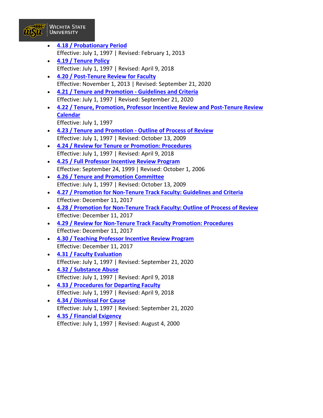

- **[4.18 / Probationary Period](https://www.wichita.edu/about/policy/ch_04/ch4_18.php)** Effective: July 1, 1997 | Revised: February 1, 2013
- **[4.19 / Tenure Policy](https://www.wichita.edu/about/policy/ch_04/ch4_19.php)** Effective: July 1, 1997 | Revised: April 9, 2018
- **[4.20 / Post-Tenure Review for Faculty](https://www.wichita.edu/about/policy/ch_04/ch4_20.php)** Effective: November 1, 2013 | Revised: September 21, 2020
- **[4.21 / Tenure and Promotion Guidelines and Criteria](https://www.wichita.edu/about/policy/ch_04/ch4_21.php)** Effective: July 1, 1997 | Revised: September 21, 2020
- **[4.22 / Tenure, Promotion, Professor Incentive Review and Post-Tenure Review](https://www.wichita.edu/about/policy/ch_04/ch4_22.php) [Calendar](https://www.wichita.edu/about/policy/ch_04/ch4_22.php)** Effective: July 1, 1997
- **[4.23 / Tenure and Promotion Outline of Process of Review](https://www.wichita.edu/about/policy/ch_04/ch4_23.php)** Effective: July 1, 1997 | Revised: October 13, 2009
- **[4.24 / Review for Tenure or Promotion: Procedures](https://www.wichita.edu/about/policy/ch_04/ch4_24.php)** Effective: July 1, 1997 | Revised: April 9, 2018
- **[4.25 / Full Professor Incentive Review Program](https://www.wichita.edu/about/policy/ch_04/ch4_25.php)** Effective: September 24, 1999 | Revised: October 1, 2006
- **[4.26 / Tenure and Promotion Committee](https://www.wichita.edu/about/policy/ch_04/ch4_26.php)** Effective: July 1, 1997 | Revised: October 13, 2009
- **4.27 / Promotion for Non-Tenure [Track Faculty: Guidelines and Criteria](https://www.wichita.edu/about/policy/ch_04/ch4_27.php)** Effective: December 11, 2017
- **[4.28 / Promotion for Non-Tenure Track Faculty: Outline of Process of Review](https://www.wichita.edu/about/policy/ch_04/ch4_28.php)** Effective: December 11, 2017
- **[4.29 / Review for Non-Tenure Track Faculty Promotion: Procedures](https://www.wichita.edu/about/policy/ch_04/ch4_29.php)** Effective: December 11, 2017
- **[4.30 / Teaching Professor Incentive Review Program](https://www.wichita.edu/about/policy/ch_04/ch4_30.php)** Effective: December 11, 2017
- **[4.31 / Faculty Evaluation](https://www.wichita.edu/about/policy/ch_04/ch4_31.php)** Effective: July 1, 1997 | Revised: September 21, 2020
- **[4.32 / Substance Abuse](https://www.wichita.edu/about/policy/ch_04/ch4_32.php)** Effective: July 1, 1997 | Revised: April 9, 2018
- **[4.33 / Procedures for Departing Faculty](https://www.wichita.edu/about/policy/ch_04/ch4_33.php)** Effective: July 1, 1997 | Revised: April 9, 2018
- **[4.34 / Dismissal For Cause](https://www.wichita.edu/about/policy/ch_04/ch4_34.php)** Effective: July 1, 1997 | Revised: September 21, 2020
- **[4.35 / Financial Exigency](https://www.wichita.edu/about/policy/ch_04/ch4_35.php)** Effective: July 1, 1997 | Revised: August 4, 2000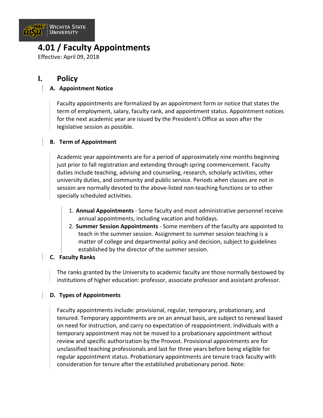

### **4.01 / Faculty Appointments**

Effective: April 09, 2018

### **I. Policy**

#### **A. Appointment Notice**

Faculty appointments are formalized by an appointment form or notice that states the term of employment, salary, faculty rank, and appointment status. Appointment notices for the next academic year are issued by the President's Office as soon after the legislative session as possible.

#### **B. Term of Appointment**

Academic year appointments are for a period of approximately nine months beginning just prior to fall registration and extending through spring commencement. Faculty duties include teaching, advising and counseling, research, scholarly activities, other university duties, and community and public service. Periods when classes are not in session are normally devoted to the above-listed non-teaching functions or to other specially scheduled activities.

- 1. **Annual Appointments** Some faculty and most administrative personnel receive annual appointments, including vacation and holidays.
- 2. **Summer Session Appointments** Some members of the faculty are appointed to teach in the summer session. Assignment to summer session teaching is a matter of college and departmental policy and decision, subject to guidelines established by the director of the summer session.

#### **C. Faculty Ranks**

The ranks granted by the University to academic faculty are those normally bestowed by institutions of higher education: professor, associate professor and assistant professor.

#### **D. Types of Appointments**

Faculty appointments include: provisional, regular, temporary, probationary, and tenured. Temporary appointments are on an annual basis, are subject to renewal based on need for instruction, and carry no expectation of reappointment. Individuals with a temporary appointment may not be moved to a probationary appointment without review and specific authorization by the Provost. Provisional appointments are for unclassified teaching professionals and last for three years before being eligible for regular appointment status. Probationary appointments are tenure track faculty with consideration for tenure after the established probationary period. Note: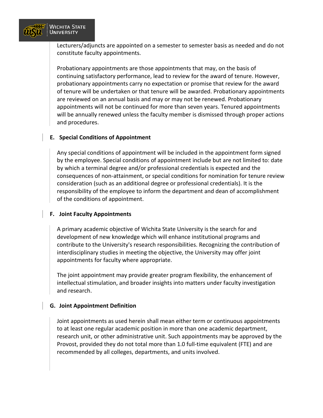

Lecturers/adjuncts are appointed on a semester to semester basis as needed and do not constitute faculty appointments.

Probationary appointments are those appointments that may, on the basis of continuing satisfactory performance, lead to review for the award of tenure. However, probationary appointments carry no expectation or promise that review for the award of tenure will be undertaken or that tenure will be awarded. Probationary appointments are reviewed on an annual basis and may or may not be renewed. Probationary appointments will not be continued for more than seven years. Tenured appointments will be annually renewed unless the faculty member is dismissed through proper actions and procedures.

#### **E. Special Conditions of Appointment**

Any special conditions of appointment will be included in the appointment form signed by the employee. Special conditions of appointment include but are not limited to: date by which a terminal degree and/or professional credentials is expected and the consequences of non-attainment, or special conditions for nomination for tenure review consideration (such as an additional degree or professional credentials). It is the responsibility of the employee to inform the department and dean of accomplishment of the conditions of appointment.

#### **F. Joint Faculty Appointments**

A primary academic objective of Wichita State University is the search for and development of new knowledge which will enhance institutional programs and contribute to the University's research responsibilities. Recognizing the contribution of interdisciplinary studies in meeting the objective, the University may offer joint appointments for faculty where appropriate.

The joint appointment may provide greater program flexibility, the enhancement of intellectual stimulation, and broader insights into matters under faculty investigation and research.

#### **G. Joint Appointment Definition**

Joint appointments as used herein shall mean either term or continuous appointments to at least one regular academic position in more than one academic department, research unit, or other administrative unit. Such appointments may be approved by the Provost, provided they do not total more than 1.0 full-time equivalent (FTE) and are recommended by all colleges, departments, and units involved.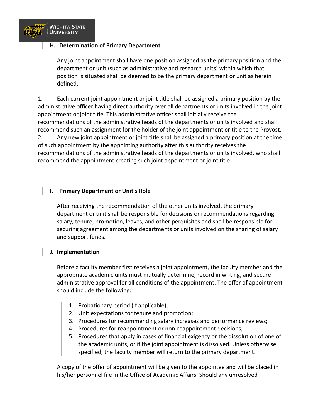

#### **H. Determination of Primary Department**

Any joint appointment shall have one position assigned as the primary position and the department or unit (such as administrative and research units) within which that position is situated shall be deemed to be the primary department or unit as herein defined.

1. Each current joint appointment or joint title shall be assigned a primary position by the administrative officer having direct authority over all departments or units involved in the joint appointment or joint title. This administrative officer shall initially receive the recommendations of the administrative heads of the departments or units involved and shall recommend such an assignment for the holder of the joint appointment or title to the Provost. 2. Any new joint appointment or joint title shall be assigned a primary position at the time of such appointment by the appointing authority after this authority receives the recommendations of the administrative heads of the departments or units involved, who shall recommend the appointment creating such joint appointment or joint title.

#### **I. Primary Department or Unit's Role**

After receiving the recommendation of the other units involved, the primary department or unit shall be responsible for decisions or recommendations regarding salary, tenure, promotion, leaves, and other perquisites and shall be responsible for securing agreement among the departments or units involved on the sharing of salary and support funds.

#### **J. Implementation**

Before a faculty member first receives a joint appointment, the faculty member and the appropriate academic units must mutually determine, record in writing, and secure administrative approval for all conditions of the appointment. The offer of appointment should include the following:

- 1. Probationary period (if applicable);
- 2. Unit expectations for tenure and promotion;
- 3. Procedures for recommending salary increases and performance reviews;
- 4. Procedures for reappointment or non-reappointment decisions;
- 5. Procedures that apply in cases of financial exigency or the dissolution of one of the academic units, or if the joint appointment is dissolved. Unless otherwise specified, the faculty member will return to the primary department.

A copy of the offer of appointment will be given to the appointee and will be placed in his/her personnel file in the Office of Academic Affairs. Should any unresolved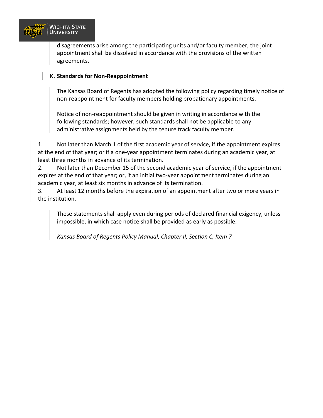

disagreements arise among the participating units and/or faculty member, the joint appointment shall be dissolved in accordance with the provisions of the written agreements.

#### **K. Standards for Non-Reappointment**

The Kansas Board of Regents has adopted the following policy regarding timely notice of non-reappointment for faculty members holding probationary appointments.

Notice of non-reappointment should be given in writing in accordance with the following standards; however, such standards shall not be applicable to any administrative assignments held by the tenure track faculty member.

1. Not later than March 1 of the first academic year of service, if the appointment expires at the end of that year; or if a one-year appointment terminates during an academic year, at least three months in advance of its termination.

2. Not later than December 15 of the second academic year of service, if the appointment expires at the end of that year; or, if an initial two-year appointment terminates during an academic year, at least six months in advance of its termination.

3. At least 12 months before the expiration of an appointment after two or more years in the institution.

These statements shall apply even during periods of declared financial exigency, unless impossible, in which case notice shall be provided as early as possible.

*Kansas Board of Regents Policy Manual, Chapter II, Section C, Item 7*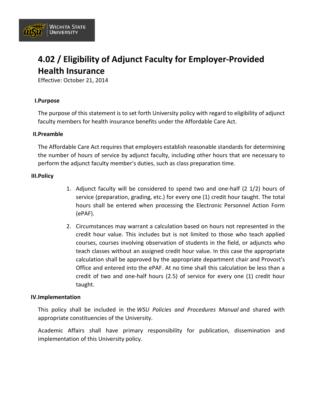

# **4.02 / Eligibility of Adjunct Faculty for Employer-Provided Health Insurance**

Effective: October 21, 2014

#### **I.Purpose**

The purpose of this statement is to set forth University policy with regard to eligibility of adjunct faculty members for health insurance benefits under the Affordable Care Act.

#### **II.Preamble**

The Affordable Care Act requires that employers establish reasonable standards for determining the number of hours of service by adjunct faculty, including other hours that are necessary to perform the adjunct faculty member's duties, such as class preparation time.

#### **III.Policy**

- 1. Adjunct faculty will be considered to spend two and one-half (2 1/2) hours of service (preparation, grading, etc.) for every one (1) credit hour taught. The total hours shall be entered when processing the Electronic Personnel Action Form (ePAF).
- 2. Circumstances may warrant a calculation based on hours not represented in the credit hour value. This includes but is not limited to those who teach applied courses, courses involving observation of students in the field, or adjuncts who teach classes without an assigned credit hour value. In this case the appropriate calculation shall be approved by the appropriate department chair and Provost's Office and entered into the ePAF. At no time shall this calculation be less than a credit of two and one-half hours (2.5) of service for every one (1) credit hour taught.

#### **IV.Implementation**

This policy shall be included in the *WSU Policies and Procedures Manual* and shared with appropriate constituencies of the University.

Academic Affairs shall have primary responsibility for publication, dissemination and implementation of this University policy.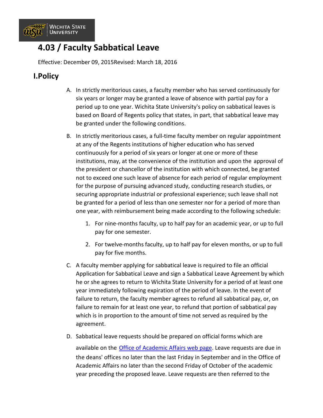

### **4.03 / Faculty Sabbatical Leave**

Effective: December 09, 2015Revised: March 18, 2016

### **I.Policy**

- A. In strictly meritorious cases, a faculty member who has served continuously for six years or longer may be granted a leave of absence with partial pay for a period up to one year. Wichita State University's policy on sabbatical leaves is based on Board of Regents policy that states, in part, that sabbatical leave may be granted under the following conditions.
- B. In strictly meritorious cases, a full-time faculty member on regular appointment at any of the Regents institutions of higher education who has served continuously for a period of six years or longer at one or more of these institutions, may, at the convenience of the institution and upon the approval of the president or chancellor of the institution with which connected, be granted not to exceed one such leave of absence for each period of regular employment for the purpose of pursuing advanced study, conducting research studies, or securing appropriate industrial or professional experience; such leave shall not be granted for a period of less than one semester nor for a period of more than one year, with reimbursement being made according to the following schedule:
	- 1. For nine-months faculty, up to half pay for an academic year, or up to full pay for one semester.
	- 2. For twelve-months faculty, up to half pay for eleven months, or up to full pay for five months.
- C. A faculty member applying for sabbatical leave is required to file an official Application for Sabbatical Leave and sign a Sabbatical Leave Agreement by which he or she agrees to return to Wichita State University for a period of at least one year immediately following expiration of the period of leave. In the event of failure to return, the faculty member agrees to refund all sabbatical pay, or, on failure to remain for at least one year, to refund that portion of sabbatical pay which is in proportion to the amount of time not served as required by the agreement.
- D. Sabbatical leave requests should be prepared on official forms which are

available on the **Office of Academic Affairs web page**. Leave requests are due in the deans' offices no later than the last Friday in September and in the Office of Academic Affairs no later than the second Friday of October of the academic year preceding the proposed leave. Leave requests are then referred to the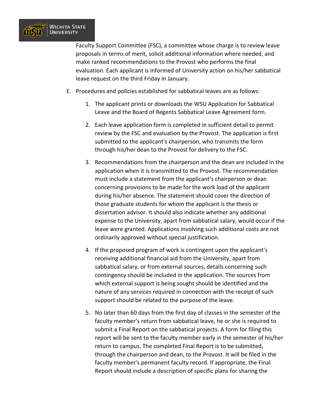

Faculty Support Committee (FSC), a committee whose charge is to review leave proposals in terms of merit, solicit additional information where needed, and make ranked recommendations to the Provost who performs the final evaluation. Each applicant is informed of University action on his/her sabbatical leave request on the third Friday in January.

- E. Procedures and policies established for sabbatical leaves are as follows:
	- 1. The applicant prints or downloads the WSU Application for Sabbatical Leave and the Board of Regents Sabbatical Leave Agreement form.
	- 2. Each leave application form is completed in sufficient detail to permit review by the FSC and evaluation by the Provost. The application is first submitted to the applicant's chairperson, who transmits the form through his/her dean to the Provost for delivery to the FSC.
	- 3. Recommendations from the chairperson and the dean are included in the application when it is transmitted to the Provost. The recommendation must include a statement from the applicant's chairperson or dean concerning provisions to be made for the work load of the applicant during his/her absence. The statement should cover the direction of those graduate students for whom the applicant is the thesis or dissertation advisor. It should also indicate whether any additional expense to the University, apart from sabbatical salary, would occur if the leave were granted. Applications involving such additional costs are not ordinarily approved without special justification.
	- 4. If the proposed program of work is contingent upon the applicant's receiving additional financial aid from the University, apart from sabbatical salary, or from external sources, details concerning such contingency should be included in the application. The sources from which external support is being sought should be identified and the nature of any services required in connection with the receipt of such support should be related to the purpose of the leave.
	- 5. No later than 60 days from the first day of classes in the semester of the faculty member's return from sabbatical leave, he or she is required to submit a Final Report on the sabbatical projects. A form for filing this report will be sent to the faculty member early in the semester of his/her return to campus. The completed Final Report is to be submitted, through the chairperson and dean, to the Provost. It will be filed in the faculty member's permanent faculty record. If appropriate, the Final Report should include a description of specific plans for sharing the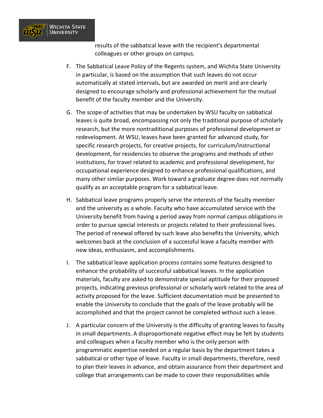

results of the sabbatical leave with the recipient's departmental colleagues or other groups on campus.

- F. The Sabbatical Leave Policy of the Regents system, and Wichita State University in particular, is based on the assumption that such leaves do not occur automatically at stated intervals, but are awarded on merit and are clearly designed to encourage scholarly and professional achievement for the mutual benefit of the faculty member and the University.
- G. The scope of activities that may be undertaken by WSU faculty on sabbatical leaves is quite broad, encompassing not only the traditional purpose of scholarly research, but the more nontraditional purposes of professional development or redevelopment. At WSU, leaves have been granted for advanced study, for specific research projects, for creative projects, for curriculum/instructional development, for residencies to observe the programs and methods of other institutions, for travel related to academic and professional development, for occupational experience designed to enhance professional qualifications, and many other similar purposes. Work toward a graduate degree does not normally qualify as an acceptable program for a sabbatical leave.
- H. Sabbatical leave programs properly serve the interests of the faculty member and the university as a whole. Faculty who have accumulated service with the University benefit from having a period away from normal campus obligations in order to pursue special interests or projects related to their professional lives. The period of renewal offered by such leave also benefits the University, which welcomes back at the conclusion of a successful leave a faculty member with new ideas, enthusiasm, and accomplishments.
- I. The sabbatical leave application process contains some features designed to enhance the probability of successful sabbatical leaves. In the application materials, faculty are asked to demonstrate special aptitude for their proposed projects, indicating previous professional or scholarly work related to the area of activity proposed for the leave. Sufficient documentation must be presented to enable the University to conclude that the goals of the leave probably will be accomplished and that the project cannot be completed without such a leave.
- J. A particular concern of the University is the difficulty of granting leaves to faculty in small departments. A disproportionate negative effect may be felt by students and colleagues when a faculty member who is the only person with programmatic expertise needed on a regular basis by the department takes a sabbatical or other type of leave. Faculty in small departments, therefore, need to plan their leaves in advance, and obtain assurance from their department and college that arrangements can be made to cover their responsibilities while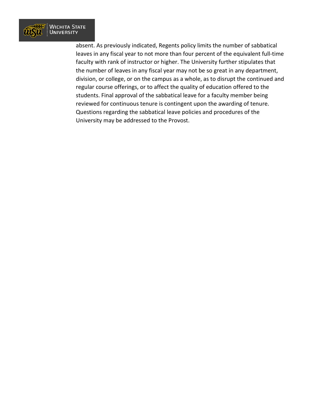

absent. As previously indicated, Regents policy limits the number of sabbatical leaves in any fiscal year to not more than four percent of the equivalent full-time faculty with rank of instructor or higher. The University further stipulates that the number of leaves in any fiscal year may not be so great in any department, division, or college, or on the campus as a whole, as to disrupt the continued and regular course offerings, or to affect the quality of education offered to the students. Final approval of the sabbatical leave for a faculty member being reviewed for continuous tenure is contingent upon the awarding of tenure. Questions regarding the sabbatical leave policies and procedures of the University may be addressed to the Provost.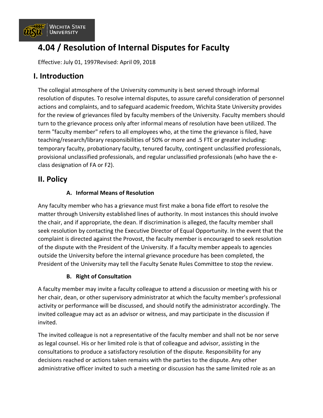

# **4.04 / Resolution of Internal Disputes for Faculty**

Effective: July 01, 1997Revised: April 09, 2018

### **I. Introduction**

The collegial atmosphere of the University community is best served through informal resolution of disputes. To resolve internal disputes, to assure careful consideration of personnel actions and complaints, and to safeguard academic freedom, Wichita State University provides for the review of grievances filed by faculty members of the University. Faculty members should turn to the grievance process only after informal means of resolution have been utilized. The term "faculty member" refers to all employees who, at the time the grievance is filed, have teaching/research/library responsibilities of 50% or more and .5 FTE or greater including: temporary faculty, probationary faculty, tenured faculty, contingent unclassified professionals, provisional unclassified professionals, and regular unclassified professionals (who have the eclass designation of FA or F2).

### **II. Policy**

#### **A. Informal Means of Resolution**

Any faculty member who has a grievance must first make a bona fide effort to resolve the matter through University established lines of authority. In most instances this should involve the chair, and if appropriate, the dean. If discrimination is alleged, the faculty member shall seek resolution by contacting the Executive Director of Equal Opportunity. In the event that the complaint is directed against the Provost, the faculty member is encouraged to seek resolution of the dispute with the President of the University. If a faculty member appeals to agencies outside the University before the internal grievance procedure has been completed, the President of the University may tell the Faculty Senate Rules Committee to stop the review.

#### **B. Right of Consultation**

A faculty member may invite a faculty colleague to attend a discussion or meeting with his or her chair, dean, or other supervisory administrator at which the faculty member's professional activity or performance will be discussed, and should notify the administrator accordingly. The invited colleague may act as an advisor or witness, and may participate in the discussion if invited.

The invited colleague is not a representative of the faculty member and shall not be nor serve as legal counsel. His or her limited role is that of colleague and advisor, assisting in the consultations to produce a satisfactory resolution of the dispute. Responsibility for any decisions reached or actions taken remains with the parties to the dispute. Any other administrative officer invited to such a meeting or discussion has the same limited role as an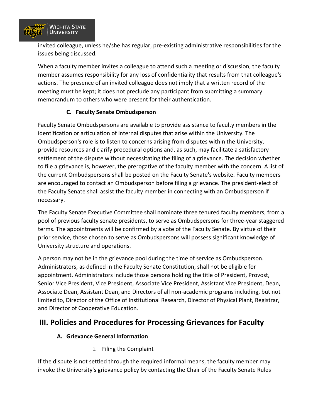

invited colleague, unless he/she has regular, pre-existing administrative responsibilities for the issues being discussed.

When a faculty member invites a colleague to attend such a meeting or discussion, the faculty member assumes responsibility for any loss of confidentiality that results from that colleague's actions. The presence of an invited colleague does not imply that a written record of the meeting must be kept; it does not preclude any participant from submitting a summary memorandum to others who were present for their authentication.

#### **C. Faculty Senate Ombudsperson**

Faculty Senate Ombudspersons are available to provide assistance to faculty members in the identification or articulation of internal disputes that arise within the University. The Ombudsperson's role is to listen to concerns arising from disputes within the University, provide resources and clarify procedural options and, as such, may facilitate a satisfactory settlement of the dispute without necessitating the filing of a grievance. The decision whether to file a grievance is, however, the prerogative of the faculty member with the concern. A list of the current Ombudspersons shall be posted on the Faculty Senate's website. Faculty members are encouraged to contact an Ombudsperson before filing a grievance. The president-elect of the Faculty Senate shall assist the faculty member in connecting with an Ombudsperson if necessary.

The Faculty Senate Executive Committee shall nominate three tenured faculty members, from a pool of previous faculty senate presidents, to serve as Ombudspersons for three-year staggered terms. The appointments will be confirmed by a vote of the Faculty Senate. By virtue of their prior service, those chosen to serve as Ombudspersons will possess significant knowledge of University structure and operations.

A person may not be in the grievance pool during the time of service as Ombudsperson. Administrators, as defined in the Faculty Senate Constitution, shall not be eligible for appointment. Administrators include those persons holding the title of President, Provost, Senior Vice President, Vice President, Associate Vice President, Assistant Vice President, Dean, Associate Dean, Assistant Dean, and Directors of all non-academic programs including, but not limited to, Director of the Office of Institutional Research, Director of Physical Plant, Registrar, and Director of Cooperative Education.

### **III. Policies and Procedures for Processing Grievances for Faculty**

#### **A. Grievance General Information**

1. Filing the Complaint

If the dispute is not settled through the required informal means, the faculty member may invoke the University's grievance policy by contacting the Chair of the Faculty Senate Rules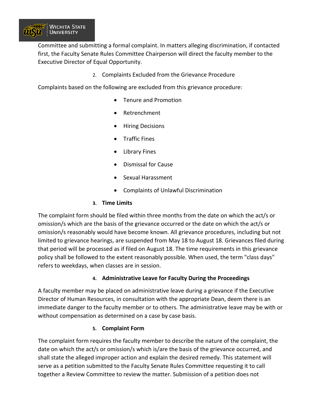

Committee and submitting a formal complaint. In matters alleging discrimination, if contacted first, the Faculty Senate Rules Committee Chairperson will direct the faculty member to the Executive Director of Equal Opportunity.

2. Complaints Excluded from the Grievance Procedure

Complaints based on the following are excluded from this grievance procedure:

- Tenure and Promotion
- Retrenchment
- Hiring Decisions
- Traffic Fines
- Library Fines
- Dismissal for Cause
- Sexual Harassment
- Complaints of Unlawful Discrimination

#### **3. Time Limits**

The complaint form should be filed within three months from the date on which the act/s or omission/s which are the basis of the grievance occurred or the date on which the act/s or omission/s reasonably would have become known. All grievance procedures, including but not limited to grievance hearings, are suspended from May 18 to August 18. Grievances filed during that period will be processed as if filed on August 18. The time requirements in this grievance policy shall be followed to the extent reasonably possible. When used, the term "class days" refers to weekdays, when classes are in session.

#### **4. Administrative Leave for Faculty During the Proceedings**

A faculty member may be placed on administrative leave during a grievance if the Executive Director of Human Resources, in consultation with the appropriate Dean, deem there is an immediate danger to the faculty member or to others. The administrative leave may be with or without compensation as determined on a case by case basis.

#### **5. Complaint Form**

The complaint form requires the faculty member to describe the nature of the complaint, the date on which the act/s or omission/s which is/are the basis of the grievance occurred, and shall state the alleged improper action and explain the desired remedy. This statement will serve as a petition submitted to the Faculty Senate Rules Committee requesting it to call together a Review Committee to review the matter. Submission of a petition does not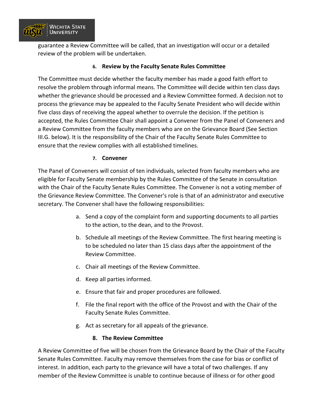

guarantee a Review Committee will be called, that an investigation will occur or a detailed review of the problem will be undertaken.

#### **6. Review by the Faculty Senate Rules Committee**

The Committee must decide whether the faculty member has made a good faith effort to resolve the problem through informal means. The Committee will decide within ten class days whether the grievance should be processed and a Review Committee formed. A decision not to process the grievance may be appealed to the Faculty Senate President who will decide within five class days of receiving the appeal whether to overrule the decision. If the petition is accepted, the Rules Committee Chair shall appoint a Convener from the Panel of Conveners and a Review Committee from the faculty members who are on the Grievance Board (See Section III.G. below). It is the responsibility of the Chair of the Faculty Senate Rules Committee to ensure that the review complies with all established timelines.

#### **7. Convener**

The Panel of Conveners will consist of ten individuals, selected from faculty members who are eligible for Faculty Senate membership by the Rules Committee of the Senate in consultation with the Chair of the Faculty Senate Rules Committee. The Convener is not a voting member of the Grievance Review Committee. The Convener's role is that of an administrator and executive secretary. The Convener shall have the following responsibilities:

- a. Send a copy of the complaint form and supporting documents to all parties to the action, to the dean, and to the Provost.
- b. Schedule all meetings of the Review Committee. The first hearing meeting is to be scheduled no later than 15 class days after the appointment of the Review Committee.
- c. Chair all meetings of the Review Committee.
- d. Keep all parties informed.
- e. Ensure that fair and proper procedures are followed.
- f. File the final report with the office of the Provost and with the Chair of the Faculty Senate Rules Committee.
- g. Act as secretary for all appeals of the grievance.

#### **8. The Review Committee**

A Review Committee of five will be chosen from the Grievance Board by the Chair of the Faculty Senate Rules Committee. Faculty may remove themselves from the case for bias or conflict of interest. In addition, each party to the grievance will have a total of two challenges. If any member of the Review Committee is unable to continue because of illness or for other good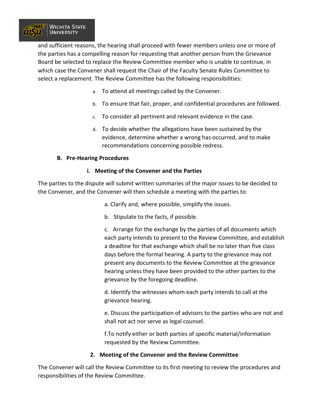

and sufficient reasons, the hearing shall proceed with fewer members unless one or more of the parties has a compelling reason for requesting that another person from the Grievance Board be selected to replace the Review Committee member who is unable to continue, in which case the Convener shall request the Chair of the Faculty Senate Rules Committee to select a replacement. The Review Committee has the following responsibilities:

- a. To attend all meetings called by the Convener.
- b. To ensure that fair, proper, and confidential procedures are followed.
- c. To consider all pertinent and relevant evidence in the case.
- d. To decide whether the allegations have been sustained by the evidence, determine whether a wrong has occurred, and to make recommendations concerning possible redress.

#### **B. Pre-Hearing Procedures**

#### **i. Meeting of the Convener and the Parties**

The parties to the dispute will submit written summaries of the major issues to be decided to the Convener, and the Convener will then schedule a meeting with the parties to:

a. Clarify and, where possible, simplify the issues.

b. Stipulate to the facts, if possible.

c. Arrange for the exchange by the parties of all documents which each party intends to present to the Review Committee, and establish a deadline for that exchange which shall be no later than five class days before the formal hearing. A party to the grievance may not present any documents to the Review Committee at the grievance hearing unless they have been provided to the other parties to the grievance by the foregoing deadline.

d. Identify the witnesses whom each party intends to call at the grievance hearing.

e. Discuss the participation of advisors to the parties who are not and shall not act nor serve as legal counsel.

f.To notify either or both parties of specific material/information requested by the Review Committee.

#### **2. Meeting of the Convener and the Review Committee**

The Convener will call the Review Committee to its first meeting to review the procedures and responsibilities of the Review Committee.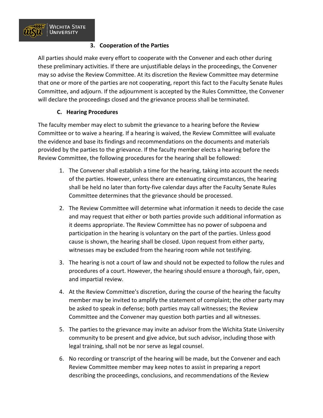

#### **3. Cooperation of the Parties**

All parties should make every effort to cooperate with the Convener and each other during these preliminary activities. If there are unjustifiable delays in the proceedings, the Convener may so advise the Review Committee. At its discretion the Review Committee may determine that one or more of the parties are not cooperating, report this fact to the Faculty Senate Rules Committee, and adjourn. If the adjournment is accepted by the Rules Committee, the Convener will declare the proceedings closed and the grievance process shall be terminated.

#### **C. Hearing Procedures**

The faculty member may elect to submit the grievance to a hearing before the Review Committee or to waive a hearing. If a hearing is waived, the Review Committee will evaluate the evidence and base its findings and recommendations on the documents and materials provided by the parties to the grievance. If the faculty member elects a hearing before the Review Committee, the following procedures for the hearing shall be followed:

- 1. The Convener shall establish a time for the hearing, taking into account the needs of the parties. However, unless there are extenuating circumstances, the hearing shall be held no later than forty-five calendar days after the Faculty Senate Rules Committee determines that the grievance should be processed.
- 2. The Review Committee will determine what information it needs to decide the case and may request that either or both parties provide such additional information as it deems appropriate. The Review Committee has no power of subpoena and participation in the hearing is voluntary on the part of the parties. Unless good cause is shown, the hearing shall be closed. Upon request from either party, witnesses may be excluded from the hearing room while not testifying.
- 3. The hearing is not a court of law and should not be expected to follow the rules and procedures of a court. However, the hearing should ensure a thorough, fair, open, and impartial review.
- 4. At the Review Committee's discretion, during the course of the hearing the faculty member may be invited to amplify the statement of complaint; the other party may be asked to speak in defense; both parties may call witnesses; the Review Committee and the Convener may question both parties and all witnesses.
- 5. The parties to the grievance may invite an advisor from the Wichita State University community to be present and give advice, but such advisor, including those with legal training, shall not be nor serve as legal counsel.
- 6. No recording or transcript of the hearing will be made, but the Convener and each Review Committee member may keep notes to assist in preparing a report describing the proceedings, conclusions, and recommendations of the Review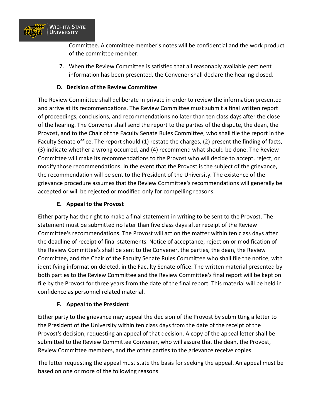

Committee. A committee member's notes will be confidential and the work product of the committee member.

7. When the Review Committee is satisfied that all reasonably available pertinent information has been presented, the Convener shall declare the hearing closed.

#### **D. Decision of the Review Committee**

The Review Committee shall deliberate in private in order to review the information presented and arrive at its recommendations. The Review Committee must submit a final written report of proceedings, conclusions, and recommendations no later than ten class days after the close of the hearing. The Convener shall send the report to the parties of the dispute, the dean, the Provost, and to the Chair of the Faculty Senate Rules Committee, who shall file the report in the Faculty Senate office. The report should (1) restate the charges, (2) present the finding of facts, (3) indicate whether a wrong occurred, and (4) recommend what should be done. The Review Committee will make its recommendations to the Provost who will decide to accept, reject, or modify those recommendations. In the event that the Provost is the subject of the grievance, the recommendation will be sent to the President of the University. The existence of the grievance procedure assumes that the Review Committee's recommendations will generally be accepted or will be rejected or modified only for compelling reasons.

#### **E. Appeal to the Provost**

Either party has the right to make a final statement in writing to be sent to the Provost. The statement must be submitted no later than five class days after receipt of the Review Committee's recommendations. The Provost will act on the matter within ten class days after the deadline of receipt of final statements. Notice of acceptance, rejection or modification of the Review Committee's shall be sent to the Convener, the parties, the dean, the Review Committee, and the Chair of the Faculty Senate Rules Committee who shall file the notice, with identifying information deleted, in the Faculty Senate office. The written material presented by both parties to the Review Committee and the Review Committee's final report will be kept on file by the Provost for three years from the date of the final report. This material will be held in confidence as personnel related material.

#### **F. Appeal to the President**

Either party to the grievance may appeal the decision of the Provost by submitting a letter to the President of the University within ten class days from the date of the receipt of the Provost's decision, requesting an appeal of that decision. A copy of the appeal letter shall be submitted to the Review Committee Convener, who will assure that the dean, the Provost, Review Committee members, and the other parties to the grievance receive copies.

The letter requesting the appeal must state the basis for seeking the appeal. An appeal must be based on one or more of the following reasons: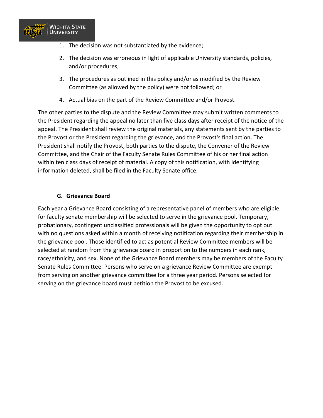

- 1. The decision was not substantiated by the evidence;
- 2. The decision was erroneous in light of applicable University standards, policies, and/or procedures;
- 3. The procedures as outlined in this policy and/or as modified by the Review Committee (as allowed by the policy) were not followed; or
- 4. Actual bias on the part of the Review Committee and/or Provost.

The other parties to the dispute and the Review Committee may submit written comments to the President regarding the appeal no later than five class days after receipt of the notice of the appeal. The President shall review the original materials, any statements sent by the parties to the Provost or the President regarding the grievance, and the Provost's final action. The President shall notify the Provost, both parties to the dispute, the Convener of the Review Committee, and the Chair of the Faculty Senate Rules Committee of his or her final action within ten class days of receipt of material. A copy of this notification, with identifying information deleted, shall be filed in the Faculty Senate office.

#### **G. Grievance Board**

Each year a Grievance Board consisting of a representative panel of members who are eligible for faculty senate membership will be selected to serve in the grievance pool. Temporary, probationary, contingent unclassified professionals will be given the opportunity to opt out with no questions asked within a month of receiving notification regarding their membership in the grievance pool. Those identified to act as potential Review Committee members will be selected at random from the grievance board in proportion to the numbers in each rank, race/ethnicity, and sex. None of the Grievance Board members may be members of the Faculty Senate Rules Committee. Persons who serve on a grievance Review Committee are exempt from serving on another grievance committee for a three year period. Persons selected for serving on the grievance board must petition the Provost to be excused.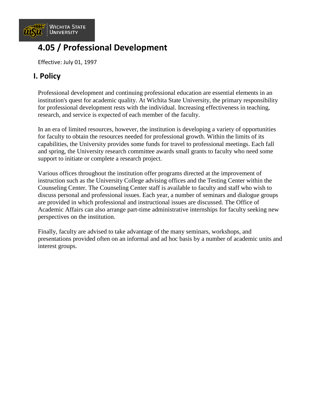

# **4.05 / Professional Development**

Effective: July 01, 1997

### **I. Policy**

Professional development and continuing professional education are essential elements in an institution's quest for academic quality. At Wichita State University, the primary responsibility for professional development rests with the individual. Increasing effectiveness in teaching, research, and service is expected of each member of the faculty.

In an era of limited resources, however, the institution is developing a variety of opportunities for faculty to obtain the resources needed for professional growth. Within the limits of its capabilities, the University provides some funds for travel to professional meetings. Each fall and spring, the University research committee awards small grants to faculty who need some support to initiate or complete a research project.

Various offices throughout the institution offer programs directed at the improvement of instruction such as the University College advising offices and the Testing Center within the Counseling Center. The Counseling Center staff is available to faculty and staff who wish to discuss personal and professional issues. Each year, a number of seminars and dialogue groups are provided in which professional and instructional issues are discussed. The Office of Academic Affairs can also arrange part-time administrative internships for faculty seeking new perspectives on the institution.

Finally, faculty are advised to take advantage of the many seminars, workshops, and presentations provided often on an informal and ad hoc basis by a number of academic units and interest groups.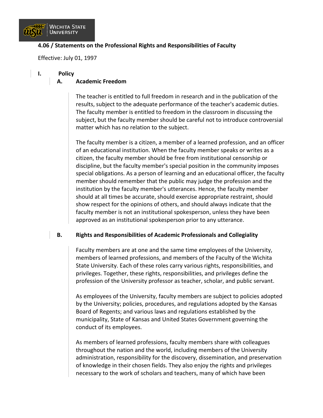

#### **4.06 / Statements on the Professional Rights and Responsibilities of Faculty**

Effective: July 01, 1997

#### **I. Policy**

#### **A. Academic Freedom**

The teacher is entitled to full freedom in research and in the publication of the results, subject to the adequate performance of the teacher's academic duties. The faculty member is entitled to freedom in the classroom in discussing the subject, but the faculty member should be careful not to introduce controversial matter which has no relation to the subject.

The faculty member is a citizen, a member of a learned profession, and an officer of an educational institution. When the faculty member speaks or writes as a citizen, the faculty member should be free from institutional censorship or discipline, but the faculty member's special position in the community imposes special obligations. As a person of learning and an educational officer, the faculty member should remember that the public may judge the profession and the institution by the faculty member's utterances. Hence, the faculty member should at all times be accurate, should exercise appropriate restraint, should show respect for the opinions of others, and should always indicate that the faculty member is not an institutional spokesperson, unless they have been approved as an institutional spokesperson prior to any utterance.

#### **B. Rights and Responsibilities of Academic Professionals and Collegiality**

Faculty members are at one and the same time employees of the University, members of learned professions, and members of the Faculty of the Wichita State University. Each of these roles carry various rights, responsibilities, and privileges. Together, these rights, responsibilities, and privileges define the profession of the University professor as teacher, scholar, and public servant.

As employees of the University, faculty members are subject to policies adopted by the University; policies, procedures, and regulations adopted by the Kansas Board of Regents; and various laws and regulations established by the municipality, State of Kansas and United States Government governing the conduct of its employees.

As members of learned professions, faculty members share with colleagues throughout the nation and the world, including members of the University administration, responsibility for the discovery, dissemination, and preservation of knowledge in their chosen fields. They also enjoy the rights and privileges necessary to the work of scholars and teachers, many of which have been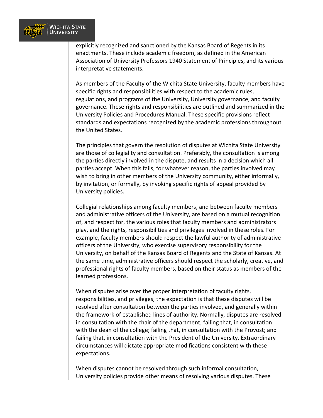

explicitly recognized and sanctioned by the Kansas Board of Regents in its enactments. These include academic freedom, as defined in the American Association of University Professors 1940 Statement of Principles, and its various interpretative statements.

As members of the Faculty of the Wichita State University, faculty members have specific rights and responsibilities with respect to the academic rules, regulations, and programs of the University, University governance, and faculty governance. These rights and responsibilities are outlined and summarized in the University Policies and Procedures Manual. These specific provisions reflect standards and expectations recognized by the academic professions throughout the United States.

The principles that govern the resolution of disputes at Wichita State University are those of collegiality and consultation. Preferably, the consultation is among the parties directly involved in the dispute, and results in a decision which all parties accept. When this fails, for whatever reason, the parties involved may wish to bring in other members of the University community, either informally, by invitation, or formally, by invoking specific rights of appeal provided by University policies.

Collegial relationships among faculty members, and between faculty members and administrative officers of the University, are based on a mutual recognition of, and respect for, the various roles that faculty members and administrators play, and the rights, responsibilities and privileges involved in these roles. For example, faculty members should respect the lawful authority of administrative officers of the University, who exercise supervisory responsibility for the University, on behalf of the Kansas Board of Regents and the State of Kansas. At the same time, administrative officers should respect the scholarly, creative, and professional rights of faculty members, based on their status as members of the learned professions.

When disputes arise over the proper interpretation of faculty rights, responsibilities, and privileges, the expectation is that these disputes will be resolved after consultation between the parties involved, and generally within the framework of established lines of authority. Normally, disputes are resolved in consultation with the chair of the department; failing that, in consultation with the dean of the college; failing that, in consultation with the Provost; and failing that, in consultation with the President of the University. Extraordinary circumstances will dictate appropriate modifications consistent with these expectations.

When disputes cannot be resolved through such informal consultation, University policies provide other means of resolving various disputes. These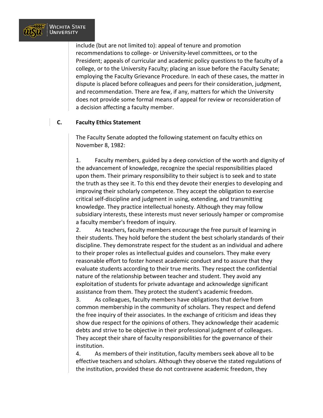

include (but are not limited to): appeal of tenure and promotion recommendations to college- or University-level committees, or to the President; appeals of curricular and academic policy questions to the faculty of a college, or to the University Faculty; placing an issue before the Faculty Senate; employing the Faculty Grievance Procedure. In each of these cases, the matter in dispute is placed before colleagues and peers for their consideration, judgment, and recommendation. There are few, if any, matters for which the University does not provide some formal means of appeal for review or reconsideration of a decision affecting a faculty member.

#### **C. Faculty Ethics Statement**

The Faculty Senate adopted the following statement on faculty ethics on November 8, 1982:

1. Faculty members, guided by a deep conviction of the worth and dignity of the advancement of knowledge, recognize the special responsibilities placed upon them. Their primary responsibility to their subject is to seek and to state the truth as they see it. To this end they devote their energies to developing and improving their scholarly competence. They accept the obligation to exercise critical self-discipline and judgment in using, extending, and transmitting knowledge. They practice intellectual honesty. Although they may follow subsidiary interests, these interests must never seriously hamper or compromise a faculty member's freedom of inquiry.

2. As teachers, faculty members encourage the free pursuit of learning in their students. They hold before the student the best scholarly standards of their discipline. They demonstrate respect for the student as an individual and adhere to their proper roles as intellectual guides and counselors. They make every reasonable effort to foster honest academic conduct and to assure that they evaluate students according to their true merits. They respect the confidential nature of the relationship between teacher and student. They avoid any exploitation of students for private advantage and acknowledge significant assistance from them. They protect the student's academic freedom.

3. As colleagues, faculty members have obligations that derive from common membership in the community of scholars. They respect and defend the free inquiry of their associates. In the exchange of criticism and ideas they show due respect for the opinions of others. They acknowledge their academic debts and strive to be objective in their professional judgment of colleagues. They accept their share of faculty responsibilities for the governance of their institution.

4. As members of their institution, faculty members seek above all to be effective teachers and scholars. Although they observe the stated regulations of the institution, provided these do not contravene academic freedom, they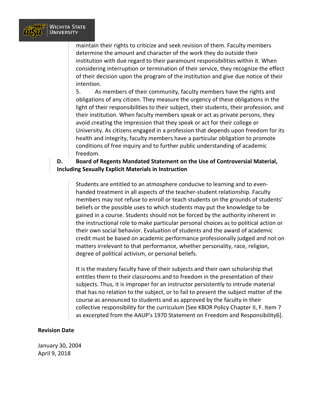

maintain their rights to criticize and seek revision of them. Faculty members determine the amount and character of the work they do outside their institution with due regard to their paramount responsibilities within it. When considering interruption or termination of their service, they recognize the effect of their decision upon the program of the institution and give due notice of their intention.

5. As members of their community, faculty members have the rights and obligations of any citizen. They measure the urgency of these obligations in the light of their responsibilities to their subject, their students, their profession, and their institution. When faculty members speak or act as private persons, they avoid creating the impression that they speak or act for their college or University. As citizens engaged in a profession that depends upon freedom for its health and integrity, faculty members have a particular obligation to promote conditions of free inquiry and to further public understanding of academic freedom.

#### **D. Board of Regents Mandated Statement on the Use of Controversial Material, Including Sexually Explicit Materials in Instruction**

Students are entitled to an atmosphere conducive to learning and to evenhanded treatment in all aspects of the teacher-student relationship. Faculty members may not refuse to enroll or teach students on the grounds of students' beliefs or the possible uses to which students may put the knowledge to be gained in a course. Students should not be forced by the authority inherent in the instructional role to make particular personal choices as to political action or their own social behavior. Evaluation of students and the award of academic credit must be based on academic performance professionally judged and not on matters irrelevant to that performance, whether personality, race, religion, degree of political activism, or personal beliefs.

It is the mastery faculty have of their subjects and their own scholarship that entitles them to their classrooms and to freedom in the presentation of their subjects. Thus, it is improper for an instructor persistently to intrude material that has no relation to the subject, or to fail to present the subject matter of the course as announced to students and as approved by the faculty in their collective responsibility for the curriculum [See KBOR Policy Chapter II, F. Item 7 as excerpted from the AAUP's 1970 Statement on Freedom and Responsibility6].

#### **Revision Date**

January 30, 2004 April 9, 2018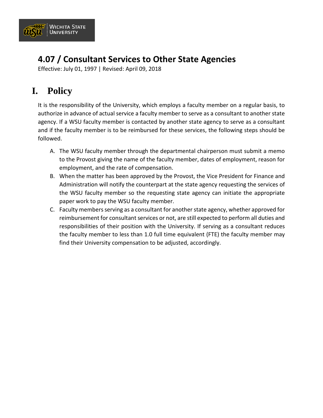

# **4.07 / Consultant Services to Other State Agencies**

Effective: July 01, 1997 | Revised: April 09, 2018

# **I. Policy**

It is the responsibility of the University, which employs a faculty member on a regular basis, to authorize in advance of actual service a faculty member to serve as a consultant to another state agency. If a WSU faculty member is contacted by another state agency to serve as a consultant and if the faculty member is to be reimbursed for these services, the following steps should be followed.

- A. The WSU faculty member through the departmental chairperson must submit a memo to the Provost giving the name of the faculty member, dates of employment, reason for employment, and the rate of compensation.
- B. When the matter has been approved by the Provost, the Vice President for Finance and Administration will notify the counterpart at the state agency requesting the services of the WSU faculty member so the requesting state agency can initiate the appropriate paper work to pay the WSU faculty member.
- C. Faculty members serving as a consultant for another state agency, whether approved for reimbursement for consultant services or not, are still expected to perform all duties and responsibilities of their position with the University. If serving as a consultant reduces the faculty member to less than 1.0 full time equivalent (FTE) the faculty member may find their University compensation to be adjusted, accordingly.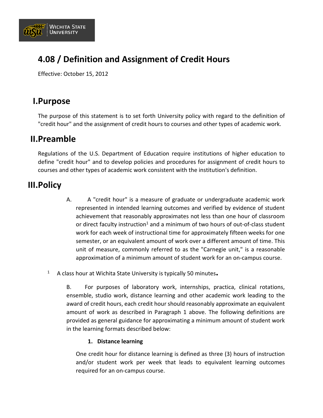

## **4.08 / Definition and Assignment of Credit Hours**

Effective: October 15, 2012

### **I.Purpose**

The purpose of this statement is to set forth University policy with regard to the definition of "credit hour" and the assignment of credit hours to courses and other types of academic work.

### **II.Preamble**

Regulations of the U.S. Department of Education require institutions of higher education to define "credit hour" and to develop policies and procedures for assignment of credit hours to courses and other types of academic work consistent with the institution's definition.

### **III.Policy**

- A. A "credit hour" is a measure of graduate or undergraduate academic work represented in intended learning outcomes and verified by evidence of student achievement that reasonably approximates not less than one hour of classroom or direct faculty instruction<sup>1</sup> and a minimum of two hours of out-of-class student work for each week of instructional time for approximately fifteen weeks for one semester, or an equivalent amount of work over a different amount of time. This unit of measure, commonly referred to as the "Carnegie unit," is a reasonable approximation of a minimum amount of student work for an on-campus course.
- <sup>1</sup> A class hour at Wichita State University is typically 50 minutes**.**

B. For purposes of laboratory work, internships, practica, clinical rotations, ensemble, studio work, distance learning and other academic work leading to the award of credit hours, each credit hour should reasonably approximate an equivalent amount of work as described in Paragraph 1 above. The following definitions are provided as general guidance for approximating a minimum amount of student work in the learning formats described below:

#### **1. Distance learning**

One credit hour for distance learning is defined as three (3) hours of instruction and/or student work per week that leads to equivalent learning outcomes required for an on-campus course.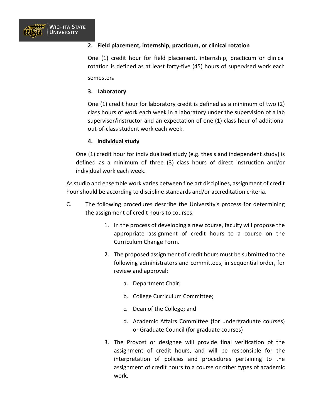

#### **2. Field placement, internship, practicum, or clinical rotation**

One (1) credit hour for field placement, internship, practicum or clinical rotation is defined as at least forty-five (45) hours of supervised work each semester**.** 

#### **3. Laboratory**

One (1) credit hour for laboratory credit is defined as a minimum of two (2) class hours of work each week in a laboratory under the supervision of a lab supervisor/instructor and an expectation of one (1) class hour of additional out-of-class student work each week.

#### **4. Individual study**

One (1) credit hour for individualized study (e.g. thesis and independent study) is defined as a minimum of three (3) class hours of direct instruction and/or individual work each week.

As studio and ensemble work varies between fine art disciplines, assignment of credit hour should be according to discipline standards and/or accreditation criteria.

- C. The following procedures describe the University's process for determining the assignment of credit hours to courses:
	- 1. In the process of developing a new course, faculty will propose the appropriate assignment of credit hours to a course on the Curriculum Change Form.
	- 2. The proposed assignment of credit hours must be submitted to the following administrators and committees, in sequential order, for review and approval:
		- a. Department Chair;
		- b. College Curriculum Committee;
		- c. Dean of the College; and
		- d. Academic Affairs Committee (for undergraduate courses) or Graduate Council (for graduate courses)
	- 3. The Provost or designee will provide final verification of the assignment of credit hours, and will be responsible for the interpretation of policies and procedures pertaining to the assignment of credit hours to a course or other types of academic work.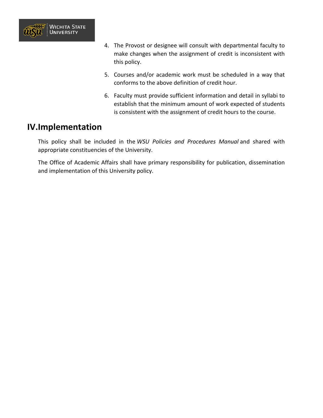

- 4. The Provost or designee will consult with departmental faculty to make changes when the assignment of credit is inconsistent with this policy.
- 5. Courses and/or academic work must be scheduled in a way that conforms to the above definition of credit hour.
- 6. Faculty must provide sufficient information and detail in syllabi to establish that the minimum amount of work expected of students is consistent with the assignment of credit hours to the course.

### **IV.Implementation**

This policy shall be included in the *WSU Policies and Procedures Manual* and shared with appropriate constituencies of the University.

The Office of Academic Affairs shall have primary responsibility for publication, dissemination and implementation of this University policy.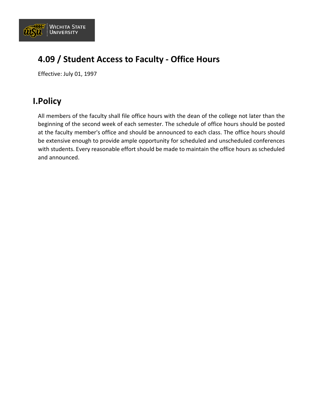

## **4.09 / Student Access to Faculty - Office Hours**

Effective: July 01, 1997

### **I.Policy**

All members of the faculty shall file office hours with the dean of the college not later than the beginning of the second week of each semester. The schedule of office hours should be posted at the faculty member's office and should be announced to each class. The office hours should be extensive enough to provide ample opportunity for scheduled and unscheduled conferences with students. Every reasonable effort should be made to maintain the office hours as scheduled and announced.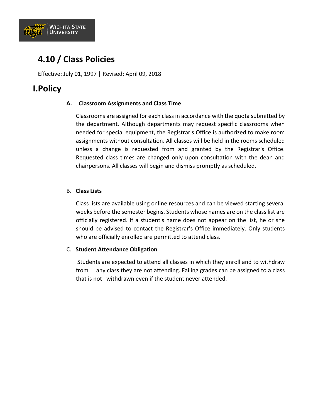

## **4.10 / Class Policies**

Effective: July 01, 1997 | Revised: April 09, 2018

### **I.Policy**

#### **A. Classroom Assignments and Class Time**

Classrooms are assigned for each class in accordance with the quota submitted by the department. Although departments may request specific classrooms when needed for special equipment, the Registrar's Office is authorized to make room assignments without consultation. All classes will be held in the rooms scheduled unless a change is requested from and granted by the Registrar's Office. Requested class times are changed only upon consultation with the dean and chairpersons. All classes will begin and dismiss promptly as scheduled.

#### B. **Class Lists**

Class lists are available using online resources and can be viewed starting several weeks before the semester begins. Students whose names are on the class list are officially registered. If a student's name does not appear on the list, he or she should be advised to contact the Registrar's Office immediately. Only students who are officially enrolled are permitted to attend class.

#### C. **Student Attendance Obligation**

Students are expected to attend all classes in which they enroll and to withdraw from any class they are not attending. Failing grades can be assigned to a class that is not withdrawn even if the student never attended.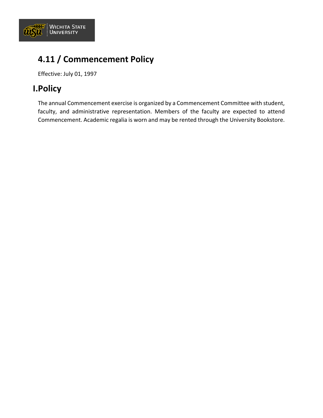

# **4.11 / Commencement Policy**

Effective: July 01, 1997

## **I.Policy**

The annual Commencement exercise is organized by a Commencement Committee with student, faculty, and administrative representation. Members of the faculty are expected to attend Commencement. Academic regalia is worn and may be rented through the University Bookstore.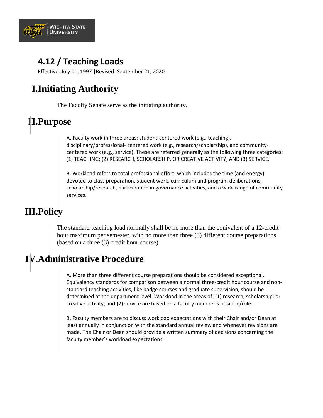

## **4.12 / Teaching Loads**

Effective: July 01, 1997 |Revised: September 21, 2020

# **I.Initiating Authority**

The Faculty Senate serve as the initiating authority.

# **II.Purpose**

A. Faculty work in three areas: student-centered work (e.g., teaching), disciplinary/professional- centered work (e.g., research/scholarship), and communitycentered work (e.g., service). These are referred generally as the following three categories: (1) TEACHING; (2) RESEARCH, SCHOLARSHIP, OR CREATIVE ACTIVITY; AND (3) SERVICE.

B. Workload refers to total professional effort, which includes the time (and energy) devoted to class preparation, student work, curriculum and program deliberations, scholarship/research, participation in governance activities, and a wide range of community services.

# **III.Policy**

The standard teaching load normally shall be no more than the equivalent of a 12-credit hour maximum per semester, with no more than three (3) different course preparations (based on a three (3) credit hour course).

# **IV.Administrative Procedure**

A. More than three different course preparations should be considered exceptional. Equivalency standards for comparison between a normal three-credit hour course and nonstandard teaching activities, like badge courses and graduate supervision, should be determined at the department level. Workload in the areas of: (1) research, scholarship, or creative activity, and (2) service are based on a faculty member's position/role.

B. Faculty members are to discuss workload expectations with their Chair and/or Dean at least annually in conjunction with the standard annual review and whenever revisions are made. The Chair or Dean should provide a written summary of decisions concerning the faculty member's workload expectations.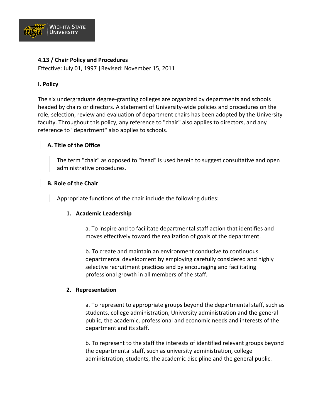

#### **4.13 / Chair Policy and Procedures**

Effective: July 01, 1997 |Revised: November 15, 2011

#### **I. Policy**

The six undergraduate degree-granting colleges are organized by departments and schools headed by chairs or directors. A statement of University-wide policies and procedures on the role, selection, review and evaluation of department chairs has been adopted by the University faculty. Throughout this policy, any reference to "chair" also applies to directors, and any reference to "department" also applies to schools.

#### **A. Title of the Office**

The term "chair" as opposed to "head" is used herein to suggest consultative and open administrative procedures.

#### **B. Role of the Chair**

Appropriate functions of the chair include the following duties:

#### **1. Academic Leadership**

a. To inspire and to facilitate departmental staff action that identifies and moves effectively toward the realization of goals of the department.

b. To create and maintain an environment conducive to continuous departmental development by employing carefully considered and highly selective recruitment practices and by encouraging and facilitating professional growth in all members of the staff.

#### **2. Representation**

a. To represent to appropriate groups beyond the departmental staff, such as students, college administration, University administration and the general public, the academic, professional and economic needs and interests of the department and its staff.

b. To represent to the staff the interests of identified relevant groups beyond the departmental staff, such as university administration, college administration, students, the academic discipline and the general public.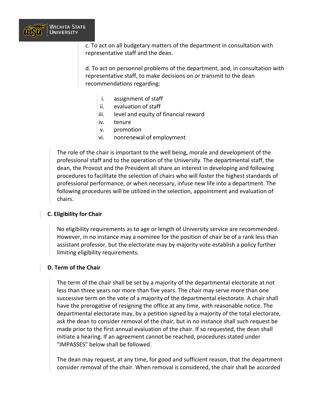

c. To act on all budgetary matters of the department in consultation with representative staff and the dean.

d. To act on personnel problems of the department, and, in consultation with representative staff, to make decisions on or transmit to the dean recommendations regarding:

- i. assignment of staff
- ii. evaluation of staff
- iii. level and equity of financial reward
- iv. tenure
- v. promotion
- vi. nonrenewal of employment

The role of the chair is important to the well being, morale and development of the professional staff and to the operation of the University. The departmental staff, the dean, the Provost and the President all share an interest in developing and following procedures to facilitate the selection of chairs who will foster the highest standards of professional performance, or when necessary, infuse new life into a department. The following procedures will be utilized in the selection, appointment and evaluation of chairs.

#### **C. Eligibility for Chair**

No eligibility requirements as to age or length of University service are recommended. However, in no instance may a nominee for the position of chair be of a rank less than assistant professor, but the electorate may by majority vote establish a policy further limiting eligibility requirements.

#### **D. Term of the Chair**

The term of the chair shall be set by a majority of the departmental electorate at not less than three years nor more than five years. The chair may serve more than one successive term on the vote of a majority of the departmental electorate. A chair shall have the prerogative of resigning the office at any time, with reasonable notice. The departmental electorate may, by a petition signed by a majority of the total electorate, ask the dean to consider removal of the chair, but in no instance shall such request be made prior to the first annual evaluation of the chair. If so requested, the dean shall initiate a hearing. If an agreement cannot be reached, procedures stated under "IMPASSES" below shall be followed.

The dean may request, at any time, for good and sufficient reason, that the department consider removal of the chair. When removal is considered, the chair shall be accorded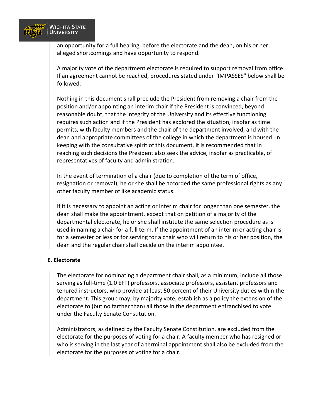

an opportunity for a full hearing, before the electorate and the dean, on his or her alleged shortcomings and have opportunity to respond.

A majority vote of the department electorate is required to support removal from office. If an agreement cannot be reached, procedures stated under "IMPASSES" below shall be followed.

Nothing in this document shall preclude the President from removing a chair from the position and/or appointing an interim chair if the President is convinced, beyond reasonable doubt, that the integrity of the University and its effective functioning requires such action and if the President has explored the situation, insofar as time permits, with faculty members and the chair of the department involved, and with the dean and appropriate committees of the college in which the department is housed. In keeping with the consultative spirit of this document, it is recommended that in reaching such decisions the President also seek the advice, insofar as practicable, of representatives of faculty and administration.

In the event of termination of a chair (due to completion of the term of office, resignation or removal), he or she shall be accorded the same professional rights as any other faculty member of like academic status.

If it is necessary to appoint an acting or interim chair for longer than one semester, the dean shall make the appointment, except that on petition of a majority of the departmental electorate, he or she shall institute the same selection procedure as is used in naming a chair for a full term. If the appointment of an interim or acting chair is for a semester or less or for serving for a chair who will return to his or her position, the dean and the regular chair shall decide on the interim appointee.

#### **E. Electorate**

The electorate for nominating a department chair shall, as a minimum, include all those serving as full-time (1.0 EFT) professors, associate professors, assistant professors and tenured instructors, who provide at least 50 percent of their University duties within the department. This group may, by majority vote, establish as a policy the extension of the electorate to (but no farther than) all those in the department enfranchised to vote under the Faculty Senate Constitution.

Administrators, as defined by the Faculty Senate Constitution, are excluded from the electorate for the purposes of voting for a chair. A faculty member who has resigned or who is serving in the last year of a terminal appointment shall also be excluded from the electorate for the purposes of voting for a chair.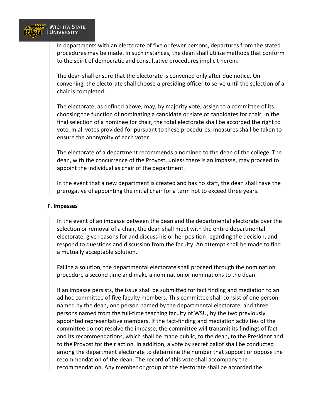

In departments with an electorate of five or fewer persons, departures from the stated procedures may be made. In such instances, the dean shall utilize methods that conform to the spirit of democratic and consultative procedures implicit herein.

The dean shall ensure that the electorate is convened only after due notice. On convening, the electorate shall choose a presiding officer to serve until the selection of a chair is completed.

The electorate, as defined above, may, by majority vote, assign to a committee of its choosing the function of nominating a candidate or slate of candidates for chair. In the final selection of a nominee for chair, the total electorate shall be accorded the right to vote. In all votes provided for pursuant to these procedures, measures shall be taken to ensure the anonymity of each voter.

The electorate of a department recommends a nominee to the dean of the college. The dean, with the concurrence of the Provost, unless there is an impasse, may proceed to appoint the individual as chair of the department.

In the event that a new department is created and has no staff, the dean shall have the prerogative of appointing the initial chair for a term not to exceed three years.

#### **F. Impasses**

In the event of an impasse between the dean and the departmental electorate over the selection or removal of a chair, the dean shall meet with the entire departmental electorate, give reasons for and discuss his or her position regarding the decision, and respond to questions and discussion from the faculty. An attempt shall be made to find a mutually acceptable solution.

Failing a solution, the departmental electorate shall proceed through the nomination procedure a second time and make a nomination or nominations to the dean.

If an impasse persists, the issue shall be submitted for fact finding and mediation to an ad hoc committee of five faculty members. This committee shall consist of one person named by the dean, one person named by the departmental electorate, and three persons named from the full-time teaching faculty of WSU, by the two previously appointed representative members. If the fact-finding and mediation activities of the committee do not resolve the impasse, the committee will transmit its findings of fact and its recommendations, which shall be made public, to the dean, to the President and to the Provost for their action. In addition, a vote by secret ballot shall be conducted among the department electorate to determine the number that support or oppose the recommendation of the dean. The record of this vote shall accompany the recommendation. Any member or group of the electorate shall be accorded the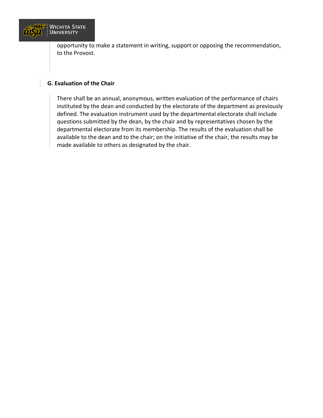

opportunity to make a statement in writing, support or opposing the recommendation, to the Provost.

#### **G. Evaluation of the Chair**

There shall be an annual, anonymous, written evaluation of the performance of chairs instituted by the dean and conducted by the electorate of the department as previously defined. The evaluation instrument used by the departmental electorate shall include questions submitted by the dean, by the chair and by representatives chosen by the departmental electorate from its membership. The results of the evaluation shall be available to the dean and to the chair; on the initiative of the chair, the results may be made available to others as designated by the chair.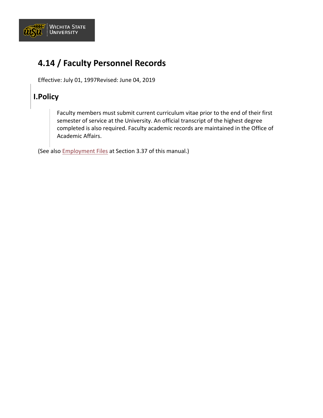

## **4.14 / Faculty Personnel Records**

Effective: July 01, 1997Revised: June 04, 2019

### **I.Policy**

Faculty members must submit current curriculum vitae prior to the end of their first semester of service at the University. An official transcript of the highest degree completed is also required. Faculty academic records are maintained in the Office of Academic Affairs.

(See also [Employment Files](https://www.wichita.edu/about/policy/ch_03/ch3_37.php) at Section 3.37 of this manual.)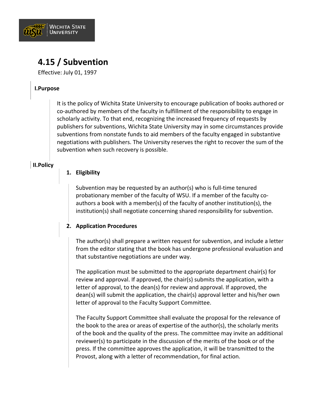

## **4.15 / Subvention**

Effective: July 01, 1997

#### **I.Purpose**

It is the policy of Wichita State University to encourage publication of books authored or co-authored by members of the faculty in fulfillment of the responsibility to engage in scholarly activity. To that end, recognizing the increased frequency of requests by publishers for subventions, Wichita State University may in some circumstances provide subventions from nonstate funds to aid members of the faculty engaged in substantive negotiations with publishers. The University reserves the right to recover the sum of the subvention when such recovery is possible.

#### **II.Policy**

#### **1. Eligibility**

Subvention may be requested by an author(s) who is full-time tenured probationary member of the faculty of WSU. If a member of the faculty coauthors a book with a member(s) of the faculty of another institution(s), the institution(s) shall negotiate concerning shared responsibility for subvention.

#### **2. Application Procedures**

The author(s) shall prepare a written request for subvention, and include a letter from the editor stating that the book has undergone professional evaluation and that substantive negotiations are under way.

The application must be submitted to the appropriate department chair(s) for review and approval. If approved, the chair(s) submits the application, with a letter of approval, to the dean(s) for review and approval. If approved, the dean(s) will submit the application, the chair(s) approval letter and his/her own letter of approval to the Faculty Support Committee.

The Faculty Support Committee shall evaluate the proposal for the relevance of the book to the area or areas of expertise of the author(s), the scholarly merits of the book and the quality of the press. The committee may invite an additional reviewer(s) to participate in the discussion of the merits of the book or of the press. If the committee approves the application, it will be transmitted to the Provost, along with a letter of recommendation, for final action.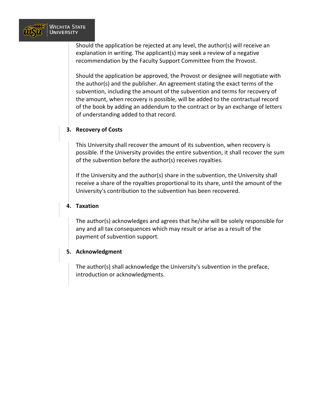

Should the application be rejected at any level, the author(s) will receive an explanation in writing. The applicant(s) may seek a review of a negative recommendation by the Faculty Support Committee from the Provost.

Should the application be approved, the Provost or designee will negotiate with the author(s) and the publisher. An agreement stating the exact terms of the subvention, including the amount of the subvention and terms for recovery of the amount, when recovery is possible, will be added to the contractual record of the book by adding an addendum to the contract or by an exchange of letters of understanding added to that record.

#### **3. Recovery of Costs**

This University shall recover the amount of its subvention, when recovery is possible. If the University provides the entire subvention, it shall recover the sum of the subvention before the author(s) receives royalties.

If the University and the author(s) share in the subvention, the University shall receive a share of the royalties proportional to its share, until the amount of the University's contribution to the subvention has been recovered.

#### **4. Taxation**

The author(s) acknowledges and agrees that he/she will be solely responsible for any and all tax consequences which may result or arise as a result of the payment of subvention support.

#### **5. Acknowledgment**

The author(s) shall acknowledge the University's subvention in the preface, introduction or acknowledgments.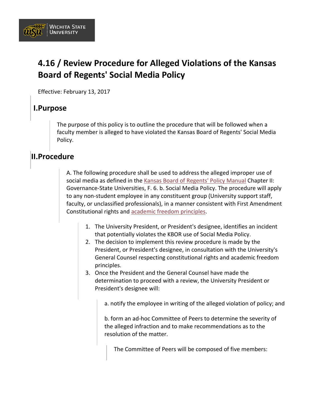

## **4.16 / Review Procedure for Alleged Violations of the Kansas Board of Regents' Social Media Policy**

Effective: February 13, 2017

### **I.Purpose**

The purpose of this policy is to outline the procedure that will be followed when a faculty member is alleged to have violated the Kansas Board of Regents' Social Media Policy.

### **II.Procedure**

A. The following procedure shall be used to address the alleged improper use of social media as defined in the [Kansas Board of Regents' Policy Manual](http://www.kansasregents.org/about/policies-by-laws-missions/board_policy_manual_2) Chapter II: Governance-State Universities, F. 6. b. Social Media Policy. The procedure will apply to any non-student employee in any constituent group (University support staff, faculty, or unclassified professionals), in a manner consistent with First Amendment Constitutional rights and [academic freedom principles.](https://www.aaup.org/report/1940-statement-principles-academic-freedom-and-tenure)

- 1. The University President, or President's designee, identifies an incident that potentially violates the KBOR use of Social Media Policy.
- 2. The decision to implement this review procedure is made by the President, or President's designee, in consultation with the University's General Counsel respecting constitutional rights and academic freedom principles.
- 3. Once the President and the General Counsel have made the determination to proceed with a review, the University President or President's designee will:

a. notify the employee in writing of the alleged violation of policy; and

b. form an ad-hoc Committee of Peers to determine the severity of the alleged infraction and to make recommendations as to the resolution of the matter.

The Committee of Peers will be composed of five members: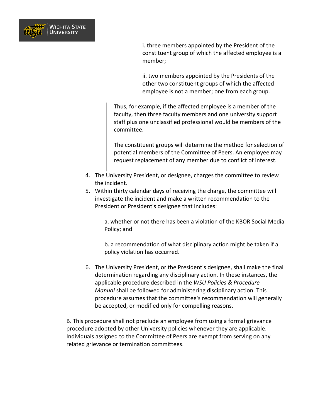

i. three members appointed by the President of the constituent group of which the affected employee is a member;

ii. two members appointed by the Presidents of the other two constituent groups of which the affected employee is not a member; one from each group.

Thus, for example, if the affected employee is a member of the faculty, then three faculty members and one university support staff plus one unclassified professional would be members of the committee.

The constituent groups will determine the method for selection of potential members of the Committee of Peers. An employee may request replacement of any member due to conflict of interest.

- 4. The University President, or designee, charges the committee to review the incident.
- 5. Within thirty calendar days of receiving the charge, the committee will investigate the incident and make a written recommendation to the President or President's designee that includes:

a. whether or not there has been a violation of the KBOR Social Media Policy; and

b. a recommendation of what disciplinary action might be taken if a policy violation has occurred.

6. The University President, or the President's designee, shall make the final determination regarding any disciplinary action. In these instances, the applicable procedure described in the *WSU Policies & Procedure Manual* shall be followed for administering disciplinary action. This procedure assumes that the committee's recommendation will generally be accepted, or modified only for compelling reasons.

B. This procedure shall not preclude an employee from using a formal grievance procedure adopted by other University policies whenever they are applicable. Individuals assigned to the Committee of Peers are exempt from serving on any related grievance or termination committees.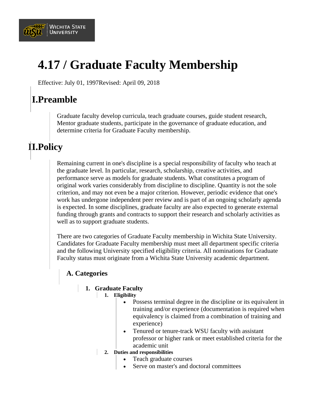

# **4.17 / Graduate Faculty Membership**

Effective: July 01, 1997Revised: April 09, 2018

## **I.Preamble**

Graduate faculty develop curricula, teach graduate courses, guide student research, Mentor graduate students, participate in the governance of graduate education, and determine criteria for Graduate Faculty membership.

## **II.Policy**

Remaining current in one's discipline is a special responsibility of faculty who teach at the graduate level. In particular, research, scholarship, creative activities, and performance serve as models for graduate students. What constitutes a program of original work varies considerably from discipline to discipline. Quantity is not the sole criterion, and may not even be a major criterion. However, periodic evidence that one's work has undergone independent peer review and is part of an ongoing scholarly agenda is expected. In some disciplines, graduate faculty are also expected to generate external funding through grants and contracts to support their research and scholarly activities as well as to support graduate students.

There are two categories of Graduate Faculty membership in Wichita State University. Candidates for Graduate Faculty membership must meet all department specific criteria and the following University specified eligibility criteria. All nominations for Graduate Faculty status must originate from a Wichita State University academic department.

### **A. Categories**

#### **1. Graduate Faculty**

- **1. Eligibility**
	- Possess terminal degree in the discipline or its equivalent in training and/or experience (documentation is required when equivalency is claimed from a combination of training and experience)
	- Tenured or tenure-track WSU faculty with assistant professor or higher rank or meet established criteria for the academic unit
	- **2. Duties and responsibilities**
		- Teach graduate courses
		- Serve on master's and doctoral committees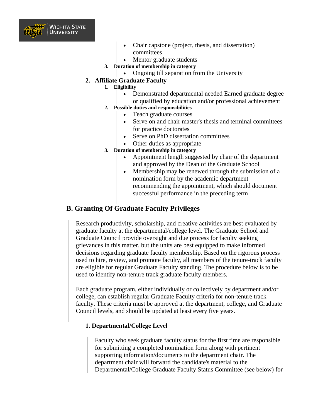

- Chair capstone (project, thesis, and dissertation) committees
- Mentor graduate students
- **3. Duration of membership in category**
	- Ongoing till separation from the University

#### **2. Affiliate Graduate Faculty**

- **1. Eligibility**
	- Demonstrated departmental needed Earned graduate degree or qualified by education and/or professional achievement
	- **2. Possible duties and responsibilities**
		- Teach graduate courses
		- Serve on and chair master's thesis and terminal committees for practice doctorates
		- Serve on PhD dissertation committees
		- Other duties as appropriate
- **3. Duration of membership in category**
	- Appointment length suggested by chair of the department and approved by the Dean of the Graduate School
	- Membership may be renewed through the submission of a nomination form by the academic department recommending the appointment, which should document successful performance in the preceding term

### **B. Granting Of Graduate Faculty Privileges**

Research productivity, scholarship, and creative activities are best evaluated by graduate faculty at the departmental/college level. The Graduate School and Graduate Council provide oversight and due process for faculty seeking grievances in this matter, but the units are best equipped to make informed decisions regarding graduate faculty membership. Based on the rigorous process used to hire, review, and promote faculty, all members of the tenure-track faculty are eligible for regular Graduate Faculty standing. The procedure below is to be used to identify non-tenure track graduate faculty members.

Each graduate program, either individually or collectively by department and/or college, can establish regular Graduate Faculty criteria for non-tenure track faculty. These criteria must be approved at the department, college, and Graduate Council levels, and should be updated at least every five years.

#### **1. Departmental/College Level**

Faculty who seek graduate faculty status for the first time are responsible for submitting a completed nomination form along with pertinent supporting information/documents to the department chair. The department chair will forward the candidate's material to the Departmental/College Graduate Faculty Status Committee (see below) for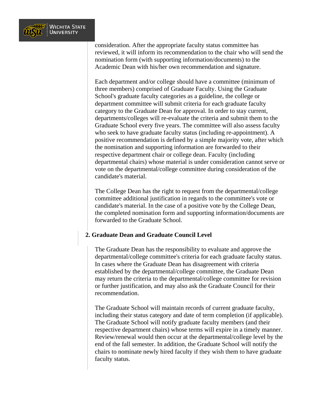

consideration. After the appropriate faculty status committee has reviewed, it will inform its recommendation to the chair who will send the nomination form (with supporting information/documents) to the Academic Dean with his/her own recommendation and signature.

Each department and/or college should have a committee (minimum of three members) comprised of Graduate Faculty. Using the Graduate School's graduate faculty categories as a guideline, the college or department committee will submit criteria for each graduate faculty category to the Graduate Dean for approval. In order to stay current, departments/colleges will re-evaluate the criteria and submit them to the Graduate School every five years. The committee will also assess faculty who seek to have graduate faculty status (including re-appointment). A positive recommendation is defined by a simple majority vote, after which the nomination and supporting information are forwarded to their respective department chair or college dean. Faculty (including departmental chairs) whose material is under consideration cannot serve or vote on the departmental/college committee during consideration of the candidate's material.

The College Dean has the right to request from the departmental/college committee additional justification in regards to the committee's vote or candidate's material. In the case of a positive vote by the College Dean, the completed nomination form and supporting information/documents are forwarded to the Graduate School.

#### **2. Graduate Dean and Graduate Council Level**

The Graduate Dean has the responsibility to evaluate and approve the departmental/college committee's criteria for each graduate faculty status. In cases where the Graduate Dean has disagreement with criteria established by the departmental/college committee, the Graduate Dean may return the criteria to the departmental/college committee for revision or further justification, and may also ask the Graduate Council for their recommendation.

The Graduate School will maintain records of current graduate faculty, including their status category and date of term completion (if applicable). The Graduate School will notify graduate faculty members (and their respective department chairs) whose terms will expire in a timely manner. Review/renewal would then occur at the departmental/college level by the end of the fall semester. In addition, the Graduate School will notify the chairs to nominate newly hired faculty if they wish them to have graduate faculty status.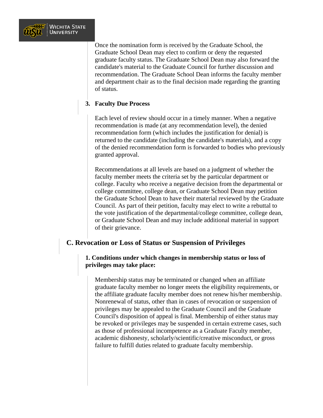

Once the nomination form is received by the Graduate School, the Graduate School Dean may elect to confirm or deny the requested graduate faculty status. The Graduate School Dean may also forward the candidate's material to the Graduate Council for further discussion and recommendation. The Graduate School Dean informs the faculty member and department chair as to the final decision made regarding the granting of status.

#### **3. Faculty Due Process**

Each level of review should occur in a timely manner. When a negative recommendation is made (at any recommendation level), the denied recommendation form (which includes the justification for denial) is returned to the candidate (including the candidate's materials), and a copy of the denied recommendation form is forwarded to bodies who previously granted approval.

Recommendations at all levels are based on a judgment of whether the faculty member meets the criteria set by the particular department or college. Faculty who receive a negative decision from the departmental or college committee, college dean, or Graduate School Dean may petition the Graduate School Dean to have their material reviewed by the Graduate Council. As part of their petition, faculty may elect to write a rebuttal to the vote justification of the departmental/college committee, college dean, or Graduate School Dean and may include additional material in support of their grievance.

#### **C. Revocation or Loss of Status or Suspension of Privileges**

#### **1. Conditions under which changes in membership status or loss of privileges may take place:**

Membership status may be terminated or changed when an affiliate graduate faculty member no longer meets the eligibility requirements, or the affiliate graduate faculty member does not renew his/her membership. Nonrenewal of status, other than in cases of revocation or suspension of privileges may be appealed to the Graduate Council and the Graduate Council's disposition of appeal is final. Membership of either status may be revoked or privileges may be suspended in certain extreme cases, such as those of professional incompetence as a Graduate Faculty member, academic dishonesty, scholarly/scientific/creative misconduct, or gross failure to fulfill duties related to graduate faculty membership.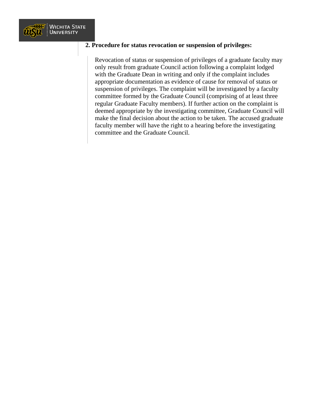

#### **2. Procedure for status revocation or suspension of privileges:**

Revocation of status or suspension of privileges of a graduate faculty may only result from graduate Council action following a complaint lodged with the Graduate Dean in writing and only if the complaint includes appropriate documentation as evidence of cause for removal of status or suspension of privileges. The complaint will be investigated by a faculty committee formed by the Graduate Council (comprising of at least three regular Graduate Faculty members). If further action on the complaint is deemed appropriate by the investigating committee, Graduate Council will make the final decision about the action to be taken. The accused graduate faculty member will have the right to a hearing before the investigating committee and the Graduate Council.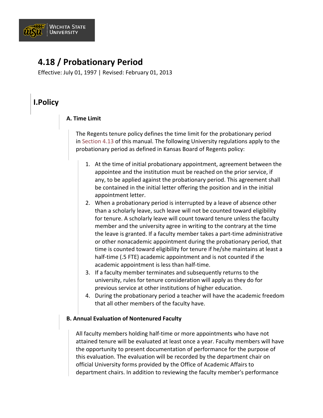

## **4.18 / Probationary Period**

Effective: July 01, 1997 | Revised: February 01, 2013

### **I.Policy**

#### **A. Time Limit**

The Regents tenure policy defines the time limit for the probationary period in [Section 4.13](https://www.wichita.edu/about/policy/ch_04/ch4_13.php) of this manual. The following University regulations apply to the probationary period as defined in Kansas Board of Regents policy:

- 1. At the time of initial probationary appointment, agreement between the appointee and the institution must be reached on the prior service, if any, to be applied against the probationary period. This agreement shall be contained in the initial letter offering the position and in the initial appointment letter.
- 2. When a probationary period is interrupted by a leave of absence other than a scholarly leave, such leave will not be counted toward eligibility for tenure. A scholarly leave will count toward tenure unless the faculty member and the university agree in writing to the contrary at the time the leave is granted. If a faculty member takes a part-time administrative or other nonacademic appointment during the probationary period, that time is counted toward eligibility for tenure if he/she maintains at least a half-time (.5 FTE) academic appointment and is not counted if the academic appointment is less than half-time.
- 3. If a faculty member terminates and subsequently returns to the university, rules for tenure consideration will apply as they do for previous service at other institutions of higher education.
- 4. During the probationary period a teacher will have the academic freedom that all other members of the faculty have.

#### **B. Annual Evaluation of Nontenured Faculty**

All faculty members holding half-time or more appointments who have not attained tenure will be evaluated at least once a year. Faculty members will have the opportunity to present documentation of performance for the purpose of this evaluation. The evaluation will be recorded by the department chair on official University forms provided by the Office of Academic Affairs to department chairs. In addition to reviewing the faculty member's performance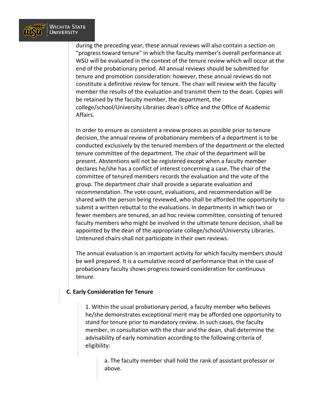

during the preceding year, these annual reviews will also contain a section on "progress toward tenure" in which the faculty member's overall performance at WSU will be evaluated in the context of the tenure review which will occur at the end of the probationary period. All annual reviews should be submitted for tenure and promotion consideration: however, these annual reviews do not constitute a definitive review for tenure. The chair will review with the faculty member the results of the evaluation and transmit them to the dean. Copies will be retained by the faculty member, the department, the college/school/University Libraries dean's office and the Office of Academic Affairs.

In order to ensure as consistent a review process as possible prior to tenure decision, the annual review of probationary members of a department is to be conducted exclusively by the tenured members of the department or the elected tenure committee of the department. The chair of the department will be present. Abstentions will not be registered except when a faculty member declares he/she has a conflict of interest concerning a case. The chair of the committee of tenured members records the evaluation and the vote of the group. The department chair shall provide a separate evaluation and recommendation. The vote count, evaluations, and recommendation will be shared with the person being reviewed, who shall be afforded the opportunity to submit a written rebuttal to the evaluations. In departments in which two or fewer members are tenured, an ad hoc review committee, consisting of tenured faculty members who might be involved in the ultimate tenure decision, shall be appointed by the dean of the appropriate college/school/University Libraries. Untenured chairs shall not participate in their own reviews.

The annual evaluation is an important activity for which faculty members should be well prepared. It is a cumulative record of performance that in the case of probationary faculty shows progress toward consideration for continuous tenure.

#### **C. Early Consideration for Tenure**

1. Within the usual probationary period, a faculty member who believes he/she demonstrates exceptional merit may be afforded one opportunity to stand for tenure prior to mandatory review. In such cases, the faculty member, in consultation with the chair and the dean, shall determine the advisability of early nomination according to the following criteria of eligibility:

a. The faculty member shall hold the rank of assistant professor or above.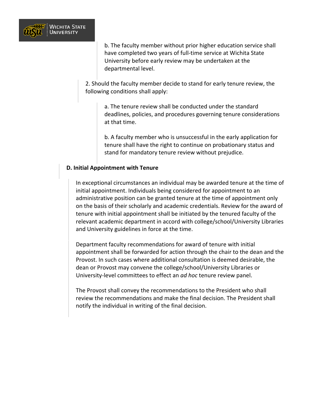

b. The faculty member without prior higher education service shall have completed two years of full-time service at Wichita State University before early review may be undertaken at the departmental level.

2. Should the faculty member decide to stand for early tenure review, the following conditions shall apply:

> a. The tenure review shall be conducted under the standard deadlines, policies, and procedures governing tenure considerations at that time.

> b. A faculty member who is unsuccessful in the early application for tenure shall have the right to continue on probationary status and stand for mandatory tenure review without prejudice.

#### **D. Initial Appointment with Tenure**

In exceptional circumstances an individual may be awarded tenure at the time of initial appointment. Individuals being considered for appointment to an administrative position can be granted tenure at the time of appointment only on the basis of their scholarly and academic credentials. Review for the award of tenure with initial appointment shall be initiated by the tenured faculty of the relevant academic department in accord with college/school/University Libraries and University guidelines in force at the time.

Department faculty recommendations for award of tenure with initial appointment shall be forwarded for action through the chair to the dean and the Provost. In such cases where additional consultation is deemed desirable, the dean or Provost may convene the college/school/University Libraries or University-level committees to effect an *ad hoc* tenure review panel.

The Provost shall convey the recommendations to the President who shall review the recommendations and make the final decision. The President shall notify the individual in writing of the final decision.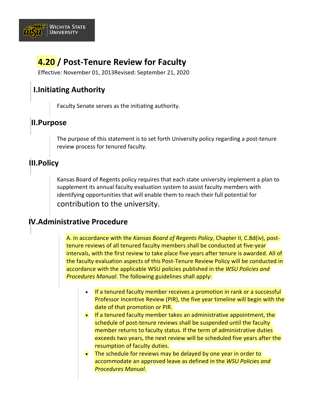

## **4.20 / Post-Tenure Review for Faculty**

Effective: November 01, 2013Revised: September 21, 2020

### **I.Initiating Authority**

Faculty Senate serves as the initiating authority.

### **II.Purpose**

The purpose of this statement is to set forth University policy regarding a post-tenure review process for tenured faculty.

### **III.Policy**

Kansas Board of Regents policy requires that each state university implement a plan to supplement its annual faculty evaluation system to assist faculty members with identifying opportunities that will enable them to reach their full potential for contribution to the university.

### **IV.Administrative Procedure**

A. In accordance with the *Kansas Board of Regents Policy*, Chapter II, C.8d(iv), posttenure reviews of all tenured faculty members shall be conducted at five-year intervals, with the first review to take place five years after tenure is awarded. All of the faculty evaluation aspects of this Post-Tenure Review Policy will be conducted in accordance with the applicable WSU policies published in the *WSU Policies and Procedures Manual*. The following guidelines shall apply:

- If a tenured faculty member receives a promotion in rank or a successful Professor Incentive Review (PIR), the five year timeline will begin with the date of that promotion or PIR.
- If a tenured faculty member takes an administrative appointment, the schedule of post-tenure reviews shall be suspended until the faculty member returns to faculty status. If the term of administrative duties exceeds two years, the next review will be scheduled five years after the resumption of faculty duties.
- The schedule for reviews may be delayed by one year in order to accommodate an approved leave as defined in the *WSU Policies and Procedures Manual*.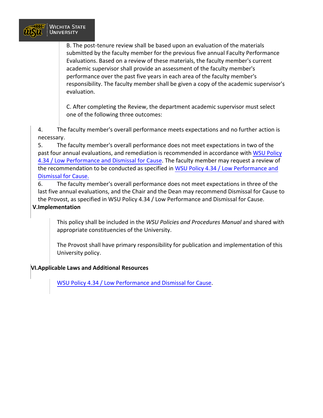

B. The post-tenure review shall be based upon an evaluation of the materials submitted by the faculty member for the previous five annual Faculty Performance Evaluations. Based on a review of these materials, the faculty member's current academic supervisor shall provide an assessment of the faculty member's performance over the past five years in each area of the faculty member's responsibility. The faculty member shall be given a copy of the academic supervisor's evaluation.

C. After completing the Review, the department academic supervisor must select one of the following three outcomes:

4. The faculty member's overall performance meets expectations and no further action is necessary.

5. The faculty member's overall performance does not meet expectations in two of the past four annual evaluations, and remediation is recommended in accordance with [WSU Policy](https://www.wichita.edu/about/policy/ch_04/ch4_34.php) [4.34 / Low Performance](https://www.wichita.edu/about/policy/ch_04/ch4_34.php) and Dismissal for Cause. The faculty member may request a review of the recommendation to be conducted as specified in WSU Policy [4.34 / Low Performance and](https://www.wichita.edu/about/policy/ch_04/ch4_34.php) [Dismissal for Cause.](https://www.wichita.edu/about/policy/ch_04/ch4_34.php)

6. The faculty member's overall performance does not meet expectations in three of the last five annual evaluations, and the Chair and the Dean may recommend Dismissal for Cause to the Provost, as specified in WSU Policy 4.34 / Low Performance and Dismissal for Cause.

#### **V.Implementation**

This policy shall be included in the *WSU Policies and Procedures Manual* and shared with appropriate constituencies of the University.

The Provost shall have primary responsibility for publication and implementation of this University policy.

#### **VI.Applicable Laws and Additional Resources**

[WSU Policy 4.34 / Low Performance](https://www.wichita.edu/about/policy/ch_04/ch4_34.php) and Dismissal for Cause.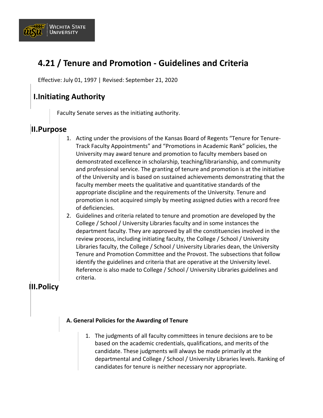

## **4.21 / Tenure and Promotion - Guidelines and Criteria**

Effective: July 01, 1997 | Revised: September 21, 2020

### **I.Initiating Authority**

Faculty Senate serves as the initiating authority.

### **II.Purpose**

- 1. Acting under the provisions of the Kansas Board of Regents "Tenure for Tenure-Track Faculty Appointments" and "Promotions in Academic Rank" policies, the University may award tenure and promotion to faculty members based on demonstrated excellence in scholarship, teaching/librarianship, and community and professional service. The granting of tenure and promotion is at the initiative of the University and is based on sustained achievements demonstrating that the faculty member meets the qualitative and quantitative standards of the appropriate discipline and the requirements of the University. Tenure and promotion is not acquired simply by meeting assigned duties with a record free of deficiencies.
- 2. Guidelines and criteria related to tenure and promotion are developed by the College / School / University Libraries faculty and in some instances the department faculty. They are approved by all the constituencies involved in the review process, including initiating faculty, the College / School / University Libraries faculty, the College / School / University Libraries dean, the University Tenure and Promotion Committee and the Provost. The subsections that follow identify the guidelines and criteria that are operative at the University level. Reference is also made to College / School / University Libraries guidelines and criteria.

### **III.Policy**

#### **A. General Policies for the Awarding of Tenure**

1. The judgments of all faculty committees in tenure decisions are to be based on the academic credentials, qualifications, and merits of the candidate. These judgments will always be made primarily at the departmental and College / School / University Libraries levels. Ranking of candidates for tenure is neither necessary nor appropriate.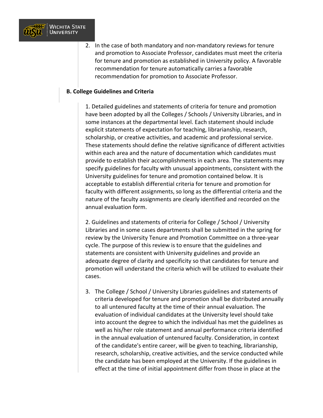

2. In the case of both mandatory and non-mandatory reviews for tenure and promotion to Associate Professor, candidates must meet the criteria for tenure and promotion as established in University policy. A favorable recommendation for tenure automatically carries a favorable recommendation for promotion to Associate Professor.

#### **B. College Guidelines and Criteria**

1. Detailed guidelines and statements of criteria for tenure and promotion have been adopted by all the Colleges / Schools / University Libraries, and in some instances at the departmental level. Each statement should include explicit statements of expectation for teaching, librarianship, research, scholarship, or creative activities, and academic and professional service. These statements should define the relative significance of different activities within each area and the nature of documentation which candidates must provide to establish their accomplishments in each area. The statements may specify guidelines for faculty with unusual appointments, consistent with the University guidelines for tenure and promotion contained below. It is acceptable to establish differential criteria for tenure and promotion for faculty with different assignments, so long as the differential criteria and the nature of the faculty assignments are clearly identified and recorded on the annual evaluation form.

2. Guidelines and statements of criteria for College / School / University Libraries and in some cases departments shall be submitted in the spring for review by the University Tenure and Promotion Committee on a three-year cycle. The purpose of this review is to ensure that the guidelines and statements are consistent with University guidelines and provide an adequate degree of clarity and specificity so that candidates for tenure and promotion will understand the criteria which will be utilized to evaluate their cases.

3. The College / School / University Libraries guidelines and statements of criteria developed for tenure and promotion shall be distributed annually to all untenured faculty at the time of their annual evaluation. The evaluation of individual candidates at the University level should take into account the degree to which the individual has met the guidelines as well as his/her role statement and annual performance criteria identified in the annual evaluation of untenured faculty. Consideration, in context of the candidate's entire career, will be given to teaching, librarianship, research, scholarship, creative activities, and the service conducted while the candidate has been employed at the University. If the guidelines in effect at the time of initial appointment differ from those in place at the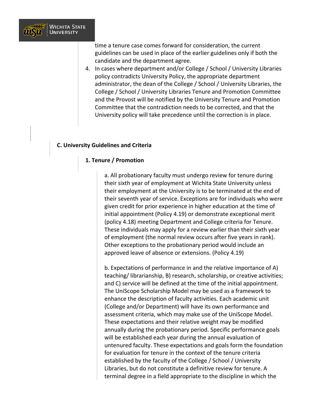

time a tenure case comes forward for consideration, the current guidelines can be used in place of the earlier guidelines only if both the candidate and the department agree.

4. In cases where department and/or College / School / University Libraries policy contradicts University Policy, the appropriate department administrator, the dean of the College / School / University Libraries, the College / School / University Libraries Tenure and Promotion Committee and the Provost will be notified by the University Tenure and Promotion Committee that the contradiction needs to be corrected, and that the University policy will take precedence until the correction is in place.

#### **C. University Guidelines and Criteria**

#### **1. Tenure / Promotion**

a. All probationary faculty must undergo review for tenure during their sixth year of employment at Wichita State University unless their employment at the University is to be terminated at the end of their seventh year of service. Exceptions are for individuals who were given credit for prior experience in higher education at the time of initial appointment (Policy 4.19) or demonstrate exceptional merit (policy 4.18) meeting Department and College criteria for Tenure. These individuals may apply for a review earlier than their sixth year of employment (the normal review occurs after five years in rank). Other exceptions to the probationary period would include an approved leave of absence or extensions. (Policy 4.19)

b. Expectations of performance in and the relative importance of A) teaching/ librarianship, B) research, scholarship, or creative activities; and C) service will be defined at the time of the initial appointment. The UniScope Scholarship Model may be used as a framework to enhance the description of faculty activities. Each academic unit (College and/or Department) will have its own performance and assessment criteria, which may make use of the UniScope Model. These expectations and their relative weight may be modified annually during the probationary period. Specific performance goals will be established each year during the annual evaluation of untenured faculty. These expectations and goals form the foundation for evaluation for tenure in the context of the tenure criteria established by the faculty of the College / School / University Libraries, but do not constitute a definitive review for tenure. A terminal degree in a field appropriate to the discipline in which the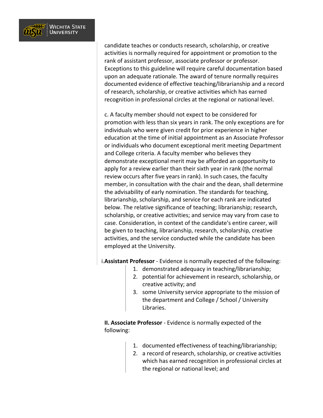

candidate teaches or conducts research, scholarship, or creative activities is normally required for appointment or promotion to the rank of assistant professor, associate professor or professor. Exceptions to this guideline will require careful documentation based upon an adequate rationale. The award of tenure normally requires documented evidence of effective teaching/librarianship and a record of research, scholarship, or creative activities which has earned recognition in professional circles at the regional or national level.

c. A faculty member should not expect to be considered for promotion with less than six years in rank. The only exceptions are for individuals who were given credit for prior experience in higher education at the time of initial appointment as an Associate Professor or individuals who document exceptional merit meeting Department and College criteria. A faculty member who believes they demonstrate exceptional merit may be afforded an opportunity to apply for a review earlier than their sixth year in rank (the normal review occurs after five years in rank). In such cases, the faculty member, in consultation with the chair and the dean, shall determine the advisability of early nomination. The standards for teaching, librarianship, scholarship, and service for each rank are indicated below. The relative significance of teaching; librarianship; research, scholarship, or creative activities; and service may vary from case to case. Consideration, in context of the candidate's entire career, will be given to teaching, librarianship, research, scholarship, creative activities, and the service conducted while the candidate has been employed at the University.

i.**Assistant Professor** - Evidence is normally expected of the following:

- 1. demonstrated adequacy in teaching/librarianship;
- 2. potential for achievement in research, scholarship, or creative activity; and
- 3. some University service appropriate to the mission of the department and College / School / University Libraries.

**II. Associate Professor** - Evidence is normally expected of the following:

- 1. documented effectiveness of teaching/librarianship;
- 2. a record of research, scholarship, or creative activities which has earned recognition in professional circles at the regional or national level; and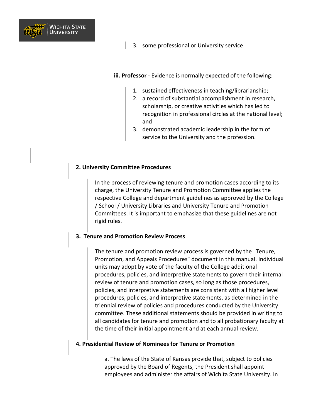

3. some professional or University service.

**iii. Professor** - Evidence is normally expected of the following:

- 1. sustained effectiveness in teaching/librarianship;
- 2. a record of substantial accomplishment in research, scholarship, or creative activities which has led to recognition in professional circles at the national level; and
- 3. demonstrated academic leadership in the form of service to the University and the profession.

#### **2. University Committee Procedures**

In the process of reviewing tenure and promotion cases according to its charge, the University Tenure and Promotion Committee applies the respective College and department guidelines as approved by the College / School / University Libraries and University Tenure and Promotion Committees. It is important to emphasize that these guidelines are not rigid rules.

#### **3. Tenure and Promotion Review Process**

The tenure and promotion review process is governed by the "Tenure, Promotion, and Appeals Procedures" document in this manual. Individual units may adopt by vote of the faculty of the College additional procedures, policies, and interpretive statements to govern their internal review of tenure and promotion cases, so long as those procedures, policies, and interpretive statements are consistent with all higher level procedures, policies, and interpretive statements, as determined in the triennial review of policies and procedures conducted by the University committee. These additional statements should be provided in writing to all candidates for tenure and promotion and to all probationary faculty at the time of their initial appointment and at each annual review.

#### **4. Presidential Review of Nominees for Tenure or Promotion**

a. The laws of the State of Kansas provide that, subject to policies approved by the Board of Regents, the President shall appoint employees and administer the affairs of Wichita State University. In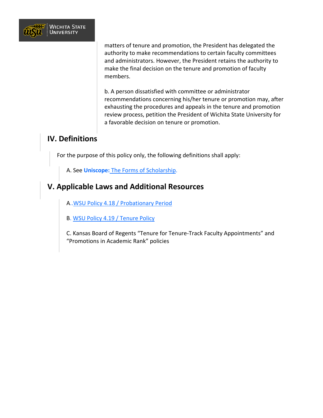

matters of tenure and promotion, the President has delegated the authority to make recommendations to certain faculty committees and administrators. However, the President retains the authority to make the final decision on the tenure and promotion of faculty members.

b. A person dissatisfied with committee or administrator recommendations concerning his/her tenure or promotion may, after exhausting the procedures and appeals in the tenure and promotion review process, petition the President of Wichita State University for a favorable decision on tenure or promotion.

### **IV. Definitions**

For the purpose of this policy only, the following definitions shall apply:

A. See **Uniscope:** [The Forms of Scholarship.](https://www.wichita.edu/academics/facultysenate/documents/Uniscope_Model.pdf)

### **V. Applicable Laws and Additional Resources**

A.[.WSU Policy 4.18 / Probationary Period](https://www.wichita.edu/about/policy/ch_04/ch4_18.php)

B. [WSU Policy 4.19 / Tenure Policy](https://www.wichita.edu/about/policy/ch_04/ch4_19.php)

C. Kansas Board of Regents "Tenure for Tenure-Track Faculty Appointments" and "Promotions in Academic Rank" policies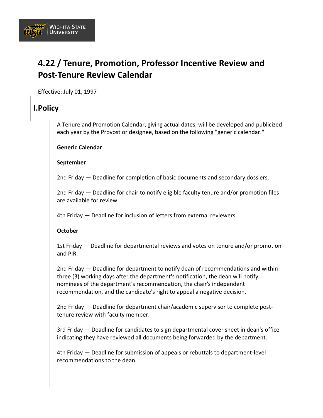

## **4.22 / Tenure, Promotion, Professor Incentive Review and Post-Tenure Review Calendar**

Effective: July 01, 1997

### **I.Policy**

A Tenure and Promotion Calendar, giving actual dates, will be developed and publicized each year by the Provost or designee, based on the following "generic calendar."

#### **Generic Calendar**

#### **September**

2nd Friday — Deadline for completion of basic documents and secondary dossiers.

2nd Friday — Deadline for chair to notify eligible faculty tenure and/or promotion files are available for review.

4th Friday — Deadline for inclusion of letters from external reviewers.

#### **October**

1st Friday — Deadline for departmental reviews and votes on tenure and/or promotion and PIR.

2nd Friday — Deadline for department to notify dean of recommendations and within three (3) working days after the department's notification, the dean will notify nominees of the department's recommendation, the chair's independent recommendation, and the candidate's right to appeal a negative decision.

2nd Friday — Deadline for department chair/academic supervisor to complete posttenure review with faculty member.

3rd Friday — Deadline for candidates to sign departmental cover sheet in dean's office indicating they have reviewed all documents being forwarded by the department.

4th Friday — Deadline for submission of appeals or rebuttals to department-level recommendations to the dean.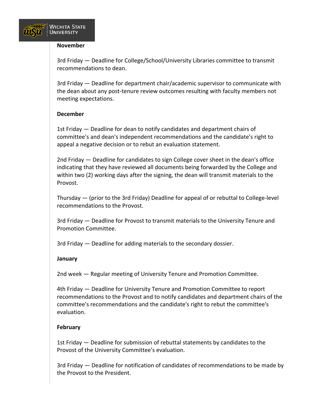

#### **November**

3rd Friday — Deadline for College/School/University Libraries committee to transmit recommendations to dean.

3rd Friday — Deadline for department chair/academic supervisor to communicate with the dean about any post-tenure review outcomes resulting with faculty members not meeting expectations.

#### **December**

1st Friday — Deadline for dean to notify candidates and department chairs of committee's and dean's independent recommendations and the candidate's right to appeal a negative decision or to rebut an evaluation statement.

2nd Friday — Deadline for candidates to sign College cover sheet in the dean's office indicating that they have reviewed all documents being forwarded by the College and within two (2) working days after the signing, the dean will transmit materials to the Provost.

Thursday — (prior to the 3rd Friday) Deadline for appeal of or rebuttal to College-level recommendations to the Provost.

3rd Friday — Deadline for Provost to transmit materials to the University Tenure and Promotion Committee.

3rd Friday — Deadline for adding materials to the secondary dossier.

#### **January**

2nd week — Regular meeting of University Tenure and Promotion Committee.

4th Friday — Deadline for University Tenure and Promotion Committee to report recommendations to the Provost and to notify candidates and department chairs of the committee's recommendations and the candidate's right to rebut the committee's evaluation.

#### **February**

1st Friday — Deadline for submission of rebuttal statements by candidates to the Provost of the University Committee's evaluation.

3rd Friday — Deadline for notification of candidates of recommendations to be made by the Provost to the President.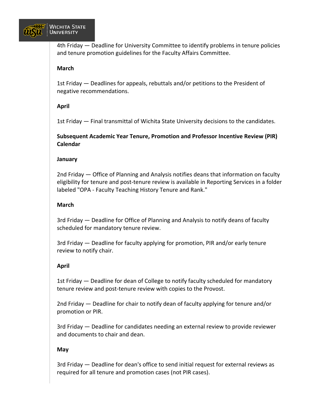

4th Friday — Deadline for University Committee to identify problems in tenure policies and tenure promotion guidelines for the Faculty Affairs Committee.

#### **March**

1st Friday — Deadlines for appeals, rebuttals and/or petitions to the President of negative recommendations.

#### **April**

1st Friday — Final transmittal of Wichita State University decisions to the candidates.

**Subsequent Academic Year Tenure, Promotion and Professor Incentive Review (PIR) Calendar**

#### **January**

2nd Friday — Office of Planning and Analysis notifies deans that information on faculty eligibility for tenure and post-tenure review is available in Reporting Services in a folder labeled "OPA - Faculty Teaching History Tenure and Rank."

#### **March**

3rd Friday — Deadline for Office of Planning and Analysis to notify deans of faculty scheduled for mandatory tenure review.

3rd Friday — Deadline for faculty applying for promotion, PIR and/or early tenure review to notify chair.

#### **April**

1st Friday — Deadline for dean of College to notify faculty scheduled for mandatory tenure review and post-tenure review with copies to the Provost.

2nd Friday — Deadline for chair to notify dean of faculty applying for tenure and/or promotion or PIR.

3rd Friday — Deadline for candidates needing an external review to provide reviewer and documents to chair and dean.

#### **May**

3rd Friday — Deadline for dean's office to send initial request for external reviews as required for all tenure and promotion cases (not PIR cases).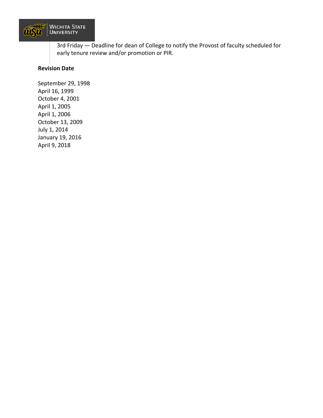

3rd Friday — Deadline for dean of College to notify the Provost of faculty scheduled for early tenure review and/or promotion or PIR.

#### **Revision Date**

September 29, 1998 April 16, 1999 October 4, 2001 April 1, 2005 April 1, 2006 October 13, 2009 July 1, 2014 January 19, 2016 April 9, 2018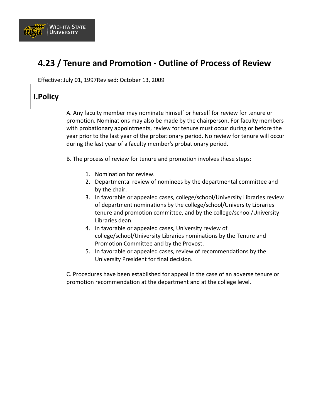

## **4.23 / Tenure and Promotion - Outline of Process of Review**

Effective: July 01, 1997Revised: October 13, 2009

### **I.Policy**

A. Any faculty member may nominate himself or herself for review for tenure or promotion. Nominations may also be made by the chairperson. For faculty members with probationary appointments, review for tenure must occur during or before the year prior to the last year of the probationary period. No review for tenure will occur during the last year of a faculty member's probationary period.

B. The process of review for tenure and promotion involves these steps:

- 1. Nomination for review.
- 2. Departmental review of nominees by the departmental committee and by the chair.
- 3. In favorable or appealed cases, college/school/University Libraries review of department nominations by the college/school/University Libraries tenure and promotion committee, and by the college/school/University Libraries dean.
- 4. In favorable or appealed cases, University review of college/school/University Libraries nominations by the Tenure and Promotion Committee and by the Provost.
- 5. In favorable or appealed cases, review of recommendations by the University President for final decision.

C. Procedures have been established for appeal in the case of an adverse tenure or promotion recommendation at the department and at the college level.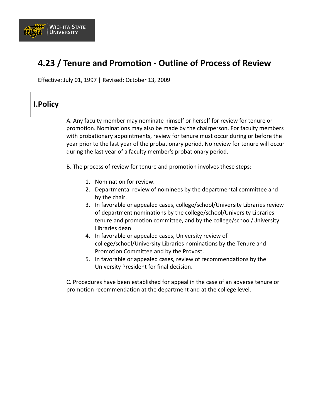

## **4.23 / Tenure and Promotion - Outline of Process of Review**

Effective: July 01, 1997 | Revised: October 13, 2009

### **I.Policy**

A. Any faculty member may nominate himself or herself for review for tenure or promotion. Nominations may also be made by the chairperson. For faculty members with probationary appointments, review for tenure must occur during or before the year prior to the last year of the probationary period. No review for tenure will occur during the last year of a faculty member's probationary period.

B. The process of review for tenure and promotion involves these steps:

- 1. Nomination for review.
- 2. Departmental review of nominees by the departmental committee and by the chair.
- 3. In favorable or appealed cases, college/school/University Libraries review of department nominations by the college/school/University Libraries tenure and promotion committee, and by the college/school/University Libraries dean.
- 4. In favorable or appealed cases, University review of college/school/University Libraries nominations by the Tenure and Promotion Committee and by the Provost.
- 5. In favorable or appealed cases, review of recommendations by the University President for final decision.

C. Procedures have been established for appeal in the case of an adverse tenure or promotion recommendation at the department and at the college level.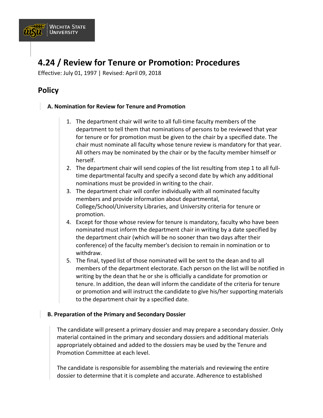

## **4.24 / Review for Tenure or Promotion: Procedures**

Effective: July 01, 1997 | Revised: April 09, 2018

### **Policy**

#### **A. Nomination for Review for Tenure and Promotion**

- 1. The department chair will write to all full-time faculty members of the department to tell them that nominations of persons to be reviewed that year for tenure or for promotion must be given to the chair by a specified date. The chair must nominate all faculty whose tenure review is mandatory for that year. All others may be nominated by the chair or by the faculty member himself or herself.
- 2. The department chair will send copies of the list resulting from step 1 to all fulltime departmental faculty and specify a second date by which any additional nominations must be provided in writing to the chair.
- 3. The department chair will confer individually with all nominated faculty members and provide information about departmental, College/School/University Libraries, and University criteria for tenure or promotion.
- 4. Except for those whose review for tenure is mandatory, faculty who have been nominated must inform the department chair in writing by a date specified by the department chair (which will be no sooner than two days after their conference) of the faculty member's decision to remain in nomination or to withdraw.
- 5. The final, typed list of those nominated will be sent to the dean and to all members of the department electorate. Each person on the list will be notified in writing by the dean that he or she is officially a candidate for promotion or tenure. In addition, the dean will inform the candidate of the criteria for tenure or promotion and will instruct the candidate to give his/her supporting materials to the department chair by a specified date.

#### **B. Preparation of the Primary and Secondary Dossier**

The candidate will present a primary dossier and may prepare a secondary dossier. Only material contained in the primary and secondary dossiers and additional materials appropriately obtained and added to the dossiers may be used by the Tenure and Promotion Committee at each level.

The candidate is responsible for assembling the materials and reviewing the entire dossier to determine that it is complete and accurate. Adherence to established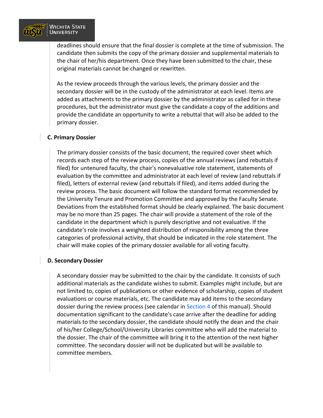

deadlines should ensure that the final dossier is complete at the time of submission. The candidate then submits the copy of the primary dossier and supplemental materials to the chair of her/his department. Once they have been submitted to the chair, these original materials cannot be changed or rewritten.

As the review proceeds through the various levels, the primary dossier and the secondary dossier will be in the custody of the administrator at each level. Items are added as attachments to the primary dossier by the administrator as called for in these procedures, but the administrator must give the candidate a copy of the additions and provide the candidate an opportunity to write a rebuttal that will also be added to the primary dossier.

#### **C. Primary Dossier**

The primary dossier consists of the basic document, the required cover sheet which records each step of the review process, copies of the annual reviews (and rebuttals if filed) for untenured faculty, the chair's nonevaluative role statement, statements of evaluation by the committee and administrator at each level of review (and rebuttals if filed), letters of external review (and rebuttals if filed), and items added during the review process. The basic document will follow the standard format recommended by the University Tenure and Promotion Committee and approved by the Faculty Senate. Deviations from the established format should be clearly explained. The basic document may be no more than 25 pages. The chair will provide a statement of the role of the candidate in the department which is purely descriptive and not evaluative. If the candidate's role involves a weighted distribution of responsibility among the three categories of professional activity, that should be indicated in the role statement. The chair will make copies of the primary dossier available for all voting faculty.

#### **D. Secondary Dossier**

A secondary dossier may be submitted to the chair by the candidate. It consists of such additional materials as the candidate wishes to submit. Examples might include, but are not limited to, copies of publications or other evidence of scholarship, copies of student evaluations or course materials, etc. The candidate may add items to the secondary dossier during the review process (see calendar in [Section 4](https://www.wichita.edu/about/policy/ch_4.htm) of this manual). Should documentation significant to the candidate's case arrive after the deadline for adding materials to the secondary dossier, the candidate should notify the dean and the chair of his/her College/School/University Libraries committee who will add the material to the dossier. The chair of the committee will bring it to the attention of the next higher committee. The secondary dossier will not be duplicated but will be available to committee members.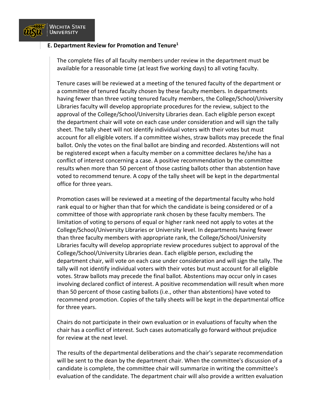

#### **E. Department Review for Promotion and Tenure1**

The complete files of all faculty members under review in the department must be available for a reasonable time (at least five working days) to all voting faculty.

Tenure cases will be reviewed at a meeting of the tenured faculty of the department or a committee of tenured faculty chosen by these faculty members. In departments having fewer than three voting tenured faculty members, the College/School/University Libraries faculty will develop appropriate procedures for the review, subject to the approval of the College/School/University Libraries dean. Each eligible person except the department chair will vote on each case under consideration and will sign the tally sheet. The tally sheet will not identify individual voters with their votes but must account for all eligible voters. If a committee wishes, straw ballots may precede the final ballot. Only the votes on the final ballot are binding and recorded. Abstentions will not be registered except when a faculty member on a committee declares he/she has a conflict of interest concerning a case. A positive recommendation by the committee results when more than 50 percent of those casting ballots other than abstention have voted to recommend tenure. A copy of the tally sheet will be kept in the departmental office for three years.

Promotion cases will be reviewed at a meeting of the departmental faculty who hold rank equal to or higher than that for which the candidate is being considered or of a committee of those with appropriate rank chosen by these faculty members. The limitation of voting to persons of equal or higher rank need not apply to votes at the College/School/University Libraries or University level. In departments having fewer than three faculty members with appropriate rank, the College/School/University Libraries faculty will develop appropriate review procedures subject to approval of the College/School/University Libraries dean. Each eligible person, excluding the department chair, will vote on each case under consideration and will sign the tally. The tally will not identify individual voters with their votes but must account for all eligible votes. Straw ballots may precede the final ballot. Abstentions may occur only in cases involving declared conflict of interest. A positive recommendation will result when more than 50 percent of those casting ballots (i.e., other than abstentions) have voted to recommend promotion. Copies of the tally sheets will be kept in the departmental office for three years.

Chairs do not participate in their own evaluation or in evaluations of faculty when the chair has a conflict of interest. Such cases automatically go forward without prejudice for review at the next level.

The results of the departmental deliberations and the chair's separate recommendation will be sent to the dean by the department chair. When the committee's discussion of a candidate is complete, the committee chair will summarize in writing the committee's evaluation of the candidate. The department chair will also provide a written evaluation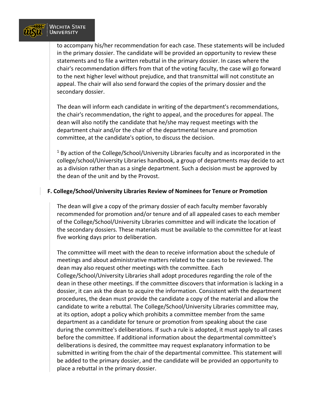

to accompany his/her recommendation for each case. These statements will be included in the primary dossier. The candidate will be provided an opportunity to review these statements and to file a written rebuttal in the primary dossier. In cases where the chair's recommendation differs from that of the voting faculty, the case will go forward to the next higher level without prejudice, and that transmittal will not constitute an appeal. The chair will also send forward the copies of the primary dossier and the secondary dossier.

The dean will inform each candidate in writing of the department's recommendations, the chair's recommendation, the right to appeal, and the procedures for appeal. The dean will also notify the candidate that he/she may request meetings with the department chair and/or the chair of the departmental tenure and promotion committee, at the candidate's option, to discuss the decision.

 $1$  By action of the College/School/University Libraries faculty and as incorporated in the college/school/University Libraries handbook, a group of departments may decide to act as a division rather than as a single department. Such a decision must be approved by the dean of the unit and by the Provost.

#### **F. College/School/University Libraries Review of Nominees for Tenure or Promotion**

The dean will give a copy of the primary dossier of each faculty member favorably recommended for promotion and/or tenure and of all appealed cases to each member of the College/School/University Libraries committee and will indicate the location of the secondary dossiers. These materials must be available to the committee for at least five working days prior to deliberation.

The committee will meet with the dean to receive information about the schedule of meetings and about administrative matters related to the cases to be reviewed. The dean may also request other meetings with the committee. Each College/School/University Libraries shall adopt procedures regarding the role of the dean in these other meetings. If the committee discovers that information is lacking in a dossier, it can ask the dean to acquire the information. Consistent with the department procedures, the dean must provide the candidate a copy of the material and allow the candidate to write a rebuttal. The College/School/University Libraries committee may, at its option, adopt a policy which prohibits a committee member from the same department as a candidate for tenure or promotion from speaking about the case during the committee's deliberations. If such a rule is adopted, it must apply to all cases before the committee. If additional information about the departmental committee's deliberations is desired, the committee may request explanatory information to be submitted in writing from the chair of the departmental committee. This statement will be added to the primary dossier, and the candidate will be provided an opportunity to place a rebuttal in the primary dossier.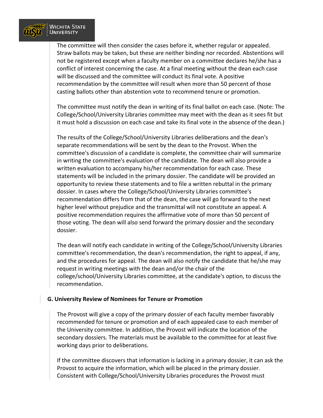

The committee will then consider the cases before it, whether regular or appealed. Straw ballots may be taken, but these are neither binding nor recorded. Abstentions will not be registered except when a faculty member on a committee declares he/she has a conflict of interest concerning the case. At a final meeting without the dean each case will be discussed and the committee will conduct its final vote. A positive recommendation by the committee will result when more than 50 percent of those casting ballots other than abstention vote to recommend tenure or promotion.

The committee must notify the dean in writing of its final ballot on each case. (Note: The College/School/University Libraries committee may meet with the dean as it sees fit but it must hold a discussion on each case and take its final vote in the absence of the dean.)

The results of the College/School/University Libraries deliberations and the dean's separate recommendations will be sent by the dean to the Provost. When the committee's discussion of a candidate is complete, the committee chair will summarize in writing the committee's evaluation of the candidate. The dean will also provide a written evaluation to accompany his/her recommendation for each case. These statements will be included in the primary dossier. The candidate will be provided an opportunity to review these statements and to file a written rebuttal in the primary dossier. In cases where the College/School/University Libraries committee's recommendation differs from that of the dean, the case will go forward to the next higher level without prejudice and the transmittal will not constitute an appeal. A positive recommendation requires the affirmative vote of more than 50 percent of those voting. The dean will also send forward the primary dossier and the secondary dossier.

The dean will notify each candidate in writing of the College/School/University Libraries committee's recommendation, the dean's recommendation, the right to appeal, if any, and the procedures for appeal. The dean will also notify the candidate that he/she may request in writing meetings with the dean and/or the chair of the college/school/University Libraries committee, at the candidate's option, to discuss the recommendation.

#### **G. University Review of Nominees for Tenure or Promotion**

The Provost will give a copy of the primary dossier of each faculty member favorably recommended for tenure or promotion and of each appealed case to each member of the University committee. In addition, the Provost will indicate the location of the secondary dossiers. The materials must be available to the committee for at least five working days prior to deliberations.

If the committee discovers that information is lacking in a primary dossier, it can ask the Provost to acquire the information, which will be placed in the primary dossier. Consistent with College/School/University Libraries procedures the Provost must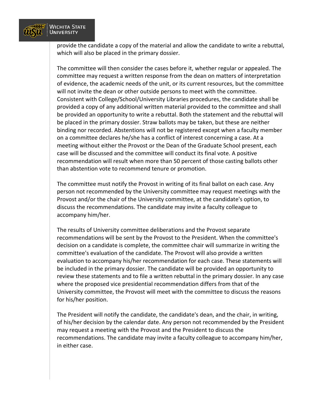

provide the candidate a copy of the material and allow the candidate to write a rebuttal, which will also be placed in the primary dossier.

The committee will then consider the cases before it, whether regular or appealed. The committee may request a written response from the dean on matters of interpretation of evidence, the academic needs of the unit, or its current resources, but the committee will not invite the dean or other outside persons to meet with the committee. Consistent with College/School/University Libraries procedures, the candidate shall be provided a copy of any additional written material provided to the committee and shall be provided an opportunity to write a rebuttal. Both the statement and the rebuttal will be placed in the primary dossier. Straw ballots may be taken, but these are neither binding nor recorded. Abstentions will not be registered except when a faculty member on a committee declares he/she has a conflict of interest concerning a case. At a meeting without either the Provost or the Dean of the Graduate School present, each case will be discussed and the committee will conduct its final vote. A positive recommendation will result when more than 50 percent of those casting ballots other than abstention vote to recommend tenure or promotion.

The committee must notify the Provost in writing of its final ballot on each case. Any person not recommended by the University committee may request meetings with the Provost and/or the chair of the University committee, at the candidate's option, to discuss the recommendations. The candidate may invite a faculty colleague to accompany him/her.

The results of University committee deliberations and the Provost separate recommendations will be sent by the Provost to the President. When the committee's decision on a candidate is complete, the committee chair will summarize in writing the committee's evaluation of the candidate. The Provost will also provide a written evaluation to accompany his/her recommendation for each case. These statements will be included in the primary dossier. The candidate will be provided an opportunity to review these statements and to file a written rebuttal in the primary dossier. In any case where the proposed vice presidential recommendation differs from that of the University committee, the Provost will meet with the committee to discuss the reasons for his/her position.

The President will notify the candidate, the candidate's dean, and the chair, in writing, of his/her decision by the calendar date. Any person not recommended by the President may request a meeting with the Provost and the President to discuss the recommendations. The candidate may invite a faculty colleague to accompany him/her, in either case.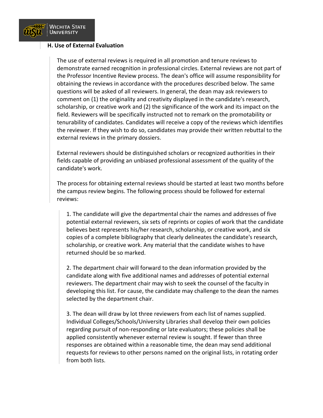

#### **H. Use of External Evaluation**

The use of external reviews is required in all promotion and tenure reviews to demonstrate earned recognition in professional circles. External reviews are not part of the Professor Incentive Review process. The dean's office will assume responsibility for obtaining the reviews in accordance with the procedures described below. The same questions will be asked of all reviewers. In general, the dean may ask reviewers to comment on (1) the originality and creativity displayed in the candidate's research, scholarship, or creative work and (2) the significance of the work and its impact on the field. Reviewers will be specifically instructed not to remark on the promotability or tenurability of candidates. Candidates will receive a copy of the reviews which identifies the reviewer. If they wish to do so, candidates may provide their written rebuttal to the external reviews in the primary dossiers.

External reviewers should be distinguished scholars or recognized authorities in their fields capable of providing an unbiased professional assessment of the quality of the candidate's work.

The process for obtaining external reviews should be started at least two months before the campus review begins. The following process should be followed for external reviews:

1. The candidate will give the departmental chair the names and addresses of five potential external reviewers, six sets of reprints or copies of work that the candidate believes best represents his/her research, scholarship, or creative work, and six copies of a complete bibliography that clearly delineates the candidate's research, scholarship, or creative work. Any material that the candidate wishes to have returned should be so marked.

2. The department chair will forward to the dean information provided by the candidate along with five additional names and addresses of potential external reviewers. The department chair may wish to seek the counsel of the faculty in developing this list. For cause, the candidate may challenge to the dean the names selected by the department chair.

3. The dean will draw by lot three reviewers from each list of names supplied. Individual Colleges/Schools/University Libraries shall develop their own policies regarding pursuit of non-responding or late evaluators; these policies shall be applied consistently whenever external review is sought. If fewer than three responses are obtained within a reasonable time, the dean may send additional requests for reviews to other persons named on the original lists, in rotating order from both lists.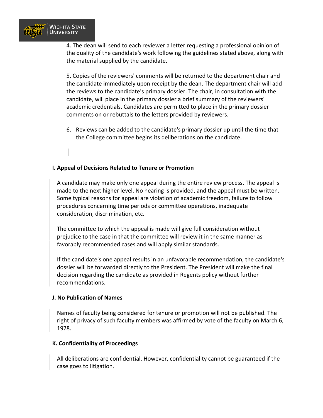

4. The dean will send to each reviewer a letter requesting a professional opinion of the quality of the candidate's work following the guidelines stated above, along with the material supplied by the candidate.

5. Copies of the reviewers' comments will be returned to the department chair and the candidate immediately upon receipt by the dean. The department chair will add the reviews to the candidate's primary dossier. The chair, in consultation with the candidate, will place in the primary dossier a brief summary of the reviewers' academic credentials. Candidates are permitted to place in the primary dossier comments on or rebuttals to the letters provided by reviewers.

6. Reviews can be added to the candidate's primary dossier up until the time that the College committee begins its deliberations on the candidate.

#### **I. Appeal of Decisions Related to Tenure or Promotion**

A candidate may make only one appeal during the entire review process. The appeal is made to the next higher level. No hearing is provided, and the appeal must be written. Some typical reasons for appeal are violation of academic freedom, failure to follow procedures concerning time periods or committee operations, inadequate consideration, discrimination, etc.

The committee to which the appeal is made will give full consideration without prejudice to the case in that the committee will review it in the same manner as favorably recommended cases and will apply similar standards.

If the candidate's one appeal results in an unfavorable recommendation, the candidate's dossier will be forwarded directly to the President. The President will make the final decision regarding the candidate as provided in Regents policy without further recommendations.

#### **J. No Publication of Names**

Names of faculty being considered for tenure or promotion will not be published. The right of privacy of such faculty members was affirmed by vote of the faculty on March 6, 1978.

#### **K. Confidentiality of Proceedings**

All deliberations are confidential. However, confidentiality cannot be guaranteed if the case goes to litigation.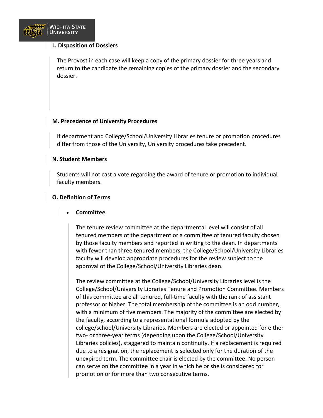

#### **L. Disposition of Dossiers**

The Provost in each case will keep a copy of the primary dossier for three years and return to the candidate the remaining copies of the primary dossier and the secondary dossier.

#### **M. Precedence of University Procedures**

If department and College/School/University Libraries tenure or promotion procedures differ from those of the University, University procedures take precedent.

#### **N. Student Members**

Students will not cast a vote regarding the award of tenure or promotion to individual faculty members.

#### **O. Definition of Terms**

#### • **Committee**

The tenure review committee at the departmental level will consist of all tenured members of the department or a committee of tenured faculty chosen by those faculty members and reported in writing to the dean. In departments with fewer than three tenured members, the College/School/University Libraries faculty will develop appropriate procedures for the review subject to the approval of the College/School/University Libraries dean.

The review committee at the College/School/University Libraries level is the College/School/University Libraries Tenure and Promotion Committee. Members of this committee are all tenured, full-time faculty with the rank of assistant professor or higher. The total membership of the committee is an odd number, with a minimum of five members. The majority of the committee are elected by the faculty, according to a representational formula adopted by the college/school/University Libraries. Members are elected or appointed for either two- or three-year terms (depending upon the College/School/University Libraries policies), staggered to maintain continuity. If a replacement is required due to a resignation, the replacement is selected only for the duration of the unexpired term. The committee chair is elected by the committee. No person can serve on the committee in a year in which he or she is considered for promotion or for more than two consecutive terms.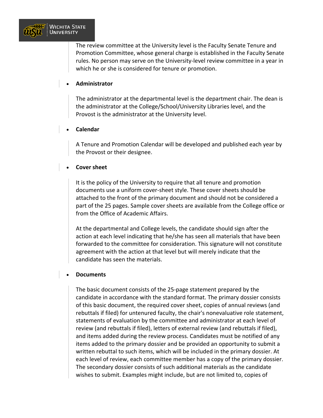

The review committee at the University level is the Faculty Senate Tenure and Promotion Committee, whose general charge is established in the Faculty Senate rules. No person may serve on the University-level review committee in a year in which he or she is considered for tenure or promotion.

#### • **Administrator**

The administrator at the departmental level is the department chair. The dean is the administrator at the College/School/University Libraries level, and the Provost is the administrator at the University level.

#### • **Calendar**

A Tenure and Promotion Calendar will be developed and published each year by the Provost or their designee.

#### • **Cover sheet**

It is the policy of the University to require that all tenure and promotion documents use a uniform cover-sheet style. These cover sheets should be attached to the front of the primary document and should not be considered a part of the 25 pages. Sample cover sheets are available from the College office or from the Office of Academic Affairs.

At the departmental and College levels, the candidate should sign after the action at each level indicating that he/she has seen all materials that have been forwarded to the committee for consideration. This signature will not constitute agreement with the action at that level but will merely indicate that the candidate has seen the materials.

#### • **Documents**

The basic document consists of the 25-page statement prepared by the candidate in accordance with the standard format. The primary dossier consists of this basic document, the required cover sheet, copies of annual reviews (and rebuttals if filed) for untenured faculty, the chair's nonevaluative role statement, statements of evaluation by the committee and administrator at each level of review (and rebuttals if filed), letters of external review (and rebuttals if filed), and items added during the review process. Candidates must be notified of any items added to the primary dossier and be provided an opportunity to submit a written rebuttal to such items, which will be included in the primary dossier. At each level of review, each committee member has a copy of the primary dossier. The secondary dossier consists of such additional materials as the candidate wishes to submit. Examples might include, but are not limited to, copies of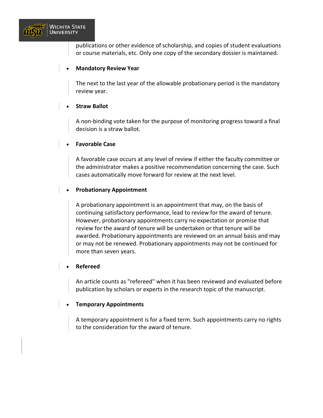

publications or other evidence of scholarship, and copies of student evaluations or course materials, etc. Only one copy of the secondary dossier is maintained.

#### • **Mandatory Review Year**

The next to the last year of the allowable probationary period is the mandatory review year.

#### • **Straw Ballot**

A non-binding vote taken for the purpose of monitoring progress toward a final decision is a straw ballot.

#### • **Favorable Case**

A favorable case occurs at any level of review if either the faculty committee or the administrator makes a positive recommendation concerning the case. Such cases automatically move forward for review at the next level.

#### • **Probationary Appointment**

A probationary appointment is an appointment that may, on the basis of continuing satisfactory performance, lead to review for the award of tenure. However, probationary appointments carry no expectation or promise that review for the award of tenure will be undertaken or that tenure will be awarded. Probationary appointments are reviewed on an annual basis and may or may not be renewed. Probationary appointments may not be continued for more than seven years.

#### • **Refereed**

An article counts as "refereed" when it has been reviewed and evaluated before publication by scholars or experts in the research topic of the manuscript.

#### • **Temporary Appointments**

A temporary appointment is for a fixed term. Such appointments carry no rights to the consideration for the award of tenure.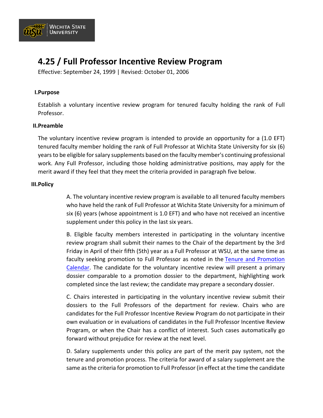

# **4.25 / Full Professor Incentive Review Program**

Effective: September 24, 1999 | Revised: October 01, 2006

#### **I.Purpose**

Establish a voluntary incentive review program for tenured faculty holding the rank of Full Professor.

#### **II.Preamble**

The voluntary incentive review program is intended to provide an opportunity for a (1.0 EFT) tenured faculty member holding the rank of Full Professor at Wichita State University for six (6) years to be eligible for salary supplements based on the faculty member's continuing professional work. Any Full Professor, including those holding administrative positions, may apply for the merit award if they feel that they meet the criteria provided in paragraph five below.

#### **III.Policy**

A. The voluntary incentive review program is available to all tenured faculty members who have held the rank of Full Professor at Wichita State University for a minimum of six (6) years (whose appointment is 1.0 EFT) and who have not received an incentive supplement under this policy in the last six years.

B. Eligible faculty members interested in participating in the voluntary incentive review program shall submit their names to the Chair of the department by the 3rd Friday in April of their fifth (5th) year as a Full Professor at WSU, at the same time as faculty seeking promotion to Full Professor as noted in the [Tenure and Promotion](https://www.wichita.edu/about/policy/ch_04/ch4_16.php)  [Calendar.](https://www.wichita.edu/about/policy/ch_04/ch4_16.php) The candidate for the voluntary incentive review will present a primary dossier comparable to a promotion dossier to the department, highlighting work completed since the last review; the candidate may prepare a secondary dossier.

C. Chairs interested in participating in the voluntary incentive review submit their dossiers to the Full Professors of the department for review. Chairs who are candidates for the Full Professor Incentive Review Program do not participate in their own evaluation or in evaluations of candidates in the Full Professor Incentive Review Program, or when the Chair has a conflict of interest. Such cases automatically go forward without prejudice for review at the next level.

D. Salary supplements under this policy are part of the merit pay system, not the tenure and promotion process. The criteria for award of a salary supplement are the same as the criteria for promotion to Full Professor (in effect at the time the candidate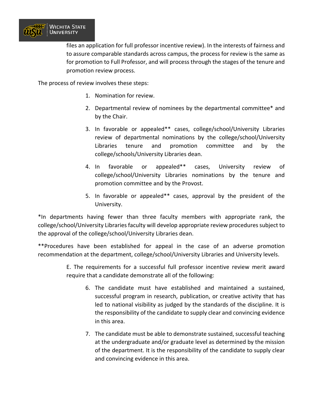

files an application for full professor incentive review). In the interests of fairness and to assure comparable standards across campus, the process for review is the same as for promotion to Full Professor, and will process through the stages of the tenure and promotion review process.

The process of review involves these steps:

- 1. Nomination for review.
- 2. Departmental review of nominees by the departmental committee\* and by the Chair.
- 3. In favorable or appealed\*\* cases, college/school/University Libraries review of departmental nominations by the college/school/University Libraries tenure and promotion committee and by the college/schools/University Libraries dean.
- 4. In favorable or appealed\*\* cases, University review of college/school/University Libraries nominations by the tenure and promotion committee and by the Provost.
- 5. In favorable or appealed\*\* cases, approval by the president of the University.

\*In departments having fewer than three faculty members with appropriate rank, the college/school/University Libraries faculty will develop appropriate review procedures subject to the approval of the college/school/University Libraries dean.

\*\*Procedures have been established for appeal in the case of an adverse promotion recommendation at the department, college/school/University Libraries and University levels.

> E. The requirements for a successful full professor incentive review merit award require that a candidate demonstrate all of the following:

- 6. The candidate must have established and maintained a sustained, successful program in research, publication, or creative activity that has led to national visibility as judged by the standards of the discipline. It is the responsibility of the candidate to supply clear and convincing evidence in this area.
- 7. The candidate must be able to demonstrate sustained, successful teaching at the undergraduate and/or graduate level as determined by the mission of the department. It is the responsibility of the candidate to supply clear and convincing evidence in this area.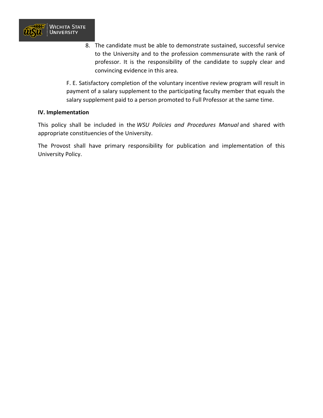

8. The candidate must be able to demonstrate sustained, successful service to the University and to the profession commensurate with the rank of professor. It is the responsibility of the candidate to supply clear and convincing evidence in this area.

F. E. Satisfactory completion of the voluntary incentive review program will result in payment of a salary supplement to the participating faculty member that equals the salary supplement paid to a person promoted to Full Professor at the same time.

#### **IV. Implementation**

This policy shall be included in the *WSU Policies and Procedures Manual* and shared with appropriate constituencies of the University.

The Provost shall have primary responsibility for publication and implementation of this University Policy.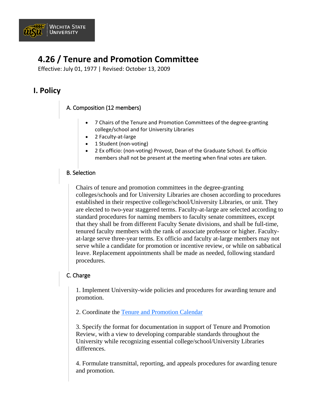

# **4.26 / Tenure and Promotion Committee**

Effective: July 01, 1977 | Revised: October 13, 2009

# **I. Policy**

# A. Composition (12 members)

- 7 Chairs of the Tenure and Promotion Committees of the degree-granting college/school and for University Libraries
- 2 Faculty-at-large
- 1 Student (non-voting)
- 2 Ex officio: (non-voting) Provost, Dean of the Graduate School. Ex officio members shall not be present at the meeting when final votes are taken.

### B. Selection

Chairs of tenure and promotion committees in the degree-granting colleges/schools and for University Libraries are chosen according to procedures established in their respective college/school/University Libraries, or unit. They are elected to two-year staggered terms. Faculty-at-large are selected according to standard procedures for naming members to faculty senate committees, except that they shall be from different Faculty Senate divisions, and shall be full-time, tenured faculty members with the rank of associate professor or higher. Facultyat-large serve three-year terms. Ex officio and faculty at-large members may not serve while a candidate for promotion or incentive review, or while on sabbatical leave. Replacement appointments shall be made as needed, following standard procedures.

### C. Charge

1. Implement University-wide policies and procedures for awarding tenure and promotion.

2. Coordinate the [Tenure and Promotion Calendar](https://www.wichita.edu/about/policy/ch_04/ch4_16.php)

3. Specify the format for documentation in support of Tenure and Promotion Review, with a view to developing comparable standards throughout the University while recognizing essential college/school/University Libraries differences.

4. Formulate transmittal, reporting, and appeals procedures for awarding tenure and promotion.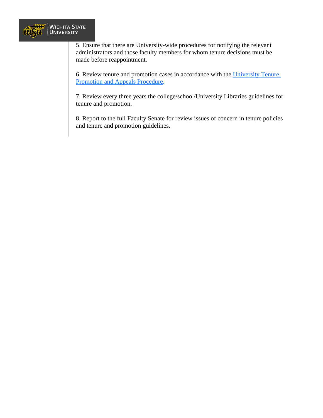

5. Ensure that there are University-wide procedures for notifying the relevant administrators and those faculty members for whom tenure decisions must be made before reappointment.

6. Review tenure and promotion cases in accordance with the [University Tenure,](https://www.wichita.edu/about/policy/ch_04/ch4_18.php)  [Promotion and Appeals Procedure.](https://www.wichita.edu/about/policy/ch_04/ch4_18.php)

7. Review every three years the college/school/University Libraries guidelines for tenure and promotion.

8. Report to the full Faculty Senate for review issues of concern in tenure policies and tenure and promotion guidelines.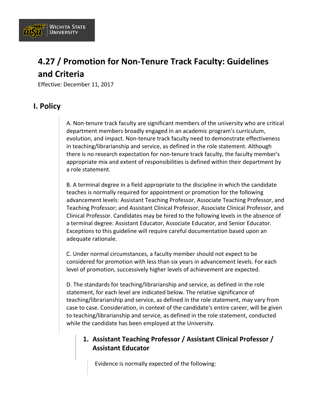

# **4.27 / Promotion for Non-Tenure Track Faculty: Guidelines and Criteria**

Effective: December 11, 2017

### **I. Policy**

A. Non-tenure track faculty are significant members of the university who are critical department members broadly engaged in an academic program's curriculum, evolution, and impact. Non-tenure track faculty need to demonstrate effectiveness in teaching/librarianship and service, as defined in the role statement. Although there is no research expectation for non-tenure track faculty, the faculty member's appropriate mix and extent of responsibilities is defined within their department by a role statement.

B. A terminal degree in a field appropriate to the discipline in which the candidate teaches is normally required for appointment or promotion for the following advancement levels: Assistant Teaching Professor, Associate Teaching Professor, and Teaching Professor; and Assistant Clinical Professor, Associate Clinical Professor, and Clinical Professor. Candidates may be hired to the following levels in the absence of a terminal degree: Assistant Educator, Associate Educator, and Senior Educator. Exceptions to this guideline will require careful documentation based upon an adequate rationale.

C. Under normal circumstances, a faculty member should not expect to be considered for promotion with less than six years in advancement levels. For each level of promotion, successively higher levels of achievement are expected.

D. The standards for teaching/librarianship and service, as defined in the role statement, for each level are indicated below. The relative significance of teaching/librarianship and service, as defined in the role statement, may vary from case to case. Consideration, in context of the candidate's entire career, will be given to teaching/librarianship and service, as defined in the role statement, conducted while the candidate has been employed at the University.

### **1. Assistant Teaching Professor / Assistant Clinical Professor / Assistant Educator**

Evidence is normally expected of the following: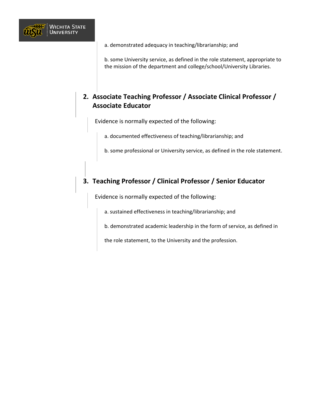

a. demonstrated adequacy in teaching/librarianship; and

b. some University service, as defined in the role statement, appropriate to the mission of the department and college/school/University Libraries.

### **2. Associate Teaching Professor / Associate Clinical Professor / Associate Educator**

Evidence is normally expected of the following:

a. documented effectiveness of teaching/librarianship; and

b. some professional or University service, as defined in the role statement.

### **3. Teaching Professor / Clinical Professor / Senior Educator**

Evidence is normally expected of the following:

a. sustained effectiveness in teaching/librarianship; and

b. demonstrated academic leadership in the form of service, as defined in

the role statement, to the University and the profession[.](https://www.wichita.edu/)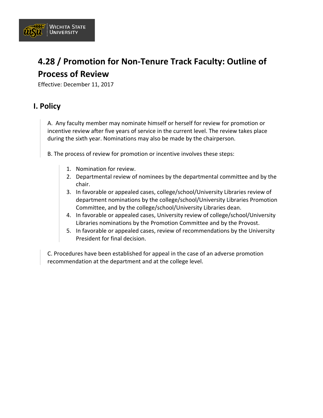

# **4.28 / Promotion for Non-Tenure Track Faculty: Outline of Process of Review**

Effective: December 11, 2017

## **I. Policy**

A. Any faculty member may nominate himself or herself for review for promotion or incentive review after five years of service in the current level. The review takes place during the sixth year. Nominations may also be made by the chairperson.

B. The process of review for promotion or incentive involves these steps:

- 1. Nomination for review.
- 2. Departmental review of nominees by the departmental committee and by the chair.
- 3. In favorable or appealed cases, college/school/University Libraries review of department nominations by the college/school/University Libraries Promotion Committee, and by the college/school/University Libraries dean.
- 4. In favorable or appealed cases, University review of college/school/University Libraries nominations by the Promotion Committee and by the Provost.
- 5. In favorable or appealed cases, review of recommendations by the University President for final decision.

C. Procedures have been established for appeal in the case of an adverse promotion recommendation at the department and at the college level.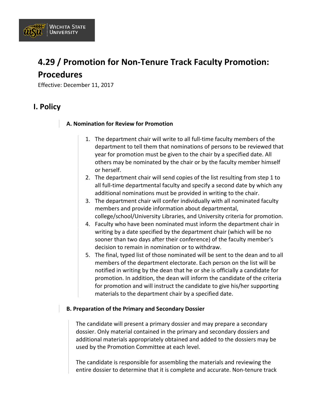

# **4.29 / Promotion for Non-Tenure Track Faculty Promotion: Procedures**

Effective: December 11, 2017

### **I. Policy**

#### **A. Nomination for Review for Promotion**

- 1. The department chair will write to all full-time faculty members of the department to tell them that nominations of persons to be reviewed that year for promotion must be given to the chair by a specified date. All others may be nominated by the chair or by the faculty member himself or herself.
- 2. The department chair will send copies of the list resulting from step 1 to all full-time departmental faculty and specify a second date by which any additional nominations must be provided in writing to the chair.
- 3. The department chair will confer individually with all nominated faculty members and provide information about departmental, college/school/University Libraries, and University criteria for promotion.
- 4. Faculty who have been nominated must inform the department chair in writing by a date specified by the department chair (which will be no sooner than two days after their conference) of the faculty member's decision to remain in nomination or to withdraw.
- 5. The final, typed list of those nominated will be sent to the dean and to all members of the department electorate. Each person on the list will be notified in writing by the dean that he or she is officially a candidate for promotion. In addition, the dean will inform the candidate of the criteria for promotion and will instruct the candidate to give his/her supporting materials to the department chair by a specified date.

#### **B. Preparation of the Primary and Secondary Dossier**

The candidate will present a primary dossier and may prepare a secondary dossier. Only material contained in the primary and secondary dossiers and additional materials appropriately obtained and added to the dossiers may be used by the Promotion Committee at each level.

The candidate is responsible for assembling the materials and reviewing the entire dossier to determine that it is complete and accurate. Non-tenure track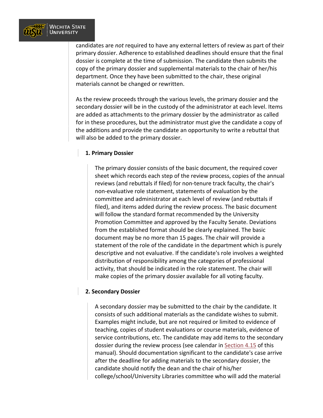

candidates are *not* required to have any external letters of review as part of their primary dossier. Adherence to established deadlines should ensure that the final dossier is complete at the time of submission. The candidate then submits the copy of the primary dossier and supplemental materials to the chair of her/his department. Once they have been submitted to the chair, these original materials cannot be changed or rewritten.

As the review proceeds through the various levels, the primary dossier and the secondary dossier will be in the custody of the administrator at each level. Items are added as attachments to the primary dossier by the administrator as called for in these procedures, but the administrator must give the candidate a copy of the additions and provide the candidate an opportunity to write a rebuttal that will also be added to the primary dossier.

#### **1. Primary Dossier**

The primary dossier consists of the basic document, the required cover sheet which records each step of the review process, copies of the annual reviews (and rebuttals if filed) for non-tenure track faculty, the chair's non-evaluative role statement, statements of evaluation by the committee and administrator at each level of review (and rebuttals if filed), and items added during the review process. The basic document will follow the standard format recommended by the University Promotion Committee and approved by the Faculty Senate. Deviations from the established format should be clearly explained. The basic document may be no more than 15 pages. The chair will provide a statement of the role of the candidate in the department which is purely descriptive and not evaluative. If the candidate's role involves a weighted distribution of responsibility among the categories of professional activity, that should be indicated in the role statement. The chair will make copies of the primary dossier available for all voting faculty.

#### **2. Secondary Dossier**

A secondary dossier may be submitted to the chair by the candidate. It consists of such additional materials as the candidate wishes to submit. Examples might include, but are not required or limited to evidence of teaching, copies of student evaluations or course materials, evidence of service contributions, etc. The candidate may add items to the secondary dossier during the review process (see calendar in [Section 4.15](https://www.wichita.edu/about/policy/ch_04/ch4_15.php) of this manual). Should documentation significant to the candidate's case arrive after the deadline for adding materials to the secondary dossier, the candidate should notify the dean and the chair of his/her college/school/University Libraries committee who will add the material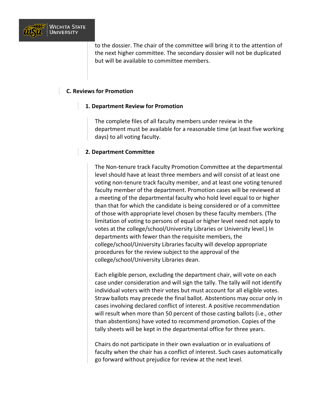

to the dossier. The chair of the committee will bring it to the attention of the next higher committee. The secondary dossier will not be duplicated but will be available to committee members.

#### **C. Reviews for Promotion**

#### **1. Department Review for Promotion**

The complete files of all faculty members under review in the department must be available for a reasonable time (at least five working days) to all voting faculty.

#### **2. Department Committee**

The Non-tenure track Faculty Promotion Committee at the departmental level should have at least three members and will consist of at least one voting non-tenure track faculty member, and at least one voting tenured faculty member of the department. Promotion cases will be reviewed at a meeting of the departmental faculty who hold level equal to or higher than that for which the candidate is being considered or of a committee of those with appropriate level chosen by these faculty members. (The limitation of voting to persons of equal or higher level need not apply to votes at the college/school/University Libraries or University level.) In departments with fewer than the requisite members, the college/school/University Libraries faculty will develop appropriate procedures for the review subject to the approval of the college/school/University Libraries dean.

Each eligible person, excluding the department chair, will vote on each case under consideration and will sign the tally. The tally will not identify individual voters with their votes but must account for all eligible votes. Straw ballots may precede the final ballot. Abstentions may occur only in cases involving declared conflict of interest. A positive recommendation will result when more than 50 percent of those casting ballots (i.e., other than abstentions) have voted to recommend promotion. Copies of the tally sheets will be kept in the departmental office for three years.

Chairs do not participate in their own evaluation or in evaluations of faculty when the chair has a conflict of interest. Such cases automatically go forward without prejudice for review at the next level.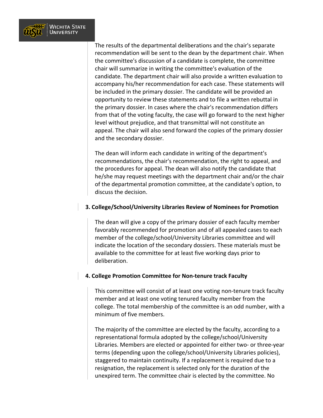

The results of the departmental deliberations and the chair's separate recommendation will be sent to the dean by the department chair. When the committee's discussion of a candidate is complete, the committee chair will summarize in writing the committee's evaluation of the candidate. The department chair will also provide a written evaluation to accompany his/her recommendation for each case. These statements will be included in the primary dossier. The candidate will be provided an opportunity to review these statements and to file a written rebuttal in the primary dossier. In cases where the chair's recommendation differs from that of the voting faculty, the case will go forward to the next higher level without prejudice, and that transmittal will not constitute an appeal. The chair will also send forward the copies of the primary dossier and the secondary dossier.

The dean will inform each candidate in writing of the department's recommendations, the chair's recommendation, the right to appeal, and the procedures for appeal. The dean will also notify the candidate that he/she may request meetings with the department chair and/or the chair of the departmental promotion committee, at the candidate's option, to discuss the decision.

#### **3. College/School/University Libraries Review of Nominees for Promotion**

The dean will give a copy of the primary dossier of each faculty member favorably recommended for promotion and of all appealed cases to each member of the college/school/University Libraries committee and will indicate the location of the secondary dossiers. These materials must be available to the committee for at least five working days prior to deliberation.

#### **4. College Promotion Committee for Non-tenure track Faculty**

This committee will consist of at least one voting non-tenure track faculty member and at least one voting tenured faculty member from the college. The total membership of the committee is an odd number, with a minimum of five members.

The majority of the committee are elected by the faculty, according to a representational formula adopted by the college/school/University Libraries. Members are elected or appointed for either two- or three-year terms (depending upon the college/school/University Libraries policies), staggered to maintain continuity. If a replacement is required due to a resignation, the replacement is selected only for the duration of the unexpired term. The committee chair is elected by the committee. No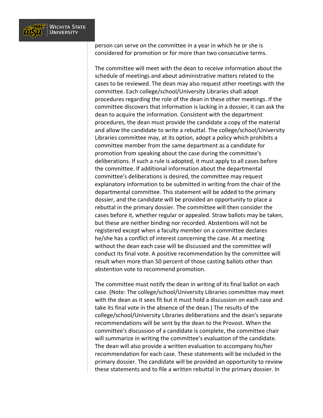

person can serve on the committee in a year in which he or she is considered for promotion or for more than two consecutive terms.

The committee will meet with the dean to receive information about the schedule of meetings and about administrative matters related to the cases to be reviewed. The dean may also request other meetings with the committee. Each college/school/University Libraries shall adopt procedures regarding the role of the dean in these other meetings. If the committee discovers that information is lacking in a dossier, it can ask the dean to acquire the information. Consistent with the department procedures, the dean must provide the candidate a copy of the material and allow the candidate to write a rebuttal. The college/school/University Libraries committee may, at its option, adopt a policy which prohibits a committee member from the same department as a candidate for promotion from speaking about the case during the committee's deliberations. If such a rule is adopted, it must apply to all cases before the committee. If additional information about the departmental committee's deliberations is desired, the committee may request explanatory information to be submitted in writing from the chair of the departmental committee. This statement will be added to the primary dossier, and the candidate will be provided an opportunity to place a rebuttal in the primary dossier. The committee will then consider the cases before it, whether regular or appealed. Straw ballots may be taken, but these are neither binding nor recorded. Abstentions will not be registered except when a faculty member on a committee declares he/she has a conflict of interest concerning the case. At a meeting without the dean each case will be discussed and the committee will conduct its final vote. A positive recommendation by the committee will result when more than 50 percent of those casting ballots other than abstention vote to recommend promotion.

The committee must notify the dean in writing of its final ballot on each case. (Note: The college/school/University Libraries committee may meet with the dean as it sees fit but it must hold a discussion on each case and take its final vote in the absence of the dean.) The results of the college/school/University Libraries deliberations and the dean's separate recommendations will be sent by the dean to the Provost. When the committee's discussion of a candidate is complete, the committee chair will summarize in writing the committee's evaluation of the candidate. The dean will also provide a written evaluation to accompany his/her recommendation for each case. These statements will be included in the primary dossier. The candidate will be provided an opportunity to review these statements and to file a written rebuttal in the primary dossier. In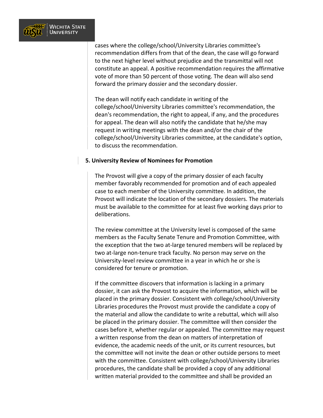

cases where the college/school/University Libraries committee's recommendation differs from that of the dean, the case will go forward to the next higher level without prejudice and the transmittal will not constitute an appeal. A positive recommendation requires the affirmative vote of more than 50 percent of those voting. The dean will also send forward the primary dossier and the secondary dossier.

The dean will notify each candidate in writing of the college/school/University Libraries committee's recommendation, the dean's recommendation, the right to appeal, if any, and the procedures for appeal. The dean will also notify the candidate that he/she may request in writing meetings with the dean and/or the chair of the college/school/University Libraries committee, at the candidate's option, to discuss the recommendation.

#### **5. University Review of Nominees for Promotion**

The Provost will give a copy of the primary dossier of each faculty member favorably recommended for promotion and of each appealed case to each member of the University committee. In addition, the Provost will indicate the location of the secondary dossiers. The materials must be available to the committee for at least five working days prior to deliberations.

The review committee at the University level is composed of the same members as the Faculty Senate Tenure and Promotion Committee, with the exception that the two at-large tenured members will be replaced by two at-large non-tenure track faculty. No person may serve on the University-level review committee in a year in which he or she is considered for tenure or promotion.

If the committee discovers that information is lacking in a primary dossier, it can ask the Provost to acquire the information, which will be placed in the primary dossier. Consistent with college/school/University Libraries procedures the Provost must provide the candidate a copy of the material and allow the candidate to write a rebuttal, which will also be placed in the primary dossier. The committee will then consider the cases before it, whether regular or appealed. The committee may request a written response from the dean on matters of interpretation of evidence, the academic needs of the unit, or its current resources, but the committee will not invite the dean or other outside persons to meet with the committee. Consistent with college/school/University Libraries procedures, the candidate shall be provided a copy of any additional written material provided to the committee and shall be provided an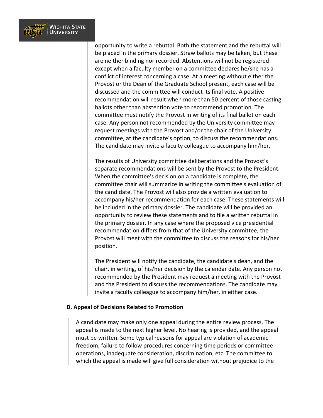

opportunity to write a rebuttal. Both the statement and the rebuttal will be placed in the primary dossier. Straw ballots may be taken, but these are neither binding nor recorded. Abstentions will not be registered except when a faculty member on a committee declares he/she has a conflict of interest concerning a case. At a meeting without either the Provost or the Dean of the Graduate School present, each case will be discussed and the committee will conduct its final vote. A positive recommendation will result when more than 50 percent of those casting ballots other than abstention vote to recommend promotion. The committee must notify the Provost in writing of its final ballot on each case. Any person not recommended by the University committee may request meetings with the Provost and/or the chair of the University committee, at the candidate's option, to discuss the recommendations. The candidate may invite a faculty colleague to accompany him/her.

The results of University committee deliberations and the Provost's separate recommendations will be sent by the Provost to the President. When the committee's decision on a candidate is complete, the committee chair will summarize in writing the committee's evaluation of the candidate. The Provost will also provide a written evaluation to accompany his/her recommendation for each case. These statements will be included in the primary dossier. The candidate will be provided an opportunity to review these statements and to file a written rebuttal in the primary dossier. In any case where the proposed vice presidential recommendation differs from that of the University committee, the Provost will meet with the committee to discuss the reasons for his/her position.

The President will notify the candidate, the candidate's dean, and the chair, in writing, of his/her decision by the calendar date. Any person not recommended by the President may request a meeting with the Provost and the President to discuss the recommendations. The candidate may invite a faculty colleague to accompany him/her, in either case.

#### **D. Appeal of Decisions Related to Promotion**

A candidate may make only one appeal during the entire review process. The appeal is made to the next higher level. No hearing is provided, and the appeal must be written. Some typical reasons for appeal are violation of academic freedom, failure to follow procedures concerning time periods or committee operations, inadequate consideration, discrimination, etc. The committee to which the appeal is made will give full consideration without prejudice to the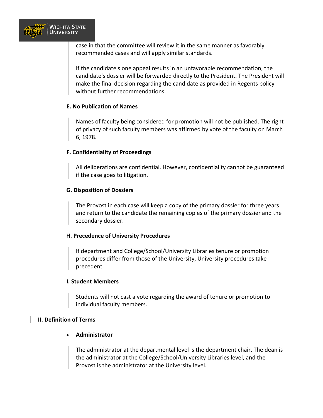

case in that the committee will review it in the same manner as favorably recommended cases and will apply similar standards.

If the candidate's one appeal results in an unfavorable recommendation, the candidate's dossier will be forwarded directly to the President. The President will make the final decision regarding the candidate as provided in Regents policy without further recommendations.

#### **E. No Publication of Names**

Names of faculty being considered for promotion will not be published. The right of privacy of such faculty members was affirmed by vote of the faculty on March 6, 1978.

#### **F. Confidentiality of Proceedings**

All deliberations are confidential. However, confidentiality cannot be guaranteed if the case goes to litigation.

#### **G. Disposition of Dossiers**

The Provost in each case will keep a copy of the primary dossier for three years and return to the candidate the remaining copies of the primary dossier and the secondary dossier.

#### H. **Precedence of University Procedures**

If department and College/School/University Libraries tenure or promotion procedures differ from those of the University, University procedures take precedent.

#### **I. Student Members**

Students will not cast a vote regarding the award of tenure or promotion to individual faculty members.

#### **II. Definition of Terms**

#### • **Administrator**

The administrator at the departmental level is the department chair. The dean is the administrator at the College/School/University Libraries level, and the Provost is the administrator at the University level.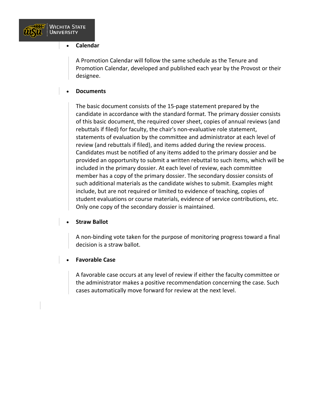

#### • **Calendar**

A Promotion Calendar will follow the same schedule as the Tenure and Promotion Calendar, developed and published each year by the Provost or their designee.

#### • **Documents**

The basic document consists of the 15-page statement prepared by the candidate in accordance with the standard format. The primary dossier consists of this basic document, the required cover sheet, copies of annual reviews (and rebuttals if filed) for faculty, the chair's non-evaluative role statement, statements of evaluation by the committee and administrator at each level of review (and rebuttals if filed), and items added during the review process. Candidates must be notified of any items added to the primary dossier and be provided an opportunity to submit a written rebuttal to such items, which will be included in the primary dossier. At each level of review, each committee member has a copy of the primary dossier. The secondary dossier consists of such additional materials as the candidate wishes to submit. Examples might include, but are not required or limited to evidence of teaching, copies of student evaluations or course materials, evidence of service contributions, etc. Only one copy of the secondary dossier is maintained.

#### • **Straw Ballot**

A non-binding vote taken for the purpose of monitoring progress toward a final decision is a straw ballot.

#### • **Favorable Case**

A favorable case occurs at any level of review if either the faculty committee or the administrator makes a positive recommendation concerning the case. Such cases automatically move forward for review at the next level.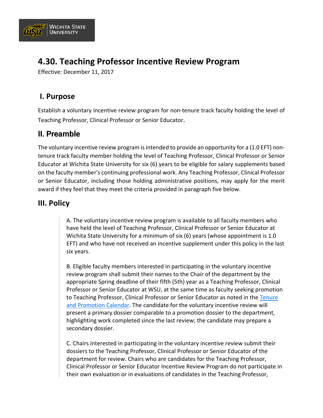

# **4.30. Teaching Professor Incentive Review Program**

Effective: December 11, 2017

## **I. Purpose**

Establish a voluntary incentive review program for non-tenure track faculty holding the level of Teaching Professor, Clinical Professor or Senior Educator.

## **II. Preamble**

The voluntary incentive review program is intended to provide an opportunity for a (1.0 EFT) nontenure track faculty member holding the level of Teaching Professor, Clinical Professor or Senior Educator at Wichita State University for six (6) years to be eligible for salary supplements based on the faculty member's continuing professional work. Any Teaching Professor, Clinical Professor or Senior Educator, including those holding administrative positions, may apply for the merit award if they feel that they meet the criteria provided in paragraph five below.

### **III. Policy**

A. The voluntary incentive review program is available to all faculty members who have held the level of Teaching Professor, Clinical Professor or Senior Educator at Wichita State University for a minimum of six (6) years (whose appointment is 1.0 EFT) and who have not received an incentive supplement under this policy in the last six years.

B. Eligible faculty members interested in participating in the voluntary incentive review program shall submit their names to the Chair of the department by the appropriate Spring deadline of their fifth (5th) year as a Teaching Professor, Clinical Professor or Senior Educator at WSU, at the same time as faculty seeking promotion to Teaching Professor, Clinical Professor or Senior Educator as noted in the [Tenure](https://www.wichita.edu/about/policy/ch_04/ch4_16.php)  [and Promotion Calendar.](https://www.wichita.edu/about/policy/ch_04/ch4_16.php) The candidate for the voluntary incentive review will present a primary dossier comparable to a promotion dossier to the department, highlighting work completed since the last review; the candidate may prepare a secondary dossier.

C. Chairs interested in participating in the voluntary incentive review submit their dossiers to the Teaching Professor, Clinical Professor or Senior Educator of the department for review. Chairs who are candidates for the Teaching Professor, Clinical Professor or Senior Educator Incentive Review Program do not participate in their own evaluation or in evaluations of candidates in the Teaching Professor,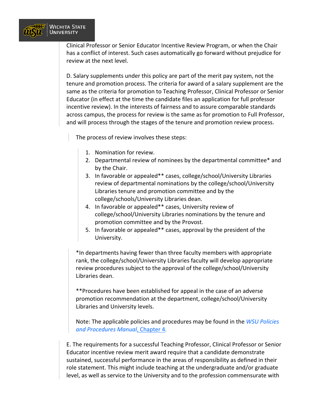

Clinical Professor or Senior Educator Incentive Review Program, or when the Chair has a conflict of interest. Such cases automatically go forward without prejudice for review at the next level.

D. Salary supplements under this policy are part of the merit pay system, not the tenure and promotion process. The criteria for award of a salary supplement are the same as the criteria for promotion to Teaching Professor, Clinical Professor or Senior Educator (in effect at the time the candidate files an application for full professor incentive review). In the interests of fairness and to assure comparable standards across campus, the process for review is the same as for promotion to Full Professor, and will process through the stages of the tenure and promotion review process.

The process of review involves these steps:

- 1. Nomination for review.
- 2. Departmental review of nominees by the departmental committee\* and by the Chair.
- 3. In favorable or appealed\*\* cases, college/school/University Libraries review of departmental nominations by the college/school/University Libraries tenure and promotion committee and by the college/schools/University Libraries dean.
- 4. In favorable or appealed\*\* cases, University review of college/school/University Libraries nominations by the tenure and promotion committee and by the Provost.
- 5. In favorable or appealed\*\* cases, approval by the president of the University.

\*In departments having fewer than three faculty members with appropriate rank, the college/school/University Libraries faculty will develop appropriate review procedures subject to the approval of the college/school/University Libraries dean.

\*\*Procedures have been established for appeal in the case of an adverse promotion recommendation at the department, college/school/University Libraries and University levels.

Note: The applicable policies and procedures may be found in the *[WSU Policies](https://www.wichita.edu/about/policy/ch_4.htm)  [and Procedures Manual](https://www.wichita.edu/about/policy/ch_4.htm)*, Chapter 4.

E. The requirements for a successful Teaching Professor, Clinical Professor or Senior Educator incentive review merit award require that a candidate demonstrate sustained, successful performance in the areas of responsibility as defined in their role statement. This might include teaching at the undergraduate and/or graduate level, as well as service to the University and to the profession commensurate with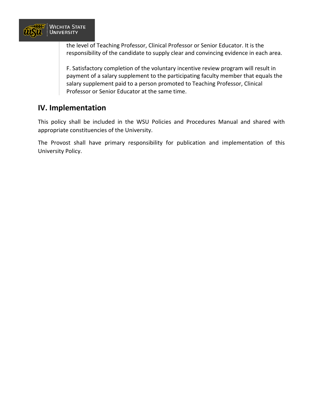

the level of Teaching Professor, Clinical Professor or Senior Educator. It is the responsibility of the candidate to supply clear and convincing evidence in each area.

F. Satisfactory completion of the voluntary incentive review program will result in payment of a salary supplement to the participating faculty member that equals the salary supplement paid to a person promoted to Teaching Professor, Clinical Professor or Senior Educator at the same time.

## **IV. Implementation**

This policy shall be included in the WSU Policies and Procedures Manual and shared with appropriate constituencies of the University.

The Provost shall have primary responsibility for publication and implementation of this University Policy.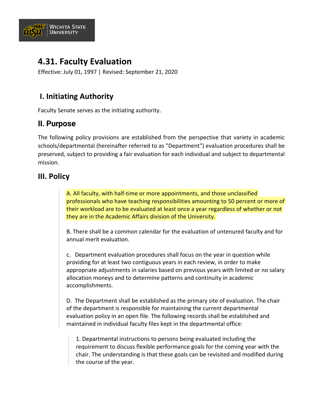

# **4.31. Faculty Evaluation**

Effective: July 01, 1997 | Revised: September 21, 2020

# **I. Initiating Authority**

Faculty Senate serves as the initiating authority.

## **II. Purpose**

The following policy provisions are established from the perspective that variety in academic schools/departmental (hereinafter referred to as "Department") evaluation procedures shall be preserved, subject to providing a fair evaluation for each individual and subject to departmental mission.

## **III. Policy**

A. All faculty, with half-time or more appointments, and those unclassified professionals who have teaching responsibilities amounting to 50 percent or more of their workload are to be evaluated at least once a year regardless of whether or not they are in the Academic Affairs division of the University.

B. There shall be a common calendar for the evaluation of untenured faculty and for annual merit evaluation.

c. Department evaluation procedures shall focus on the year in question while providing for at least two contiguous years in each review, in order to make appropriate adjustments in salaries based on previous years with limited or no salary allocation moneys and to determine patterns and continuity in academic accomplishments.

D. The Department shall be established as the primary site of evaluation. The chair of the department is responsible for maintaining the current departmental evaluation policy in an open file. The following records shall be established and maintained in individual faculty files kept in the departmental office:

1. Departmental instructions to persons being evaluated including the requirement to discuss flexible performance goals for the coming year with the chair. The understanding is that these goals can be revisited and modified during the course of the year.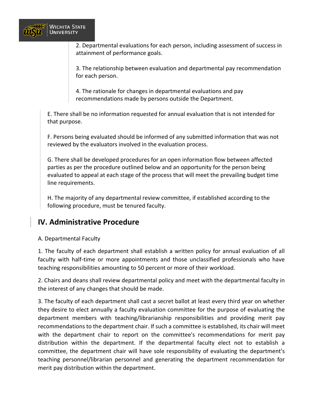

2. Departmental evaluations for each person, including assessment of success in attainment of performance goals.

3. The relationship between evaluation and departmental pay recommendation for each person.

4. The rationale for changes in departmental evaluations and pay recommendations made by persons outside the Department.

E. There shall be no information requested for annual evaluation that is not intended for that purpose.

F. Persons being evaluated should be informed of any submitted information that was not reviewed by the evaluators involved in the evaluation process.

G. There shall be developed procedures for an open information flow between affected parties as per the procedure outlined below and an opportunity for the person being evaluated to appeal at each stage of the process that will meet the prevailing budget time line requirements.

H. The majority of any departmental review committee, if established according to the following procedure, must be tenured faculty.

## **IV. Administrative Procedure**

#### A. Departmental Faculty

1. The faculty of each department shall establish a written policy for annual evaluation of all faculty with half-time or more appointments and those unclassified professionals who have teaching responsibilities amounting to 50 percent or more of their workload.

2. Chairs and deans shall review departmental policy and meet with the departmental faculty in the interest of any changes that should be made.

3. The faculty of each department shall cast a secret ballot at least every third year on whether they desire to elect annually a faculty evaluation committee for the purpose of evaluating the department members with teaching/librarianship responsibilities and providing merit pay recommendations to the department chair. If such a committee is established, its chair will meet with the department chair to report on the committee's recommendations for merit pay distribution within the department. If the departmental faculty elect not to establish a committee, the department chair will have sole responsibility of evaluating the department's teaching personnel/librarian personnel and generating the department recommendation for merit pay distribution within the department.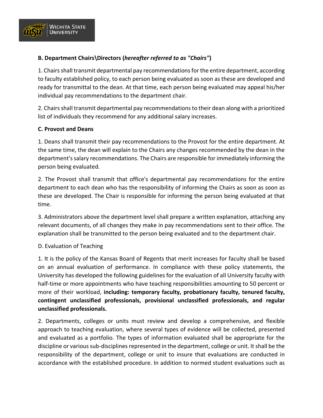

### **B. Department Chairs\Directors (***hereafter referred to as "Chairs"***)**

1. Chairs shall transmit departmental pay recommendations for the entire department, according to faculty established policy, to each person being evaluated as soon as these are developed and ready for transmittal to the dean. At that time, each person being evaluated may appeal his/her individual pay recommendations to the department chair.

2. Chairs shall transmit departmental pay recommendations to their dean along with a prioritized list of individuals they recommend for any additional salary increases.

#### **C. Provost and Deans**

1. Deans shall transmit their pay recommendations to the Provost for the entire department. At the same time, the dean will explain to the Chairs any changes recommended by the dean in the department's salary recommendations. The Chairs are responsible for immediately informing the person being evaluated.

2. The Provost shall transmit that office's departmental pay recommendations for the entire department to each dean who has the responsibility of informing the Chairs as soon as soon as these are developed. The Chair is responsible for informing the person being evaluated at that time.

3. Administrators above the department level shall prepare a written explanation, attaching any relevant documents, of all changes they make in pay recommendations sent to their office. The explanation shall be transmitted to the person being evaluated and to the department chair.

#### D. Evaluation of Teaching

1. It is the policy of the Kansas Board of Regents that merit increases for faculty shall be based on an annual evaluation of performance. In compliance with these policy statements, the University has developed the following guidelines for the evaluation of all University faculty with half-time or more appointments who have teaching responsibilities amounting to 50 percent or more of their workload, **including: temporary faculty, probationary faculty, tenured faculty, contingent unclassified professionals, provisional unclassified professionals, and regular unclassified professionals.**

2. Departments, colleges or units must review and develop a comprehensive, and flexible approach to teaching evaluation, where several types of evidence will be collected, presented and evaluated as a portfolio. The types of information evaluated shall be appropriate for the discipline or various sub-disciplines represented in the department, college or unit. It shall be the responsibility of the department, college or unit to insure that evaluations are conducted in accordance with the established procedure. In addition to normed student evaluations such as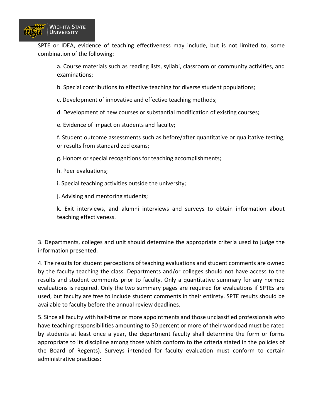

SPTE or IDEA, evidence of teaching effectiveness may include, but is not limited to, some combination of the following:

a. Course materials such as reading lists, syllabi, classroom or community activities, and examinations;

b. Special contributions to effective teaching for diverse student populations;

c. Development of innovative and effective teaching methods;

d. Development of new courses or substantial modification of existing courses;

e. Evidence of impact on students and faculty;

f. Student outcome assessments such as before/after quantitative or qualitative testing, or results from standardized exams;

g. Honors or special recognitions for teaching accomplishments;

h. Peer evaluations;

i. Special teaching activities outside the university;

j. Advising and mentoring students;

k. Exit interviews, and alumni interviews and surveys to obtain information about teaching effectiveness.

3. Departments, colleges and unit should determine the appropriate criteria used to judge the information presented.

4. The results for student perceptions of teaching evaluations and student comments are owned by the faculty teaching the class. Departments and/or colleges should not have access to the results and student comments prior to faculty. Only a quantitative summary for any normed evaluations is required. Only the two summary pages are required for evaluations if SPTEs are used, but faculty are free to include student comments in their entirety. SPTE results should be available to faculty before the annual review deadlines.

5. Since all faculty with half-time or more appointments and those unclassified professionals who have teaching responsibilities amounting to 50 percent or more of their workload must be rated by students at least once a year, the department faculty shall determine the form or forms appropriate to its discipline among those which conform to the criteria stated in the policies of the Board of Regents). Surveys intended for faculty evaluation must conform to certain administrative practices: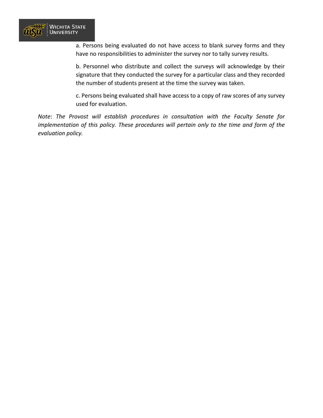

a. Persons being evaluated do not have access to blank survey forms and they have no responsibilities to administer the survey nor to tally survey results.

b. Personnel who distribute and collect the surveys will acknowledge by their signature that they conducted the survey for a particular class and they recorded the number of students present at the time the survey was taken.

c. Persons being evaluated shall have access to a copy of raw scores of any survey used for evaluation.

*Note*: *The Provost will establish procedures in consultation with the Faculty Senate for implementation of this policy. These procedures will pertain only to the time and form of the evaluation policy.*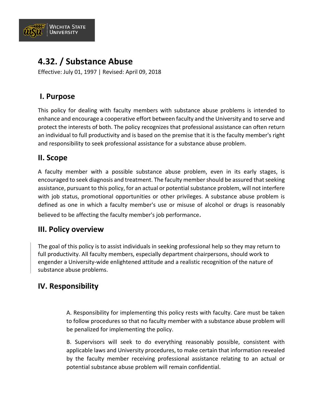

# **4.32. / Substance Abuse**

Effective: July 01, 1997 | Revised: April 09, 2018

## **I. Purpose**

This policy for dealing with faculty members with substance abuse problems is intended to enhance and encourage a cooperative effort between faculty and the University and to serve and protect the interests of both. The policy recognizes that professional assistance can often return an individual to full productivity and is based on the premise that it is the faculty member's right and responsibility to seek professional assistance for a substance abuse problem.

### **II. Scope**

A faculty member with a possible substance abuse problem, even in its early stages, is encouraged to seek diagnosis and treatment. The faculty member should be assured that seeking assistance, pursuant to this policy, for an actual or potential substance problem, will not interfere with job status, promotional opportunities or other privileges. A substance abuse problem is defined as one in which a faculty member's use or misuse of alcohol or drugs is reasonably believed to be affecting the faculty member's job performance.

### **III. Policy overview**

The goal of this policy is to assist individuals in seeking professional help so they may return to full productivity. All faculty members, especially department chairpersons, should work to engender a University-wide enlightened attitude and a realistic recognition of the nature of substance abuse problems.

### **IV. Responsibility**

A. Responsibility for implementing this policy rests with faculty. Care must be taken to follow procedures so that no faculty member with a substance abuse problem will be penalized for implementing the policy.

B. Supervisors will seek to do everything reasonably possible, consistent with applicable laws and University procedures, to make certain that information revealed by the faculty member receiving professional assistance relating to an actual or potential substance abuse problem will remain confidential.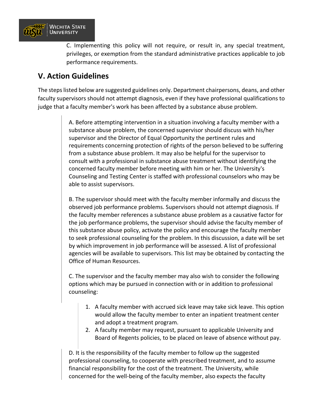

C. Implementing this policy will not require, or result in, any special treatment, privileges, or exemption from the standard administrative practices applicable to job performance requirements.

### **V. Action Guidelines**

The steps listed below are suggested guidelines only. Department chairpersons, deans, and other faculty supervisors should not attempt diagnosis, even if they have professional qualifications to judge that a faculty member's work has been affected by a substance abuse problem.

> A. Before attempting intervention in a situation involving a faculty member with a substance abuse problem, the concerned supervisor should discuss with his/her supervisor and the Director of Equal Opportunity the pertinent rules and requirements concerning protection of rights of the person believed to be suffering from a substance abuse problem. It may also be helpful for the supervisor to consult with a professional in substance abuse treatment without identifying the concerned faculty member before meeting with him or her. The University's Counseling and Testing Center is staffed with professional counselors who may be able to assist supervisors.

> B. The supervisor should meet with the faculty member informally and discuss the observed job performance problems. Supervisors should not attempt diagnosis. If the faculty member references a substance abuse problem as a causative factor for the job performance problems, the supervisor should advise the faculty member of this substance abuse policy, activate the policy and encourage the faculty member to seek professional counseling for the problem. In this discussion, a date will be set by which improvement in job performance will be assessed. A list of professional agencies will be available to supervisors. This list may be obtained by contacting the Office of Human Resources.

C. The supervisor and the faculty member may also wish to consider the following options which may be pursued in connection with or in addition to professional counseling:

- 1. A faculty member with accrued sick leave may take sick leave. This option would allow the faculty member to enter an inpatient treatment center and adopt a treatment program.
- 2. A faculty member may request, pursuant to applicable University and Board of Regents policies, to be placed on leave of absence without pay.

D. It is the responsibility of the faculty member to follow up the suggested professional counseling, to cooperate with prescribed treatment, and to assume financial responsibility for the cost of the treatment. The University, while concerned for the well-being of the faculty member, also expects the faculty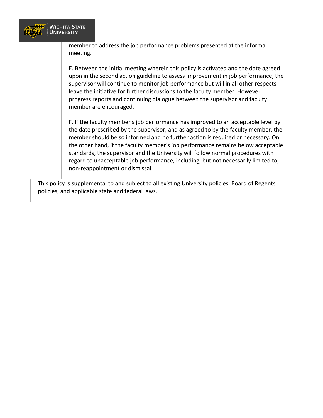

member to address the job performance problems presented at the informal meeting.

E. Between the initial meeting wherein this policy is activated and the date agreed upon in the second action guideline to assess improvement in job performance, the supervisor will continue to monitor job performance but will in all other respects leave the initiative for further discussions to the faculty member. However, progress reports and continuing dialogue between the supervisor and faculty member are encouraged.

F. If the faculty member's job performance has improved to an acceptable level by the date prescribed by the supervisor, and as agreed to by the faculty member, the member should be so informed and no further action is required or necessary. On the other hand, if the faculty member's job performance remains below acceptable standards, the supervisor and the University will follow normal procedures with regard to unacceptable job performance, including, but not necessarily limited to, non-reappointment or dismissal.

This policy is supplemental to and subject to all existing University policies, Board of Regents policies, and applicable state and federal laws.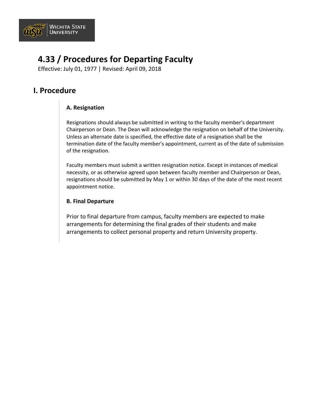

# **4.33 / Procedures for Departing Faculty**

Effective: July 01, 1977 | Revised: April 09, 2018

### **I. Procedure**

### **A. Resignation**

Resignations should always be submitted in writing to the faculty member's department Chairperson or Dean. The Dean will acknowledge the resignation on behalf of the University. Unless an alternate date is specified, the effective date of a resignation shall be the termination date of the faculty member's appointment, current as of the date of submission of the resignation.

Faculty members must submit a written resignation notice. Except in instances of medical necessity, or as otherwise agreed upon between faculty member and Chairperson or Dean, resignations should be submitted by May 1 or within 30 days of the date of the most recent appointment notice.

#### **B. Final Departure**

Prior to final departure from campus, faculty members are expected to make arrangements for determining the final grades of their students and make arrangements to collect personal property and return University property.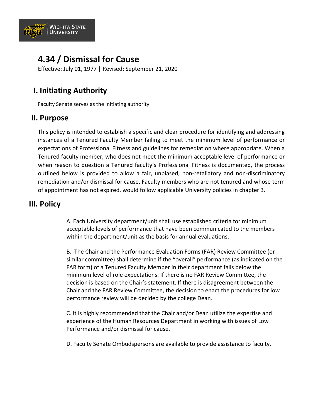

# **4.34 / Dismissal for Cause**

Effective: July 01, 1977 | Revised: September 21, 2020

# **I. Initiating Authority**

Faculty Senate serves as the initiating authority.

### **II. Purpose**

This policy is intended to establish a specific and clear procedure for identifying and addressing instances of a Tenured Faculty Member failing to meet the minimum level of performance or expectations of Professional Fitness and guidelines for remediation where appropriate. When a Tenured faculty member, who does not meet the minimum acceptable level of performance or when reason to question a Tenured faculty's Professional Fitness is documented, the process outlined below is provided to allow a fair, unbiased, non-retaliatory and non-discriminatory remediation and/or dismissal for cause. Faculty members who are not tenured and whose term of appointment has not expired, would follow applicable University policies in chapter 3.

### **III. Policy**

A. Each University department/unit shall use established criteria for minimum acceptable levels of performance that have been communicated to the members within the department/unit as the basis for annual evaluations.

B. The Chair and the Performance Evaluation Forms (FAR) Review Committee (or similar committee) shall determine if the "overall" performance (as indicated on the FAR form) of a Tenured Faculty Member in their department falls below the minimum level of role expectations. If there is no FAR Review Committee, the decision is based on the Chair's statement. If there is disagreement between the Chair and the FAR Review Committee, the decision to enact the procedures for low performance review will be decided by the college Dean.

C. It is highly recommended that the Chair and/or Dean utilize the expertise and experience of the Human Resources Department in working with issues of Low Performance and/or dismissal for cause.

D. Faculty Senate Ombudspersons are available to provide assistance to faculty.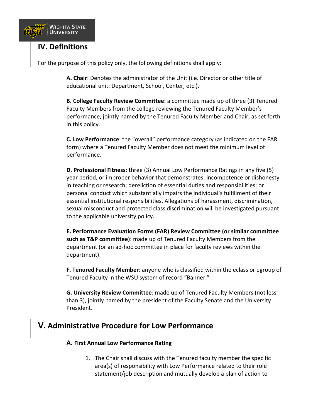

### **IV. Definitions**

For the purpose of this policy only, the following definitions shall apply:

**A. Chair**: Denotes the administrator of the Unit (i.e. Director or other title of educational unit: Department, School, Center, etc.).

**B. College Faculty Review Committee**: a committee made up of three (3) Tenured Faculty Members from the college reviewing the Tenured Faculty Member's performance, jointly named by the Tenured Faculty Member and Chair, as set forth in this policy.

**C. Low Performance**: the "overall" performance category (as indicated on the FAR form) where a Tenured Faculty Member does not meet the minimum level of performance.

**D. Professional Fitness**: three (3) Annual Low Performance Ratings in any five (5) year period, or improper behavior that demonstrates: incompetence or dishonesty in teaching or research; dereliction of essential duties and responsibilities; or personal conduct which substantially impairs the individual's fulfillment of their essential institutional responsibilities. Allegations of harassment, discrimination, sexual misconduct and protected class discrimination will be investigated pursuant to the applicable university policy.

**E. Performance Evaluation Forms (FAR) Review Committee (or similar committee such as T&P committee)**: made up of Tenured Faculty Members from the department (or an ad-hoc committee in place for faculty reviews within the department).

**F. Tenured Faculty Member**: anyone who is classified within the eclass or egroup of Tenured Faculty in the WSU system of record "Banner."

**G. University Review Committee**: made up of Tenured Faculty Members (not less than 3), jointly named by the president of the Faculty Senate and the University President.

## **V. Administrative Procedure for Low Performance**

#### **A. First Annual Low Performance Rating**

1. The Chair shall discuss with the Tenured faculty member the specific area(s) of responsibility with Low Performance related to their role statement/job description and mutually develop a plan of action to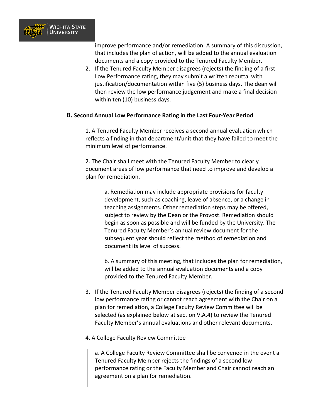

improve performance and/or remediation. A summary of this discussion, that includes the plan of action, will be added to the annual evaluation documents and a copy provided to the Tenured Faculty Member.

2. If the Tenured Faculty Member disagrees (rejects) the finding of a first Low Performance rating, they may submit a written rebuttal with justification/documentation within five (5) business days. The dean will then review the low performance judgement and make a final decision within ten (10) business days.

#### **B. Second Annual Low Performance Rating in the Last Four-Year Period**

1. A Tenured Faculty Member receives a second annual evaluation which reflects a finding in that department/unit that they have failed to meet the minimum level of performance.

2. The Chair shall meet with the Tenured Faculty Member to clearly document areas of low performance that need to improve and develop a plan for remediation.

> a. Remediation may include appropriate provisions for faculty development, such as coaching, leave of absence, or a change in teaching assignments. Other remediation steps may be offered, subject to review by the Dean or the Provost. Remediation should begin as soon as possible and will be funded by the University. The Tenured Faculty Member's annual review document for the subsequent year should reflect the method of remediation and document its level of success.

b. A summary of this meeting, that includes the plan for remediation, will be added to the annual evaluation documents and a copy provided to the Tenured Faculty Member.

- 3. If the Tenured Faculty Member disagrees (rejects) the finding of a second low performance rating or cannot reach agreement with the Chair on a plan for remediation, a College Faculty Review Committee will be selected (as explained below at section V.A.4) to review the Tenured Faculty Member's annual evaluations and other relevant documents.
- 4. A College Faculty Review Committee

a. A College Faculty Review Committee shall be convened in the event a Tenured Faculty Member rejects the findings of a second low performance rating or the Faculty Member and Chair cannot reach an agreement on a plan for remediation.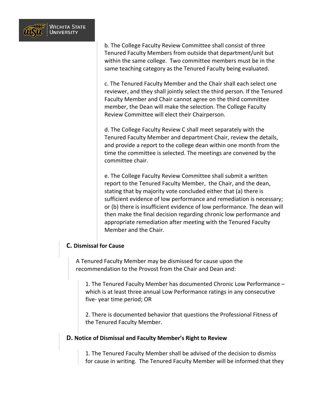

b. The College Faculty Review Committee shall consist of three Tenured Faculty Members from outside that department/unit but within the same college. Two committee members must be in the same teaching category as the Tenured Faculty being evaluated.

c. The Tenured Faculty Member and the Chair shall each select one reviewer, and they shall jointly select the third person. If the Tenured Faculty Member and Chair cannot agree on the third committee member, the Dean will make the selection. The College Faculty Review Committee will elect their Chairperson.

d. The College Faculty Review C shall meet separately with the Tenured Faculty Member and department Chair, review the details, and provide a report to the college dean within one month from the time the committee is selected. The meetings are convened by the committee chair.

e. The College Faculty Review Committee shall submit a written report to the Tenured Faculty Member, the Chair, and the dean, stating that by majority vote concluded either that (a) there is sufficient evidence of low performance and remediation is necessary; or (b) there is insufficient evidence of low performance. The dean will then make the final decision regarding chronic low performance and appropriate remediation after meeting with the Tenured Faculty Member and the Chair.

#### **C. Dismissal for Cause**

A Tenured Faculty Member may be dismissed for cause upon the recommendation to the Provost from the Chair and Dean and:

1. The Tenured Faculty Member has documented Chronic Low Performance – which is at least three annual Low Performance ratings in any consecutive five- year time period; OR

2. There is documented behavior that questions the Professional Fitness of the Tenured Faculty Member.

#### **D. Notice of Dismissal and Faculty Member's Right to Review**

1. The Tenured Faculty Member shall be advised of the decision to dismiss for cause in writing. The Tenured Faculty Member will be informed that they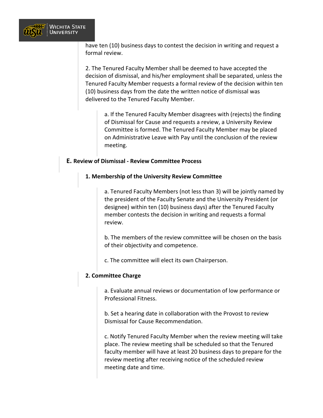

have ten (10) business days to contest the decision in writing and request a formal review.

2. The Tenured Faculty Member shall be deemed to have accepted the decision of dismissal, and his/her employment shall be separated, unless the Tenured Faculty Member requests a formal review of the decision within ten (10) business days from the date the written notice of dismissal was delivered to the Tenured Faculty Member.

a. If the Tenured Faculty Member disagrees with (rejects) the finding of Dismissal for Cause and requests a review, a University Review Committee is formed. The Tenured Faculty Member may be placed on Administrative Leave with Pay until the conclusion of the review meeting.

#### **E. Review of Dismissal - Review Committee Process**

#### **1. Membership of the University Review Committee**

a. Tenured Faculty Members (not less than 3) will be jointly named by the president of the Faculty Senate and the University President (or designee) within ten (10) business days) after the Tenured Faculty member contests the decision in writing and requests a formal review.

b. The members of the review committee will be chosen on the basis of their objectivity and competence.

c. The committee will elect its own Chairperson.

#### **2. Committee Charge**

a. Evaluate annual reviews or documentation of low performance or Professional Fitness.

b. Set a hearing date in collaboration with the Provost to review Dismissal for Cause Recommendation.

c. Notify Tenured Faculty Member when the review meeting will take place. The review meeting shall be scheduled so that the Tenured faculty member will have at least 20 business days to prepare for the review meeting after receiving notice of the scheduled review meeting date and time.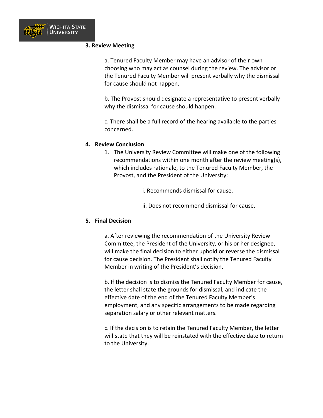#### **3. Review Meeting**

a. Tenured Faculty Member may have an advisor of their own choosing who may act as counsel during the review. The advisor or the Tenured Faculty Member will present verbally why the dismissal for cause should not happen.

b. The Provost should designate a representative to present verbally why the dismissal for cause should happen.

c. There shall be a full record of the hearing available to the parties concerned.

#### **4. Review Conclusion**

1. The University Review Committee will make one of the following recommendations within one month after the review meeting(s), which includes rationale, to the Tenured Faculty Member, the Provost, and the President of the University:

i. Recommends dismissal for cause.

ii. Does not recommend dismissal for cause.

#### **5. Final Decision**

a. After reviewing the recommendation of the University Review Committee, the President of the University, or his or her designee, will make the final decision to either uphold or reverse the dismissal for cause decision. The President shall notify the Tenured Faculty Member in writing of the President's decision.

b. If the decision is to dismiss the Tenured Faculty Member for cause, the letter shall state the grounds for dismissal, and indicate the effective date of the end of the Tenured Faculty Member's employment, and any specific arrangements to be made regarding separation salary or other relevant matters.

c. If the decision is to retain the Tenured Faculty Member, the letter will state that they will be reinstated with the effective date to return to the University.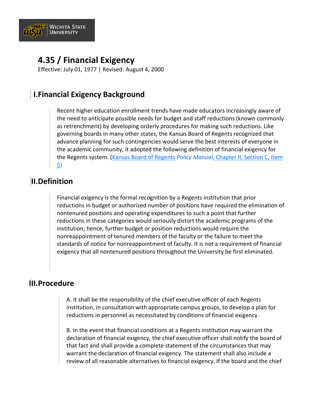

# **4.35 / Financial Exigency**

Effective: July 01, 1977 | Revised: August 4, 2000

## **I.Financial Exigency Background**

Recent higher education enrollment trends have made educators increasingly aware of the need to anticipate possible needs for budget and staff reductions (known commonly as retrenchment) by developing orderly procedures for making such reductions. Like governing boards in many other states, the Kansas Board of Regents recognized that advance planning for such contingencies would serve the best interests of everyone in the academic community; it adopted the following definition of financial exigency for the Regents system. (Kansas Board of Regents *Policy Manual*[, Chapter II, Section C, Item](https://www.kansasregents.org/about/policies-by-laws-missions/board_policy_manual_2/chapter_ii_governance_state_universities_2/chapter_ii_full_text#fin)  [5\)](https://www.kansasregents.org/about/policies-by-laws-missions/board_policy_manual_2/chapter_ii_governance_state_universities_2/chapter_ii_full_text#fin)

## **II.Definition**

Financial exigency is the formal recognition by a Regents institution that prior reductions in budget or authorized number of positions have required the elimination of nontenured positions and operating expenditures to such a point that further reductions in these categories would seriously distort the academic programs of the institution; hence, further budget or position reductions would require the nonreappointment of tenured members of the faculty or the failure to meet the standards of notice for nonreappointment of faculty. It is not a requirement of financial exigency that all nontenured positions throughout the University be first eliminated.

### **III.Procedure**

A. It shall be the responsibility of the chief executive officer of each Regents institution, in consultation with appropriate campus groups, to develop a plan for reductions in personnel as necessitated by conditions of financial exigency.

B. In the event that financial conditions at a Regents institution may warrant the declaration of financial exigency, the chief executive officer shall notify the board of that fact and shall provide a complete statement of the circumstances that may warrant the declaration of financial exigency. The statement shall also include a review of all reasonable alternatives to financial exigency. If the board and the chief